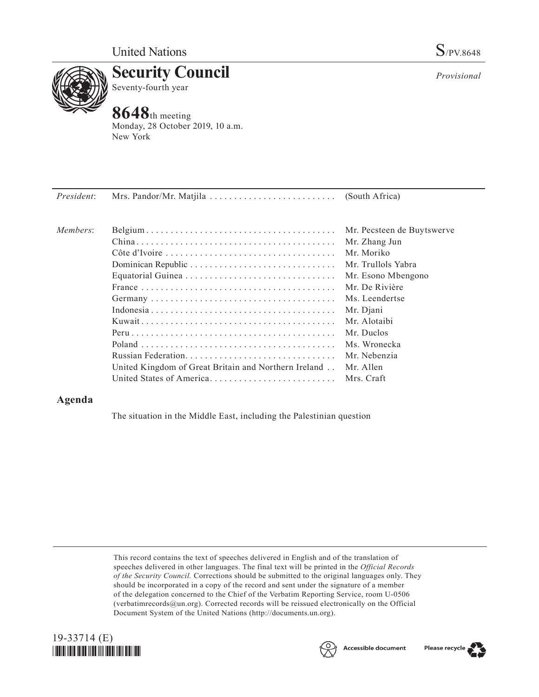

**Security Council** Seventy-fourth year

## **8648**th meeting

Monday, 28 October 2019, 10 a.m. New York

| President: |                                                      |                            |
|------------|------------------------------------------------------|----------------------------|
| Members:   |                                                      | Mr. Pecsteen de Buytswerve |
|            |                                                      | Mr. Zhang Jun              |
|            |                                                      | Mr. Moriko                 |
|            |                                                      | Mr. Trullols Yabra         |
|            |                                                      | Mr. Esono Mbengono         |
|            |                                                      | Mr. De Rivière             |
|            |                                                      | Ms. Leendertse             |
|            |                                                      | Mr. Djani                  |
|            |                                                      | Mr. Alotaibi               |
|            |                                                      | Mr. Duclos                 |
|            |                                                      | Ms. Wronecka               |
|            |                                                      | Mr. Nebenzia               |
|            | United Kingdom of Great Britain and Northern Ireland | Mr. Allen                  |
|            | United States of America                             | Mrs. Craft                 |
|            |                                                      |                            |

## **Agenda**

The situation in the Middle East, including the Palestinian question

This record contains the text of speeches delivered in English and of the translation of speeches delivered in other languages. The final text will be printed in the *Official Records of the Security Council.* Corrections should be submitted to the original languages only. They should be incorporated in a copy of the record and sent under the signature of a member of the delegation concerned to the Chief of the Verbatim Reporting Service, room U-0506 (verbatimrecords $@un.org$ ). Corrected records will be reissued electronically on the Official Document System of the United Nations (http://documents.un.org).







*Provisional*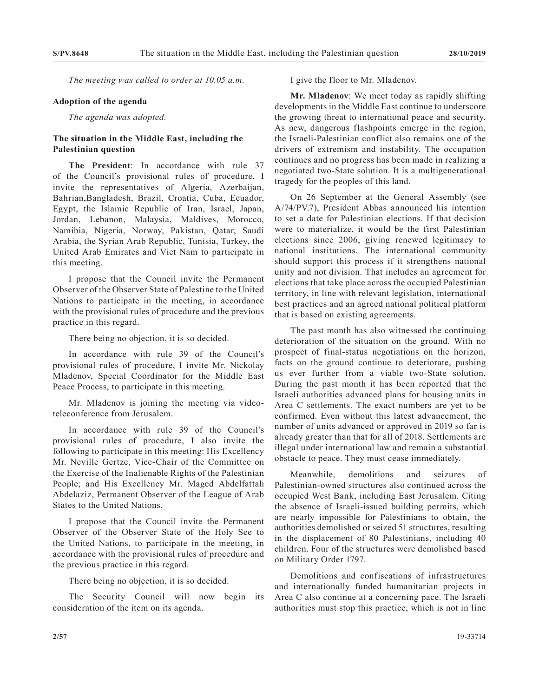*The meeting was called to order at 10.05 a.m.*

## **Adoption of the agenda**

*The agenda was adopted.*

## **The situation in the Middle East, including the Palestinian question**

**The President**: In accordance with rule 37 of the Council's provisional rules of procedure, I invite the representatives of Algeria, Azerbaijan, Bahrian,Bangladesh, Brazil, Croatia, Cuba, Ecuador, Egypt, the Islamic Republic of Iran, Israel, Japan, Jordan, Lebanon, Malaysia, Maldives, Morocco, Namibia, Nigeria, Norway, Pakistan, Qatar, Saudi Arabia, the Syrian Arab Republic, Tunisia, Turkey, the United Arab Emirates and Viet Nam to participate in this meeting.

I propose that the Council invite the Permanent Observer of the Observer State of Palestine to the United Nations to participate in the meeting, in accordance with the provisional rules of procedure and the previous practice in this regard.

There being no objection, it is so decided.

In accordance with rule 39 of the Council's provisional rules of procedure, I invite Mr. Nickolay Mladenov, Special Coordinator for the Middle East Peace Process, to participate in this meeting.

Mr. Mladenov is joining the meeting via videoteleconference from Jerusalem.

In accordance with rule 39 of the Council's provisional rules of procedure, I also invite the following to participate in this meeting: His Excellency Mr. Neville Gertze, Vice-Chair of the Committee on the Exercise of the Inalienable Rights of the Palestinian People; and His Excellency Mr. Maged Abdelfattah Abdelaziz, Permanent Observer of the League of Arab States to the United Nations.

I propose that the Council invite the Permanent Observer of the Observer State of the Holy See to the United Nations, to participate in the meeting, in accordance with the provisional rules of procedure and the previous practice in this regard.

There being no objection, it is so decided.

The Security Council will now begin its consideration of the item on its agenda.

I give the floor to Mr. Mladenov.

**Mr. Mladenov**: We meet today as rapidly shifting developments in the Middle East continue to underscore the growing threat to international peace and security. As new, dangerous flashpoints emerge in the region, the Israeli-Palestinian conflict also remains one of the drivers of extremism and instability. The occupation continues and no progress has been made in realizing a negotiated two-State solution. It is a multigenerational tragedy for the peoples of this land.

On 26 September at the General Assembly (see A/74/PV.7), President Abbas announced his intention to set a date for Palestinian elections. If that decision were to materialize, it would be the first Palestinian elections since 2006, giving renewed legitimacy to national institutions. The international community should support this process if it strengthens national unity and not division. That includes an agreement for elections that take place across the occupied Palestinian territory, in line with relevant legislation, international best practices and an agreed national political platform that is based on existing agreements.

The past month has also witnessed the continuing deterioration of the situation on the ground. With no prospect of final-status negotiations on the horizon, facts on the ground continue to deteriorate, pushing us ever further from a viable two-State solution. During the past month it has been reported that the Israeli authorities advanced plans for housing units in Area C settlements. The exact numbers are yet to be confirmed. Even without this latest advancement, the number of units advanced or approved in 2019 so far is already greater than that for all of 2018. Settlements are illegal under international law and remain a substantial obstacle to peace. They must cease immediately.

Meanwhile, demolitions and seizures of Palestinian-owned structures also continued across the occupied West Bank, including East Jerusalem. Citing the absence of Israeli-issued building permits, which are nearly impossible for Palestinians to obtain, the authorities demolished or seized 51 structures, resulting in the displacement of 80 Palestinians, including 40 children. Four of the structures were demolished based on Military Order 1797.

Demolitions and confiscations of infrastructures and internationally funded humanitarian projects in Area C also continue at a concerning pace. The Israeli authorities must stop this practice, which is not in line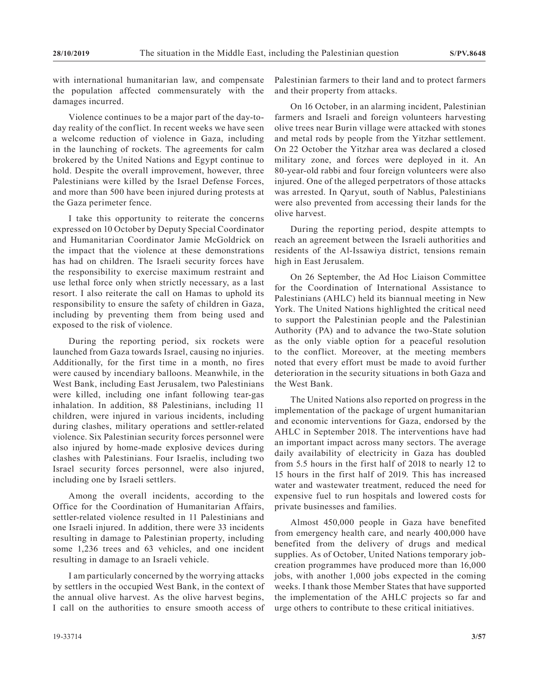with international humanitarian law, and compensate the population affected commensurately with the damages incurred.

Violence continues to be a major part of the day-today reality of the conflict. In recent weeks we have seen a welcome reduction of violence in Gaza, including in the launching of rockets. The agreements for calm brokered by the United Nations and Egypt continue to hold. Despite the overall improvement, however, three Palestinians were killed by the Israel Defense Forces, and more than 500 have been injured during protests at the Gaza perimeter fence.

I take this opportunity to reiterate the concerns expressed on 10 October by Deputy Special Coordinator and Humanitarian Coordinator Jamie McGoldrick on the impact that the violence at these demonstrations has had on children. The Israeli security forces have the responsibility to exercise maximum restraint and use lethal force only when strictly necessary, as a last resort. I also reiterate the call on Hamas to uphold its responsibility to ensure the safety of children in Gaza, including by preventing them from being used and exposed to the risk of violence.

During the reporting period, six rockets were launched from Gaza towards Israel, causing no injuries. Additionally, for the first time in a month, no fires were caused by incendiary balloons. Meanwhile, in the West Bank, including East Jerusalem, two Palestinians were killed, including one infant following tear-gas inhalation. In addition, 88 Palestinians, including 11 children, were injured in various incidents, including during clashes, military operations and settler-related violence. Six Palestinian security forces personnel were also injured by home-made explosive devices during clashes with Palestinians. Four Israelis, including two Israel security forces personnel, were also injured, including one by Israeli settlers.

Among the overall incidents, according to the Office for the Coordination of Humanitarian Affairs, settler-related violence resulted in 11 Palestinians and one Israeli injured. In addition, there were 33 incidents resulting in damage to Palestinian property, including some 1,236 trees and 63 vehicles, and one incident resulting in damage to an Israeli vehicle.

I am particularly concerned by the worrying attacks by settlers in the occupied West Bank, in the context of the annual olive harvest. As the olive harvest begins, I call on the authorities to ensure smooth access of

Palestinian farmers to their land and to protect farmers and their property from attacks.

On 16 October, in an alarming incident, Palestinian farmers and Israeli and foreign volunteers harvesting olive trees near Burin village were attacked with stones and metal rods by people from the Yitzhar settlement. On 22 October the Yitzhar area was declared a closed military zone, and forces were deployed in it. An 80-year-old rabbi and four foreign volunteers were also injured. One of the alleged perpetrators of those attacks was arrested. In Qaryut, south of Nablus, Palestinians were also prevented from accessing their lands for the olive harvest.

During the reporting period, despite attempts to reach an agreement between the Israeli authorities and residents of the Al-Issawiya district, tensions remain high in East Jerusalem.

On 26 September, the Ad Hoc Liaison Committee for the Coordination of International Assistance to Palestinians (AHLC) held its biannual meeting in New York. The United Nations highlighted the critical need to support the Palestinian people and the Palestinian Authority (PA) and to advance the two-State solution as the only viable option for a peaceful resolution to the conflict. Moreover, at the meeting members noted that every effort must be made to avoid further deterioration in the security situations in both Gaza and the West Bank.

The United Nations also reported on progress in the implementation of the package of urgent humanitarian and economic interventions for Gaza, endorsed by the AHLC in September 2018. The interventions have had an important impact across many sectors. The average daily availability of electricity in Gaza has doubled from 5.5 hours in the first half of 2018 to nearly 12 to 15 hours in the first half of 2019. This has increased water and wastewater treatment, reduced the need for expensive fuel to run hospitals and lowered costs for private businesses and families.

Almost 450,000 people in Gaza have benefited from emergency health care, and nearly 400,000 have benefited from the delivery of drugs and medical supplies. As of October, United Nations temporary jobcreation programmes have produced more than 16,000 jobs, with another 1,000 jobs expected in the coming weeks. I thank those Member States that have supported the implementation of the AHLC projects so far and urge others to contribute to these critical initiatives.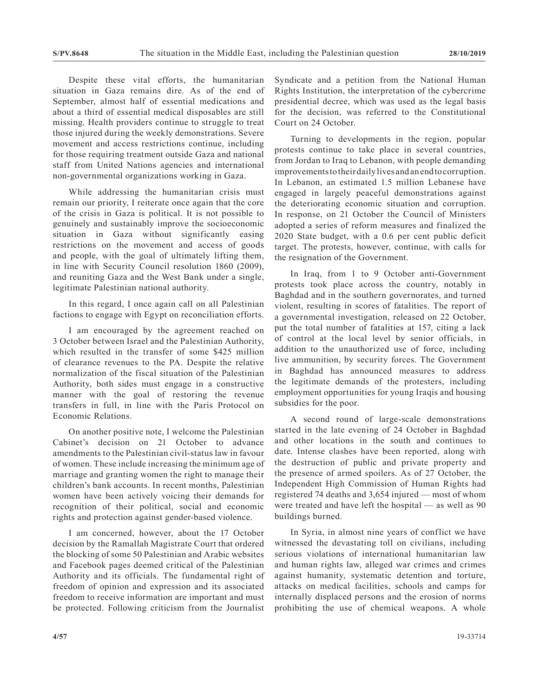Despite these vital efforts, the humanitarian situation in Gaza remains dire. As of the end of September, almost half of essential medications and about a third of essential medical disposables are still missing. Health providers continue to struggle to treat those injured during the weekly demonstrations. Severe movement and access restrictions continue, including for those requiring treatment outside Gaza and national staff from United Nations agencies and international non-governmental organizations working in Gaza.

While addressing the humanitarian crisis must remain our priority, I reiterate once again that the core of the crisis in Gaza is political. It is not possible to genuinely and sustainably improve the socioeconomic situation in Gaza without significantly easing restrictions on the movement and access of goods and people, with the goal of ultimately lifting them, in line with Security Council resolution 1860 (2009), and reuniting Gaza and the West Bank under a single, legitimate Palestinian national authority.

In this regard, I once again call on all Palestinian factions to engage with Egypt on reconciliation efforts.

I am encouraged by the agreement reached on 3 October between Israel and the Palestinian Authority, which resulted in the transfer of some \$425 million of clearance revenues to the PA. Despite the relative normalization of the fiscal situation of the Palestinian Authority, both sides must engage in a constructive manner with the goal of restoring the revenue transfers in full, in line with the Paris Protocol on Economic Relations.

On another positive note, I welcome the Palestinian Cabinet's decision on 21 October to advance amendments to the Palestinian civil-status law in favour of women. These include increasing the minimum age of marriage and granting women the right to manage their children's bank accounts. In recent months, Palestinian women have been actively voicing their demands for recognition of their political, social and economic rights and protection against gender-based violence.

I am concerned, however, about the 17 October decision by the Ramallah Magistrate Court that ordered the blocking of some 50 Palestinian and Arabic websites and Facebook pages deemed critical of the Palestinian Authority and its officials. The fundamental right of freedom of opinion and expression and its associated freedom to receive information are important and must be protected. Following criticism from the Journalist Syndicate and a petition from the National Human Rights Institution, the interpretation of the cybercrime presidential decree, which was used as the legal basis for the decision, was referred to the Constitutional Court on 24 October.

Turning to developments in the region, popular protests continue to take place in several countries, from Jordan to Iraq to Lebanon, with people demanding improvements to their daily lives and an end to corruption. In Lebanon, an estimated 1.5 million Lebanese have engaged in largely peaceful demonstrations against the deteriorating economic situation and corruption. In response, on 21 October the Council of Ministers adopted a series of reform measures and finalized the 2020 State budget, with a 0.6 per cent public deficit target. The protests, however, continue, with calls for the resignation of the Government.

In Iraq, from 1 to 9 October anti-Government protests took place across the country, notably in Baghdad and in the southern governorates, and turned violent, resulting in scores of fatalities. The report of a governmental investigation, released on 22 October, put the total number of fatalities at 157, citing a lack of control at the local level by senior officials, in addition to the unauthorized use of force, including live ammunition, by security forces. The Government in Baghdad has announced measures to address the legitimate demands of the protesters, including employment opportunities for young Iraqis and housing subsidies for the poor.

A second round of large-scale demonstrations started in the late evening of 24 October in Baghdad and other locations in the south and continues to date. Intense clashes have been reported, along with the destruction of public and private property and the presence of armed spoilers. As of 27 October, the Independent High Commission of Human Rights had registered 74 deaths and 3,654 injured — most of whom were treated and have left the hospital — as well as 90 buildings burned.

In Syria, in almost nine years of conflict we have witnessed the devastating toll on civilians, including serious violations of international humanitarian law and human rights law, alleged war crimes and crimes against humanity, systematic detention and torture, attacks on medical facilities, schools and camps for internally displaced persons and the erosion of norms prohibiting the use of chemical weapons. A whole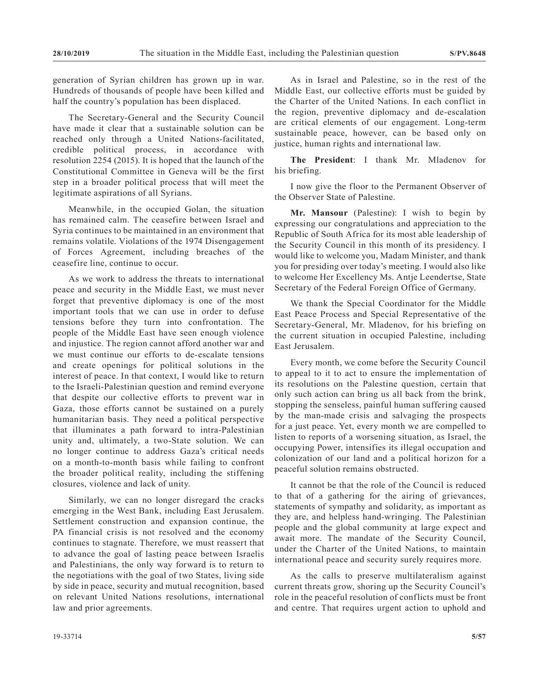generation of Syrian children has grown up in war. Hundreds of thousands of people have been killed and half the country's population has been displaced.

The Secretary-General and the Security Council have made it clear that a sustainable solution can be reached only through a United Nations-facilitated, credible political process, in accordance with resolution 2254 (2015). It is hoped that the launch of the Constitutional Committee in Geneva will be the first step in a broader political process that will meet the legitimate aspirations of all Syrians.

Meanwhile, in the occupied Golan, the situation has remained calm. The ceasefire between Israel and Syria continues to be maintained in an environment that remains volatile. Violations of the 1974 Disengagement of Forces Agreement, including breaches of the ceasefire line, continue to occur.

As we work to address the threats to international peace and security in the Middle East, we must never forget that preventive diplomacy is one of the most important tools that we can use in order to defuse tensions before they turn into confrontation. The people of the Middle East have seen enough violence and injustice. The region cannot afford another war and we must continue our efforts to de-escalate tensions and create openings for political solutions in the interest of peace. In that context, I would like to return to the Israeli-Palestinian question and remind everyone that despite our collective efforts to prevent war in Gaza, those efforts cannot be sustained on a purely humanitarian basis. They need a political perspective that illuminates a path forward to intra-Palestinian unity and, ultimately, a two-State solution. We can no longer continue to address Gaza's critical needs on a month-to-month basis while failing to confront the broader political reality, including the stiffening closures, violence and lack of unity.

Similarly, we can no longer disregard the cracks emerging in the West Bank, including East Jerusalem. Settlement construction and expansion continue, the PA financial crisis is not resolved and the economy continues to stagnate. Therefore, we must reassert that to advance the goal of lasting peace between Israelis and Palestinians, the only way forward is to return to the negotiations with the goal of two States, living side by side in peace, security and mutual recognition, based on relevant United Nations resolutions, international law and prior agreements.

As in Israel and Palestine, so in the rest of the Middle East, our collective efforts must be guided by the Charter of the United Nations. In each conflict in the region, preventive diplomacy and de-escalation are critical elements of our engagement. Long-term sustainable peace, however, can be based only on justice, human rights and international law.

**The President**: I thank Mr. Mladenov for his briefing.

I now give the floor to the Permanent Observer of the Observer State of Palestine.

**Mr. Mansour** (Palestine): I wish to begin by expressing our congratulations and appreciation to the Republic of South Africa for its most able leadership of the Security Council in this month of its presidency. I would like to welcome you, Madam Minister, and thank you for presiding over today's meeting. I would also like to welcome Her Excellency Ms. Antje Leendertse, State Secretary of the Federal Foreign Office of Germany.

We thank the Special Coordinator for the Middle East Peace Process and Special Representative of the Secretary-General, Mr. Mladenov, for his briefing on the current situation in occupied Palestine, including East Jerusalem.

Every month, we come before the Security Council to appeal to it to act to ensure the implementation of its resolutions on the Palestine question, certain that only such action can bring us all back from the brink, stopping the senseless, painful human suffering caused by the man-made crisis and salvaging the prospects for a just peace. Yet, every month we are compelled to listen to reports of a worsening situation, as Israel, the occupying Power, intensifies its illegal occupation and colonization of our land and a political horizon for a peaceful solution remains obstructed.

It cannot be that the role of the Council is reduced to that of a gathering for the airing of grievances, statements of sympathy and solidarity, as important as they are, and helpless hand-wringing. The Palestinian people and the global community at large expect and await more. The mandate of the Security Council, under the Charter of the United Nations, to maintain international peace and security surely requires more.

As the calls to preserve multilateralism against current threats grow, shoring up the Security Council's role in the peaceful resolution of conflicts must be front and centre. That requires urgent action to uphold and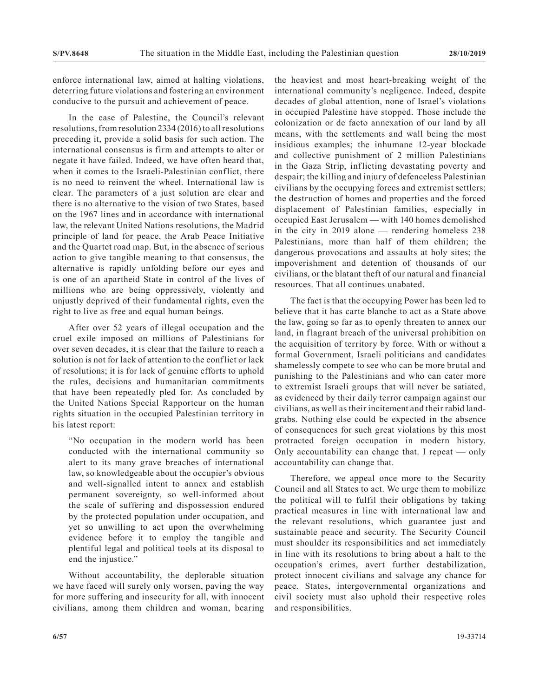enforce international law, aimed at halting violations, deterring future violations and fostering an environment conducive to the pursuit and achievement of peace.

In the case of Palestine, the Council's relevant resolutions, from resolution 2334 (2016) to all resolutions preceding it, provide a solid basis for such action. The international consensus is firm and attempts to alter or negate it have failed. Indeed, we have often heard that, when it comes to the Israeli-Palestinian conflict, there is no need to reinvent the wheel. International law is clear. The parameters of a just solution are clear and there is no alternative to the vision of two States, based on the 1967 lines and in accordance with international law, the relevant United Nations resolutions, the Madrid principle of land for peace, the Arab Peace Initiative and the Quartet road map. But, in the absence of serious action to give tangible meaning to that consensus, the alternative is rapidly unfolding before our eyes and is one of an apartheid State in control of the lives of millions who are being oppressively, violently and unjustly deprived of their fundamental rights, even the right to live as free and equal human beings.

After over 52 years of illegal occupation and the cruel exile imposed on millions of Palestinians for over seven decades, it is clear that the failure to reach a solution is not for lack of attention to the conflict or lack of resolutions; it is for lack of genuine efforts to uphold the rules, decisions and humanitarian commitments that have been repeatedly pled for. As concluded by the United Nations Special Rapporteur on the human rights situation in the occupied Palestinian territory in his latest report:

"No occupation in the modern world has been conducted with the international community so alert to its many grave breaches of international law, so knowledgeable about the occupier's obvious and well-signalled intent to annex and establish permanent sovereignty, so well-informed about the scale of suffering and dispossession endured by the protected population under occupation, and yet so unwilling to act upon the overwhelming evidence before it to employ the tangible and plentiful legal and political tools at its disposal to end the injustice."

Without accountability, the deplorable situation we have faced will surely only worsen, paving the way for more suffering and insecurity for all, with innocent civilians, among them children and woman, bearing the heaviest and most heart-breaking weight of the international community's negligence. Indeed, despite decades of global attention, none of Israel's violations in occupied Palestine have stopped. Those include the colonization or de facto annexation of our land by all means, with the settlements and wall being the most insidious examples; the inhumane 12-year blockade and collective punishment of 2 million Palestinians in the Gaza Strip, inflicting devastating poverty and despair; the killing and injury of defenceless Palestinian civilians by the occupying forces and extremist settlers; the destruction of homes and properties and the forced displacement of Palestinian families, especially in occupied East Jerusalem — with 140 homes demolished in the city in 2019 alone — rendering homeless 238 Palestinians, more than half of them children; the dangerous provocations and assaults at holy sites; the impoverishment and detention of thousands of our civilians, or the blatant theft of our natural and financial resources. That all continues unabated.

The fact is that the occupying Power has been led to believe that it has carte blanche to act as a State above the law, going so far as to openly threaten to annex our land, in flagrant breach of the universal prohibition on the acquisition of territory by force. With or without a formal Government, Israeli politicians and candidates shamelessly compete to see who can be more brutal and punishing to the Palestinians and who can cater more to extremist Israeli groups that will never be satiated, as evidenced by their daily terror campaign against our civilians, as well as their incitement and their rabid landgrabs. Nothing else could be expected in the absence of consequences for such great violations by this most protracted foreign occupation in modern history. Only accountability can change that. I repeat — only accountability can change that.

Therefore, we appeal once more to the Security Council and all States to act. We urge them to mobilize the political will to fulfil their obligations by taking practical measures in line with international law and the relevant resolutions, which guarantee just and sustainable peace and security. The Security Council must shoulder its responsibilities and act immediately in line with its resolutions to bring about a halt to the occupation's crimes, avert further destabilization, protect innocent civilians and salvage any chance for peace. States, intergovernmental organizations and civil society must also uphold their respective roles and responsibilities.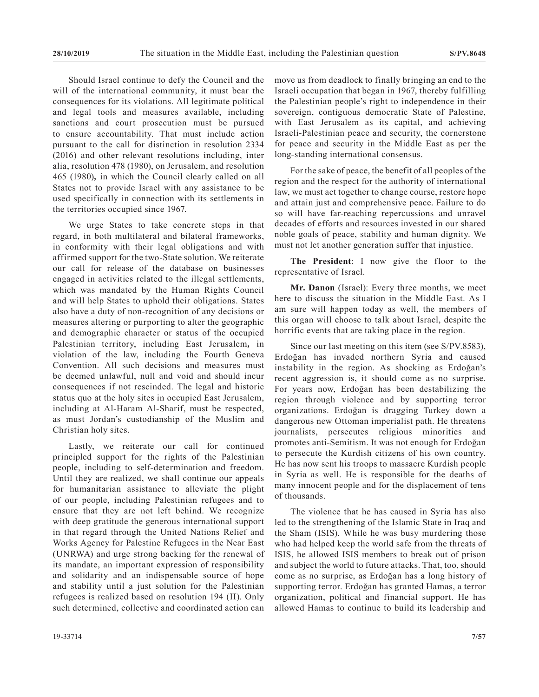Should Israel continue to defy the Council and the will of the international community, it must bear the consequences for its violations. All legitimate political and legal tools and measures available, including sanctions and court prosecution must be pursued to ensure accountability. That must include action pursuant to the call for distinction in resolution 2334 (2016) and other relevant resolutions including, inter alia, resolution 478 (1980), on Jerusalem, and resolution 465 (1980)*,* in which the Council clearly called on all States not to provide Israel with any assistance to be used specifically in connection with its settlements in the territories occupied since 1967.

We urge States to take concrete steps in that regard, in both multilateral and bilateral frameworks, in conformity with their legal obligations and with affirmed support for the two-State solution. We reiterate our call for release of the database on businesses engaged in activities related to the illegal settlements, which was mandated by the Human Rights Council and will help States to uphold their obligations. States also have a duty of non-recognition of any decisions or measures altering or purporting to alter the geographic and demographic character or status of the occupied Palestinian territory, including East Jerusalem*,* in violation of the law, including the Fourth Geneva Convention. All such decisions and measures must be deemed unlawful, null and void and should incur consequences if not rescinded. The legal and historic status quo at the holy sites in occupied East Jerusalem, including at Al-Haram Al-Sharif, must be respected, as must Jordan's custodianship of the Muslim and Christian holy sites.

Lastly, we reiterate our call for continued principled support for the rights of the Palestinian people, including to self-determination and freedom. Until they are realized, we shall continue our appeals for humanitarian assistance to alleviate the plight of our people, including Palestinian refugees and to ensure that they are not left behind. We recognize with deep gratitude the generous international support in that regard through the United Nations Relief and Works Agency for Palestine Refugees in the Near East (UNRWA) and urge strong backing for the renewal of its mandate, an important expression of responsibility and solidarity and an indispensable source of hope and stability until a just solution for the Palestinian refugees is realized based on resolution 194 (II). Only such determined, collective and coordinated action can

sovereign, contiguous democratic State of Palestine, with East Jerusalem as its capital, and achieving Israeli-Palestinian peace and security, the cornerstone for peace and security in the Middle East as per the long-standing international consensus. For the sake of peace, the benefit of all peoples of the region and the respect for the authority of international

law, we must act together to change course, restore hope and attain just and comprehensive peace. Failure to do so will have far-reaching repercussions and unravel decades of efforts and resources invested in our shared noble goals of peace, stability and human dignity. We must not let another generation suffer that injustice.

move us from deadlock to finally bringing an end to the Israeli occupation that began in 1967, thereby fulfilling the Palestinian people's right to independence in their

**The President**: I now give the floor to the representative of Israel.

**Mr. Danon** (Israel): Every three months, we meet here to discuss the situation in the Middle East. As I am sure will happen today as well, the members of this organ will choose to talk about Israel, despite the horrific events that are taking place in the region.

Since our last meeting on this item (see S/PV.8583), Erdoğan has invaded northern Syria and caused instability in the region. As shocking as Erdoğan's recent aggression is, it should come as no surprise. For years now, Erdoğan has been destabilizing the region through violence and by supporting terror organizations. Erdoğan is dragging Turkey down a dangerous new Ottoman imperialist path. He threatens journalists, persecutes religious minorities and promotes anti-Semitism. It was not enough for Erdoğan to persecute the Kurdish citizens of his own country. He has now sent his troops to massacre Kurdish people in Syria as well. He is responsible for the deaths of many innocent people and for the displacement of tens of thousands.

The violence that he has caused in Syria has also led to the strengthening of the Islamic State in Iraq and the Sham (ISIS). While he was busy murdering those who had helped keep the world safe from the threats of ISIS, he allowed ISIS members to break out of prison and subject the world to future attacks. That, too, should come as no surprise, as Erdoğan has a long history of supporting terror. Erdoğan has granted Hamas, a terror organization, political and financial support. He has allowed Hamas to continue to build its leadership and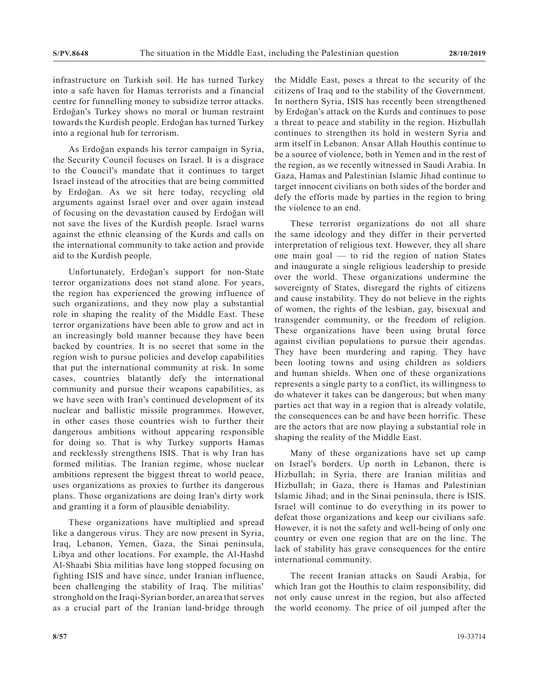infrastructure on Turkish soil. He has turned Turkey into a safe haven for Hamas terrorists and a financial centre for funnelling money to subsidize terror attacks. Erdoğan's Turkey shows no moral or human restraint towards the Kurdish people. Erdoğan has turned Turkey into a regional hub for terrorism.

As Erdoğan expands his terror campaign in Syria, the Security Council focuses on Israel. It is a disgrace to the Council's mandate that it continues to target Israel instead of the atrocities that are being committed by Erdoğan. As we sit here today, recycling old arguments against Israel over and over again instead of focusing on the devastation caused by Erdoğan will not save the lives of the Kurdish people. Israel warns against the ethnic cleansing of the Kurds and calls on the international community to take action and provide aid to the Kurdish people.

Unfortunately, Erdoğan's support for non-State terror organizations does not stand alone. For years, the region has experienced the growing influence of such organizations, and they now play a substantial role in shaping the reality of the Middle East. These terror organizations have been able to grow and act in an increasingly bold manner because they have been backed by countries. It is no secret that some in the region wish to pursue policies and develop capabilities that put the international community at risk. In some cases, countries blatantly defy the international community and pursue their weapons capabilities, as we have seen with Iran's continued development of its nuclear and ballistic missile programmes. However, in other cases those countries wish to further their dangerous ambitions without appearing responsible for doing so. That is why Turkey supports Hamas and recklessly strengthens ISIS. That is why Iran has formed militias. The Iranian regime, whose nuclear ambitions represent the biggest threat to world peace, uses organizations as proxies to further its dangerous plans. Those organizations are doing Iran's dirty work and granting it a form of plausible deniability.

These organizations have multiplied and spread like a dangerous virus. They are now present in Syria, Iraq, Lebanon, Yemen, Gaza, the Sinai peninsula, Libya and other locations. For example, the Al-Hashd Al-Shaabi Shia militias have long stopped focusing on fighting ISIS and have since, under Iranian influence, been challenging the stability of Iraq. The militias' stronghold on the Iraqi-Syrian border, an area that serves as a crucial part of the Iranian land-bridge through the Middle East, poses a threat to the security of the citizens of Iraq and to the stability of the Government. In northern Syria, ISIS has recently been strengthened by Erdoğan's attack on the Kurds and continues to pose a threat to peace and stability in the region. Hizbullah continues to strengthen its hold in western Syria and arm itself in Lebanon. Ansar Allah Houthis continue to be a source of violence, both in Yemen and in the rest of the region, as we recently witnessed in Saudi Arabia. In Gaza, Hamas and Palestinian Islamic Jihad continue to target innocent civilians on both sides of the border and defy the efforts made by parties in the region to bring the violence to an end.

These terrorist organizations do not all share the same ideology and they differ in their perverted interpretation of religious text. However, they all share one main goal — to rid the region of nation States and inaugurate a single religious leadership to preside over the world. These organizations undermine the sovereignty of States, disregard the rights of citizens and cause instability. They do not believe in the rights of women, the rights of the lesbian, gay, bisexual and transgender community, or the freedom of religion. These organizations have been using brutal force against civilian populations to pursue their agendas. They have been murdering and raping. They have been looting towns and using children as soldiers and human shields. When one of these organizations represents a single party to a conflict, its willingness to do whatever it takes can be dangerous; but when many parties act that way in a region that is already volatile, the consequences can be and have been horrific. These are the actors that are now playing a substantial role in shaping the reality of the Middle East.

Many of these organizations have set up camp on Israel's borders. Up north in Lebanon, there is Hizbullah; in Syria, there are Iranian militias and Hizbullah; in Gaza, there is Hamas and Palestinian Islamic Jihad; and in the Sinai peninsula, there is ISIS. Israel will continue to do everything in its power to defeat those organizations and keep our civilians safe. However, it is not the safety and well-being of only one country or even one region that are on the line. The lack of stability has grave consequences for the entire international community.

The recent Iranian attacks on Saudi Arabia, for which Iran got the Houthis to claim responsibility, did not only cause unrest in the region, but also affected the world economy. The price of oil jumped after the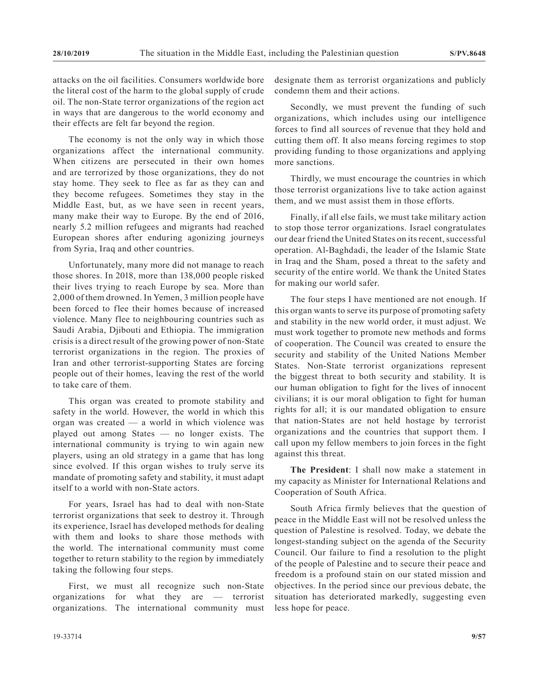attacks on the oil facilities. Consumers worldwide bore the literal cost of the harm to the global supply of crude oil. The non-State terror organizations of the region act in ways that are dangerous to the world economy and their effects are felt far beyond the region.

The economy is not the only way in which those organizations affect the international community. When citizens are persecuted in their own homes and are terrorized by those organizations, they do not stay home. They seek to flee as far as they can and they become refugees. Sometimes they stay in the Middle East, but, as we have seen in recent years, many make their way to Europe. By the end of 2016, nearly 5.2 million refugees and migrants had reached European shores after enduring agonizing journeys from Syria, Iraq and other countries.

Unfortunately, many more did not manage to reach those shores. In 2018, more than 138,000 people risked their lives trying to reach Europe by sea. More than 2,000 of them drowned. In Yemen, 3 million people have been forced to flee their homes because of increased violence. Many flee to neighbouring countries such as Saudi Arabia, Djibouti and Ethiopia. The immigration crisis is a direct result of the growing power of non-State terrorist organizations in the region. The proxies of Iran and other terrorist-supporting States are forcing people out of their homes, leaving the rest of the world to take care of them.

This organ was created to promote stability and safety in the world. However, the world in which this organ was created — a world in which violence was played out among States — no longer exists. The international community is trying to win again new players, using an old strategy in a game that has long since evolved. If this organ wishes to truly serve its mandate of promoting safety and stability, it must adapt itself to a world with non-State actors.

For years, Israel has had to deal with non-State terrorist organizations that seek to destroy it. Through its experience, Israel has developed methods for dealing with them and looks to share those methods with the world. The international community must come together to return stability to the region by immediately taking the following four steps.

First, we must all recognize such non-State organizations for what they are — terrorist organizations. The international community must

designate them as terrorist organizations and publicly condemn them and their actions.

Secondly, we must prevent the funding of such organizations, which includes using our intelligence forces to find all sources of revenue that they hold and cutting them off. It also means forcing regimes to stop providing funding to those organizations and applying more sanctions.

Thirdly, we must encourage the countries in which those terrorist organizations live to take action against them, and we must assist them in those efforts.

Finally, if all else fails, we must take military action to stop those terror organizations. Israel congratulates our dear friend the United States on its recent, successful operation. Al-Baghdadi, the leader of the Islamic State in Iraq and the Sham, posed a threat to the safety and security of the entire world. We thank the United States for making our world safer.

The four steps I have mentioned are not enough. If this organ wants to serve its purpose of promoting safety and stability in the new world order, it must adjust. We must work together to promote new methods and forms of cooperation. The Council was created to ensure the security and stability of the United Nations Member States. Non-State terrorist organizations represent the biggest threat to both security and stability. It is our human obligation to fight for the lives of innocent civilians; it is our moral obligation to fight for human rights for all; it is our mandated obligation to ensure that nation-States are not held hostage by terrorist organizations and the countries that support them. I call upon my fellow members to join forces in the fight against this threat.

**The President**: I shall now make a statement in my capacity as Minister for International Relations and Cooperation of South Africa.

South Africa firmly believes that the question of peace in the Middle East will not be resolved unless the question of Palestine is resolved. Today, we debate the longest-standing subject on the agenda of the Security Council. Our failure to find a resolution to the plight of the people of Palestine and to secure their peace and freedom is a profound stain on our stated mission and objectives. In the period since our previous debate, the situation has deteriorated markedly, suggesting even less hope for peace.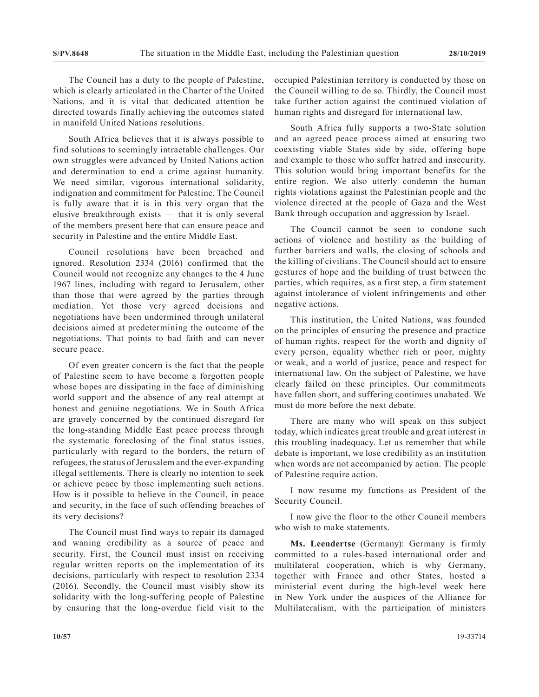The Council has a duty to the people of Palestine, which is clearly articulated in the Charter of the United Nations, and it is vital that dedicated attention be directed towards finally achieving the outcomes stated in manifold United Nations resolutions.

South Africa believes that it is always possible to find solutions to seemingly intractable challenges. Our own struggles were advanced by United Nations action and determination to end a crime against humanity. We need similar, vigorous international solidarity, indignation and commitment for Palestine. The Council is fully aware that it is in this very organ that the elusive breakthrough exists — that it is only several of the members present here that can ensure peace and security in Palestine and the entire Middle East.

Council resolutions have been breached and ignored. Resolution 2334 (2016) confirmed that the Council would not recognize any changes to the 4 June 1967 lines, including with regard to Jerusalem, other than those that were agreed by the parties through mediation. Yet those very agreed decisions and negotiations have been undermined through unilateral decisions aimed at predetermining the outcome of the negotiations. That points to bad faith and can never secure peace.

Of even greater concern is the fact that the people of Palestine seem to have become a forgotten people whose hopes are dissipating in the face of diminishing world support and the absence of any real attempt at honest and genuine negotiations. We in South Africa are gravely concerned by the continued disregard for the long-standing Middle East peace process through the systematic foreclosing of the final status issues, particularly with regard to the borders, the return of refugees, the status of Jerusalem and the ever-expanding illegal settlements. There is clearly no intention to seek or achieve peace by those implementing such actions. How is it possible to believe in the Council, in peace and security, in the face of such offending breaches of its very decisions?

The Council must find ways to repair its damaged and waning credibility as a source of peace and security. First, the Council must insist on receiving regular written reports on the implementation of its decisions, particularly with respect to resolution 2334 (2016). Secondly, the Council must visibly show its solidarity with the long-suffering people of Palestine by ensuring that the long-overdue field visit to the occupied Palestinian territory is conducted by those on the Council willing to do so. Thirdly, the Council must take further action against the continued violation of human rights and disregard for international law.

South Africa fully supports a two-State solution and an agreed peace process aimed at ensuring two coexisting viable States side by side, offering hope and example to those who suffer hatred and insecurity. This solution would bring important benefits for the entire region. We also utterly condemn the human rights violations against the Palestinian people and the violence directed at the people of Gaza and the West Bank through occupation and aggression by Israel.

The Council cannot be seen to condone such actions of violence and hostility as the building of further barriers and walls, the closing of schools and the killing of civilians. The Council should act to ensure gestures of hope and the building of trust between the parties, which requires, as a first step, a firm statement against intolerance of violent infringements and other negative actions.

This institution, the United Nations, was founded on the principles of ensuring the presence and practice of human rights, respect for the worth and dignity of every person, equality whether rich or poor, mighty or weak, and a world of justice, peace and respect for international law. On the subject of Palestine, we have clearly failed on these principles. Our commitments have fallen short, and suffering continues unabated. We must do more before the next debate.

There are many who will speak on this subject today, which indicates great trouble and great interest in this troubling inadequacy. Let us remember that while debate is important, we lose credibility as an institution when words are not accompanied by action. The people of Palestine require action.

I now resume my functions as President of the Security Council.

I now give the floor to the other Council members who wish to make statements.

**Ms. Leendertse** (Germany): Germany is firmly committed to a rules-based international order and multilateral cooperation, which is why Germany, together with France and other States, hosted a ministerial event during the high-level week here in New York under the auspices of the Alliance for Multilateralism, with the participation of ministers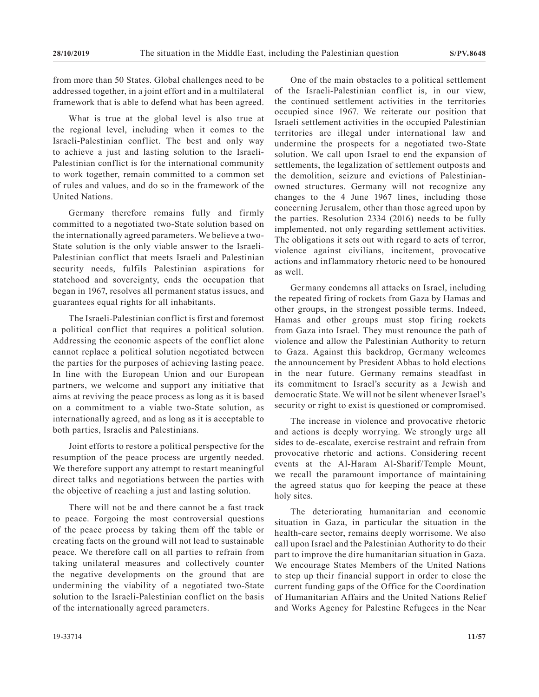from more than 50 States. Global challenges need to be addressed together, in a joint effort and in a multilateral framework that is able to defend what has been agreed.

What is true at the global level is also true at the regional level, including when it comes to the Israeli-Palestinian conflict. The best and only way to achieve a just and lasting solution to the Israeli-Palestinian conflict is for the international community to work together, remain committed to a common set of rules and values, and do so in the framework of the United Nations.

Germany therefore remains fully and firmly committed to a negotiated two-State solution based on the internationally agreed parameters. We believe a two-State solution is the only viable answer to the Israeli-Palestinian conflict that meets Israeli and Palestinian security needs, fulfils Palestinian aspirations for statehood and sovereignty, ends the occupation that began in 1967, resolves all permanent status issues, and guarantees equal rights for all inhabitants.

The Israeli-Palestinian conflict is first and foremost a political conflict that requires a political solution. Addressing the economic aspects of the conflict alone cannot replace a political solution negotiated between the parties for the purposes of achieving lasting peace. In line with the European Union and our European partners, we welcome and support any initiative that aims at reviving the peace process as long as it is based on a commitment to a viable two-State solution, as internationally agreed, and as long as it is acceptable to both parties, Israelis and Palestinians.

Joint efforts to restore a political perspective for the resumption of the peace process are urgently needed. We therefore support any attempt to restart meaningful direct talks and negotiations between the parties with the objective of reaching a just and lasting solution.

There will not be and there cannot be a fast track to peace. Forgoing the most controversial questions of the peace process by taking them off the table or creating facts on the ground will not lead to sustainable peace. We therefore call on all parties to refrain from taking unilateral measures and collectively counter the negative developments on the ground that are undermining the viability of a negotiated two-State solution to the Israeli-Palestinian conflict on the basis of the internationally agreed parameters.

One of the main obstacles to a political settlement of the Israeli-Palestinian conflict is, in our view, the continued settlement activities in the territories occupied since 1967. We reiterate our position that Israeli settlement activities in the occupied Palestinian territories are illegal under international law and undermine the prospects for a negotiated two-State solution. We call upon Israel to end the expansion of settlements, the legalization of settlement outposts and the demolition, seizure and evictions of Palestinianowned structures. Germany will not recognize any changes to the 4 June 1967 lines, including those concerning Jerusalem, other than those agreed upon by the parties. Resolution 2334 (2016) needs to be fully implemented, not only regarding settlement activities. The obligations it sets out with regard to acts of terror, violence against civilians, incitement, provocative actions and inflammatory rhetoric need to be honoured as well.

Germany condemns all attacks on Israel, including the repeated firing of rockets from Gaza by Hamas and other groups, in the strongest possible terms. Indeed, Hamas and other groups must stop firing rockets from Gaza into Israel. They must renounce the path of violence and allow the Palestinian Authority to return to Gaza. Against this backdrop, Germany welcomes the announcement by President Abbas to hold elections in the near future. Germany remains steadfast in its commitment to Israel's security as a Jewish and democratic State. We will not be silent whenever Israel's security or right to exist is questioned or compromised.

The increase in violence and provocative rhetoric and actions is deeply worrying. We strongly urge all sides to de-escalate, exercise restraint and refrain from provocative rhetoric and actions. Considering recent events at the Al-Haram Al-Sharif/Temple Mount, we recall the paramount importance of maintaining the agreed status quo for keeping the peace at these holy sites.

The deteriorating humanitarian and economic situation in Gaza, in particular the situation in the health-care sector, remains deeply worrisome. We also call upon Israel and the Palestinian Authority to do their part to improve the dire humanitarian situation in Gaza. We encourage States Members of the United Nations to step up their financial support in order to close the current funding gaps of the Office for the Coordination of Humanitarian Affairs and the United Nations Relief and Works Agency for Palestine Refugees in the Near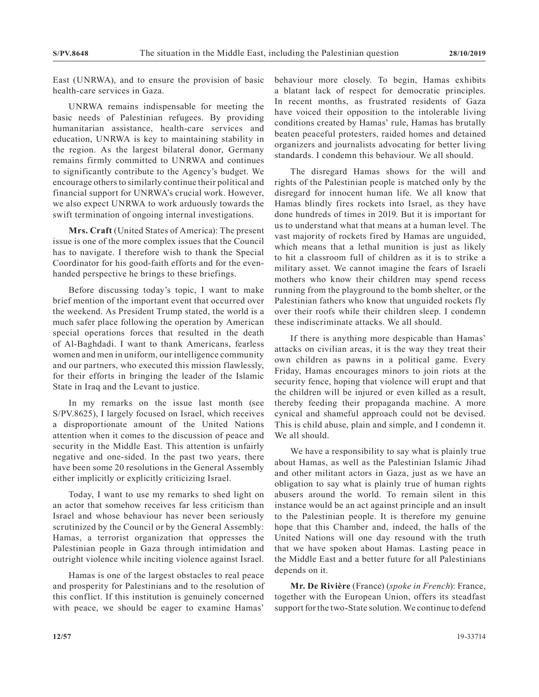East (UNRWA), and to ensure the provision of basic health-care services in Gaza.

UNRWA remains indispensable for meeting the basic needs of Palestinian refugees. By providing humanitarian assistance, health-care services and education, UNRWA is key to maintaining stability in the region. As the largest bilateral donor, Germany remains firmly committed to UNRWA and continues to significantly contribute to the Agency's budget. We encourage others to similarly continue their political and financial support for UNRWA's crucial work. However, we also expect UNRWA to work arduously towards the swift termination of ongoing internal investigations.

**Mrs. Craft** (United States of America): The present issue is one of the more complex issues that the Council has to navigate. I therefore wish to thank the Special Coordinator for his good-faith efforts and for the evenhanded perspective he brings to these briefings.

Before discussing today's topic, I want to make brief mention of the important event that occurred over the weekend. As President Trump stated, the world is a much safer place following the operation by American special operations forces that resulted in the death of Al-Baghdadi. I want to thank Americans, fearless women and men in uniform, our intelligence community and our partners, who executed this mission flawlessly, for their efforts in bringing the leader of the Islamic State in Iraq and the Levant to justice.

In my remarks on the issue last month (see S/PV.8625), I largely focused on Israel, which receives a disproportionate amount of the United Nations attention when it comes to the discussion of peace and security in the Middle East. This attention is unfairly negative and one-sided. In the past two years, there have been some 20 resolutions in the General Assembly either implicitly or explicitly criticizing Israel.

Today, I want to use my remarks to shed light on an actor that somehow receives far less criticism than Israel and whose behaviour has never been seriously scrutinized by the Council or by the General Assembly: Hamas, a terrorist organization that oppresses the Palestinian people in Gaza through intimidation and outright violence while inciting violence against Israel.

Hamas is one of the largest obstacles to real peace and prosperity for Palestinians and to the resolution of this conflict. If this institution is genuinely concerned with peace, we should be eager to examine Hamas'

behaviour more closely. To begin, Hamas exhibits a blatant lack of respect for democratic principles. In recent months, as frustrated residents of Gaza have voiced their opposition to the intolerable living conditions created by Hamas' rule, Hamas has brutally beaten peaceful protesters, raided homes and detained organizers and journalists advocating for better living standards. I condemn this behaviour. We all should.

The disregard Hamas shows for the will and rights of the Palestinian people is matched only by the disregard for innocent human life. We all know that Hamas blindly fires rockets into Israel, as they have done hundreds of times in 2019. But it is important for us to understand what that means at a human level. The vast majority of rockets fired by Hamas are unguided, which means that a lethal munition is just as likely to hit a classroom full of children as it is to strike a military asset. We cannot imagine the fears of Israeli mothers who know their children may spend recess running from the playground to the bomb shelter, or the Palestinian fathers who know that unguided rockets fly over their roofs while their children sleep. I condemn these indiscriminate attacks. We all should.

If there is anything more despicable than Hamas' attacks on civilian areas, it is the way they treat their own children as pawns in a political game. Every Friday, Hamas encourages minors to join riots at the security fence, hoping that violence will erupt and that the children will be injured or even killed as a result, thereby feeding their propaganda machine. A more cynical and shameful approach could not be devised. This is child abuse, plain and simple, and I condemn it. We all should.

We have a responsibility to say what is plainly true about Hamas, as well as the Palestinian Islamic Jihad and other militant actors in Gaza, just as we have an obligation to say what is plainly true of human rights abusers around the world. To remain silent in this instance would be an act against principle and an insult to the Palestinian people. It is therefore my genuine hope that this Chamber and, indeed, the halls of the United Nations will one day resound with the truth that we have spoken about Hamas. Lasting peace in the Middle East and a better future for all Palestinians depends on it.

**Mr. De Rivière** (France) (*spoke in French*): France, together with the European Union, offers its steadfast support for the two-State solution. We continue to defend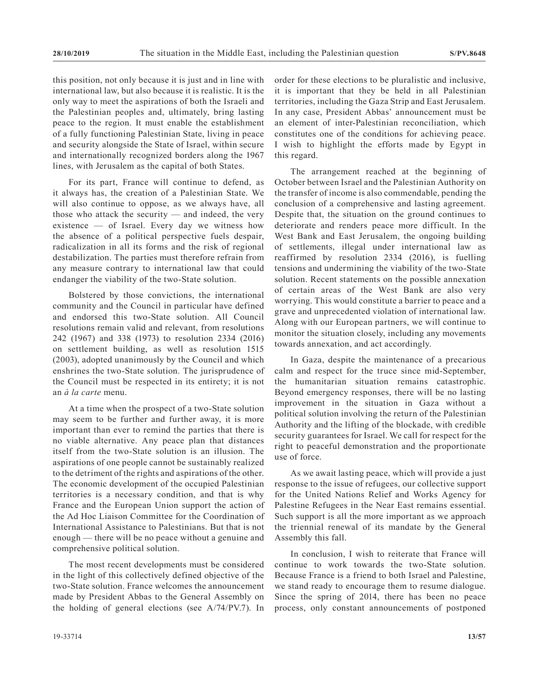this position, not only because it is just and in line with international law, but also because it is realistic. It is the only way to meet the aspirations of both the Israeli and the Palestinian peoples and, ultimately, bring lasting peace to the region. It must enable the establishment of a fully functioning Palestinian State, living in peace and security alongside the State of Israel, within secure and internationally recognized borders along the 1967 lines, with Jerusalem as the capital of both States.

For its part, France will continue to defend, as it always has, the creation of a Palestinian State. We will also continue to oppose, as we always have, all those who attack the security — and indeed, the very existence — of Israel. Every day we witness how the absence of a political perspective fuels despair, radicalization in all its forms and the risk of regional destabilization. The parties must therefore refrain from any measure contrary to international law that could endanger the viability of the two-State solution.

Bolstered by those convictions, the international community and the Council in particular have defined and endorsed this two-State solution. All Council resolutions remain valid and relevant, from resolutions 242 (1967) and 338 (1973) to resolution 2334 (2016) on settlement building, as well as resolution 1515 (2003), adopted unanimously by the Council and which enshrines the two-State solution. The jurisprudence of the Council must be respected in its entirety; it is not an *à la carte* menu.

At a time when the prospect of a two-State solution may seem to be further and further away, it is more important than ever to remind the parties that there is no viable alternative. Any peace plan that distances itself from the two-State solution is an illusion. The aspirations of one people cannot be sustainably realized to the detriment of the rights and aspirations of the other. The economic development of the occupied Palestinian territories is a necessary condition, and that is why France and the European Union support the action of the Ad Hoc Liaison Committee for the Coordination of International Assistance to Palestinians. But that is not enough — there will be no peace without a genuine and comprehensive political solution.

The most recent developments must be considered in the light of this collectively defined objective of the two-State solution. France welcomes the announcement made by President Abbas to the General Assembly on the holding of general elections (see A/74/PV.7). In

order for these elections to be pluralistic and inclusive, it is important that they be held in all Palestinian territories, including the Gaza Strip and East Jerusalem. In any case, President Abbas' announcement must be an element of inter-Palestinian reconciliation, which constitutes one of the conditions for achieving peace. I wish to highlight the efforts made by Egypt in this regard.

The arrangement reached at the beginning of October between Israel and the Palestinian Authority on the transfer of income is also commendable, pending the conclusion of a comprehensive and lasting agreement. Despite that, the situation on the ground continues to deteriorate and renders peace more difficult. In the West Bank and East Jerusalem, the ongoing building of settlements, illegal under international law as reaffirmed by resolution 2334 (2016), is fuelling tensions and undermining the viability of the two-State solution. Recent statements on the possible annexation of certain areas of the West Bank are also very worrying. This would constitute a barrier to peace and a grave and unprecedented violation of international law. Along with our European partners, we will continue to monitor the situation closely, including any movements towards annexation, and act accordingly.

In Gaza, despite the maintenance of a precarious calm and respect for the truce since mid-September, the humanitarian situation remains catastrophic. Beyond emergency responses, there will be no lasting improvement in the situation in Gaza without a political solution involving the return of the Palestinian Authority and the lifting of the blockade, with credible security guarantees for Israel. We call for respect for the right to peaceful demonstration and the proportionate use of force.

As we await lasting peace, which will provide a just response to the issue of refugees, our collective support for the United Nations Relief and Works Agency for Palestine Refugees in the Near East remains essential. Such support is all the more important as we approach the triennial renewal of its mandate by the General Assembly this fall.

In conclusion, I wish to reiterate that France will continue to work towards the two-State solution. Because France is a friend to both Israel and Palestine, we stand ready to encourage them to resume dialogue. Since the spring of 2014, there has been no peace process, only constant announcements of postponed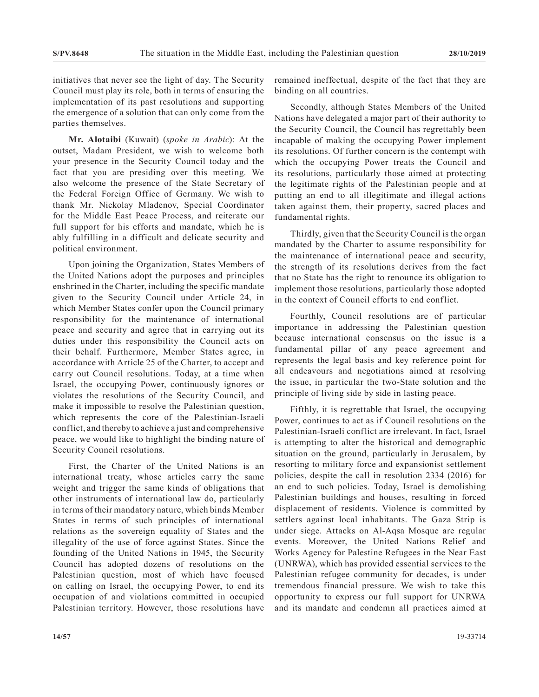initiatives that never see the light of day. The Security Council must play its role, both in terms of ensuring the implementation of its past resolutions and supporting the emergence of a solution that can only come from the parties themselves.

**Mr. Alotaibi** (Kuwait) (*spoke in Arabic*): At the outset, Madam President, we wish to welcome both your presence in the Security Council today and the fact that you are presiding over this meeting. We also welcome the presence of the State Secretary of the Federal Foreign Office of Germany. We wish to thank Mr. Nickolay Mladenov, Special Coordinator for the Middle East Peace Process, and reiterate our full support for his efforts and mandate, which he is ably fulfilling in a difficult and delicate security and political environment.

Upon joining the Organization, States Members of the United Nations adopt the purposes and principles enshrined in the Charter, including the specific mandate given to the Security Council under Article 24, in which Member States confer upon the Council primary responsibility for the maintenance of international peace and security and agree that in carrying out its duties under this responsibility the Council acts on their behalf. Furthermore, Member States agree, in accordance with Article 25 of the Charter, to accept and carry out Council resolutions. Today, at a time when Israel, the occupying Power, continuously ignores or violates the resolutions of the Security Council, and make it impossible to resolve the Palestinian question, which represents the core of the Palestinian-Israeli conflict, and thereby to achieve a just and comprehensive peace, we would like to highlight the binding nature of Security Council resolutions.

First, the Charter of the United Nations is an international treaty, whose articles carry the same weight and trigger the same kinds of obligations that other instruments of international law do, particularly in terms of their mandatory nature, which binds Member States in terms of such principles of international relations as the sovereign equality of States and the illegality of the use of force against States. Since the founding of the United Nations in 1945, the Security Council has adopted dozens of resolutions on the Palestinian question, most of which have focused on calling on Israel, the occupying Power, to end its occupation of and violations committed in occupied Palestinian territory. However, those resolutions have

remained ineffectual, despite of the fact that they are binding on all countries.

Secondly, although States Members of the United Nations have delegated a major part of their authority to the Security Council, the Council has regrettably been incapable of making the occupying Power implement its resolutions. Of further concern is the contempt with which the occupying Power treats the Council and its resolutions, particularly those aimed at protecting the legitimate rights of the Palestinian people and at putting an end to all illegitimate and illegal actions taken against them, their property, sacred places and fundamental rights.

Thirdly, given that the Security Council is the organ mandated by the Charter to assume responsibility for the maintenance of international peace and security, the strength of its resolutions derives from the fact that no State has the right to renounce its obligation to implement those resolutions, particularly those adopted in the context of Council efforts to end conflict.

Fourthly, Council resolutions are of particular importance in addressing the Palestinian question because international consensus on the issue is a fundamental pillar of any peace agreement and represents the legal basis and key reference point for all endeavours and negotiations aimed at resolving the issue, in particular the two-State solution and the principle of living side by side in lasting peace.

Fifthly, it is regrettable that Israel, the occupying Power, continues to act as if Council resolutions on the Palestinian-Israeli conflict are irrelevant. In fact, Israel is attempting to alter the historical and demographic situation on the ground, particularly in Jerusalem, by resorting to military force and expansionist settlement policies, despite the call in resolution 2334 (2016) for an end to such policies. Today, Israel is demolishing Palestinian buildings and houses, resulting in forced displacement of residents. Violence is committed by settlers against local inhabitants. The Gaza Strip is under siege. Attacks on Al-Aqsa Mosque are regular events. Moreover, the United Nations Relief and Works Agency for Palestine Refugees in the Near East (UNRWA), which has provided essential services to the Palestinian refugee community for decades, is under tremendous financial pressure. We wish to take this opportunity to express our full support for UNRWA and its mandate and condemn all practices aimed at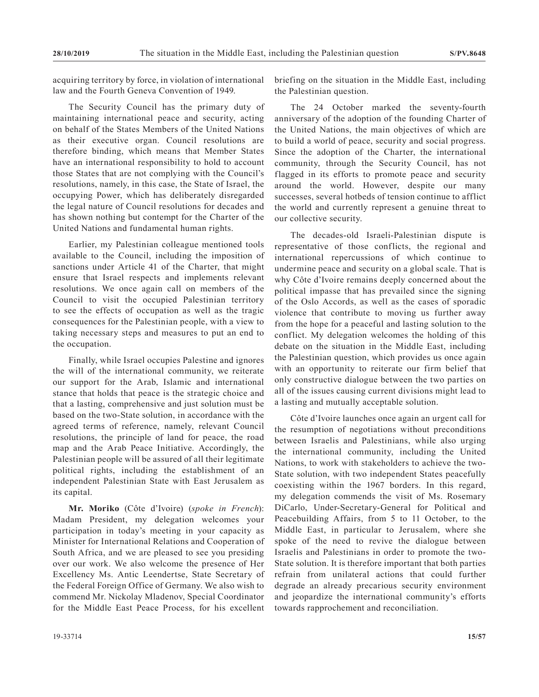acquiring territory by force, in violation of international law and the Fourth Geneva Convention of 1949.

The Security Council has the primary duty of maintaining international peace and security, acting on behalf of the States Members of the United Nations as their executive organ. Council resolutions are therefore binding, which means that Member States have an international responsibility to hold to account those States that are not complying with the Council's resolutions, namely, in this case, the State of Israel, the occupying Power, which has deliberately disregarded the legal nature of Council resolutions for decades and has shown nothing but contempt for the Charter of the United Nations and fundamental human rights.

Earlier, my Palestinian colleague mentioned tools available to the Council, including the imposition of sanctions under Article 41 of the Charter, that might ensure that Israel respects and implements relevant resolutions. We once again call on members of the Council to visit the occupied Palestinian territory to see the effects of occupation as well as the tragic consequences for the Palestinian people, with a view to taking necessary steps and measures to put an end to the occupation.

Finally, while Israel occupies Palestine and ignores the will of the international community, we reiterate our support for the Arab, Islamic and international stance that holds that peace is the strategic choice and that a lasting, comprehensive and just solution must be based on the two-State solution, in accordance with the agreed terms of reference, namely, relevant Council resolutions, the principle of land for peace, the road map and the Arab Peace Initiative. Accordingly, the Palestinian people will be assured of all their legitimate political rights, including the establishment of an independent Palestinian State with East Jerusalem as its capital.

**Mr. Moriko** (Côte d'Ivoire) (*spoke in French*): Madam President, my delegation welcomes your participation in today's meeting in your capacity as Minister for International Relations and Cooperation of South Africa, and we are pleased to see you presiding over our work. We also welcome the presence of Her Excellency Ms. Antic Leendertse, State Secretary of the Federal Foreign Office of Germany. We also wish to commend Mr. Nickolay Mladenov, Special Coordinator for the Middle East Peace Process, for his excellent

briefing on the situation in the Middle East, including the Palestinian question.

The 24 October marked the seventy-fourth anniversary of the adoption of the founding Charter of the United Nations, the main objectives of which are to build a world of peace, security and social progress. Since the adoption of the Charter, the international community, through the Security Council, has not flagged in its efforts to promote peace and security around the world. However, despite our many successes, several hotbeds of tension continue to afflict the world and currently represent a genuine threat to our collective security.

The decades-old Israeli-Palestinian dispute is representative of those conflicts, the regional and international repercussions of which continue to undermine peace and security on a global scale. That is why Côte d'Ivoire remains deeply concerned about the political impasse that has prevailed since the signing of the Oslo Accords, as well as the cases of sporadic violence that contribute to moving us further away from the hope for a peaceful and lasting solution to the conflict. My delegation welcomes the holding of this debate on the situation in the Middle East, including the Palestinian question, which provides us once again with an opportunity to reiterate our firm belief that only constructive dialogue between the two parties on all of the issues causing current divisions might lead to a lasting and mutually acceptable solution.

Côte d'Ivoire launches once again an urgent call for the resumption of negotiations without preconditions between Israelis and Palestinians, while also urging the international community, including the United Nations, to work with stakeholders to achieve the two-State solution, with two independent States peacefully coexisting within the 1967 borders. In this regard, my delegation commends the visit of Ms. Rosemary DiCarlo, Under-Secretary-General for Political and Peacebuilding Affairs, from 5 to 11 October, to the Middle East, in particular to Jerusalem, where she spoke of the need to revive the dialogue between Israelis and Palestinians in order to promote the two-State solution. It is therefore important that both parties refrain from unilateral actions that could further degrade an already precarious security environment and jeopardize the international community's efforts towards rapprochement and reconciliation.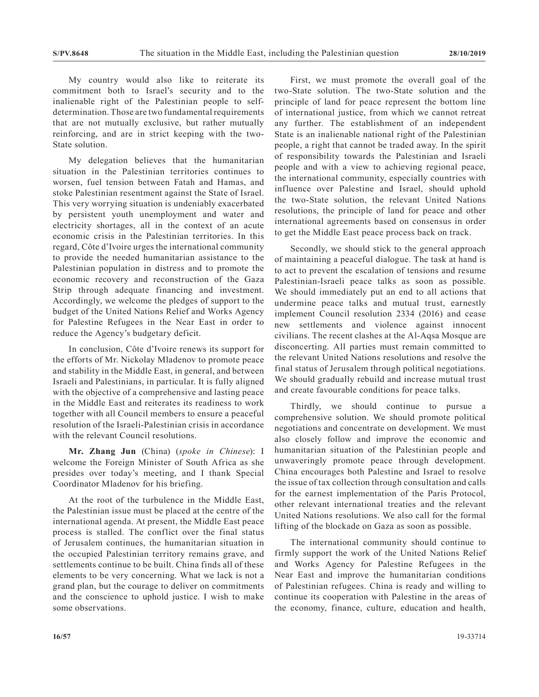My country would also like to reiterate its commitment both to Israel's security and to the inalienable right of the Palestinian people to selfdetermination. Those are two fundamental requirements that are not mutually exclusive, but rather mutually reinforcing, and are in strict keeping with the two-State solution.

My delegation believes that the humanitarian situation in the Palestinian territories continues to worsen, fuel tension between Fatah and Hamas, and stoke Palestinian resentment against the State of Israel. This very worrying situation is undeniably exacerbated by persistent youth unemployment and water and electricity shortages, all in the context of an acute economic crisis in the Palestinian territories. In this regard, Côte d'Ivoire urges the international community to provide the needed humanitarian assistance to the Palestinian population in distress and to promote the economic recovery and reconstruction of the Gaza Strip through adequate financing and investment. Accordingly, we welcome the pledges of support to the budget of the United Nations Relief and Works Agency for Palestine Refugees in the Near East in order to reduce the Agency's budgetary deficit.

In conclusion, Côte d'Ivoire renews its support for the efforts of Mr. Nickolay Mladenov to promote peace and stability in the Middle East, in general, and between Israeli and Palestinians, in particular. It is fully aligned with the objective of a comprehensive and lasting peace in the Middle East and reiterates its readiness to work together with all Council members to ensure a peaceful resolution of the Israeli-Palestinian crisis in accordance with the relevant Council resolutions.

**Mr. Zhang Jun** (China) (*spoke in Chinese*): I welcome the Foreign Minister of South Africa as she presides over today's meeting, and I thank Special Coordinator Mladenov for his briefing.

At the root of the turbulence in the Middle East, the Palestinian issue must be placed at the centre of the international agenda. At present, the Middle East peace process is stalled. The conflict over the final status of Jerusalem continues, the humanitarian situation in the occupied Palestinian territory remains grave, and settlements continue to be built. China finds all of these elements to be very concerning. What we lack is not a grand plan, but the courage to deliver on commitments and the conscience to uphold justice. I wish to make some observations.

First, we must promote the overall goal of the two-State solution. The two-State solution and the principle of land for peace represent the bottom line of international justice, from which we cannot retreat any further. The establishment of an independent State is an inalienable national right of the Palestinian people, a right that cannot be traded away. In the spirit of responsibility towards the Palestinian and Israeli people and with a view to achieving regional peace, the international community, especially countries with influence over Palestine and Israel, should uphold the two-State solution, the relevant United Nations resolutions, the principle of land for peace and other international agreements based on consensus in order to get the Middle East peace process back on track.

Secondly, we should stick to the general approach of maintaining a peaceful dialogue. The task at hand is to act to prevent the escalation of tensions and resume Palestinian-Israeli peace talks as soon as possible. We should immediately put an end to all actions that undermine peace talks and mutual trust, earnestly implement Council resolution 2334 (2016) and cease new settlements and violence against innocent civilians. The recent clashes at the Al-Aqsa Mosque are disconcerting. All parties must remain committed to the relevant United Nations resolutions and resolve the final status of Jerusalem through political negotiations. We should gradually rebuild and increase mutual trust and create favourable conditions for peace talks.

Thirdly, we should continue to pursue a comprehensive solution. We should promote political negotiations and concentrate on development. We must also closely follow and improve the economic and humanitarian situation of the Palestinian people and unwaveringly promote peace through development. China encourages both Palestine and Israel to resolve the issue of tax collection through consultation and calls for the earnest implementation of the Paris Protocol, other relevant international treaties and the relevant United Nations resolutions. We also call for the formal lifting of the blockade on Gaza as soon as possible.

The international community should continue to firmly support the work of the United Nations Relief and Works Agency for Palestine Refugees in the Near East and improve the humanitarian conditions of Palestinian refugees. China is ready and willing to continue its cooperation with Palestine in the areas of the economy, finance, culture, education and health,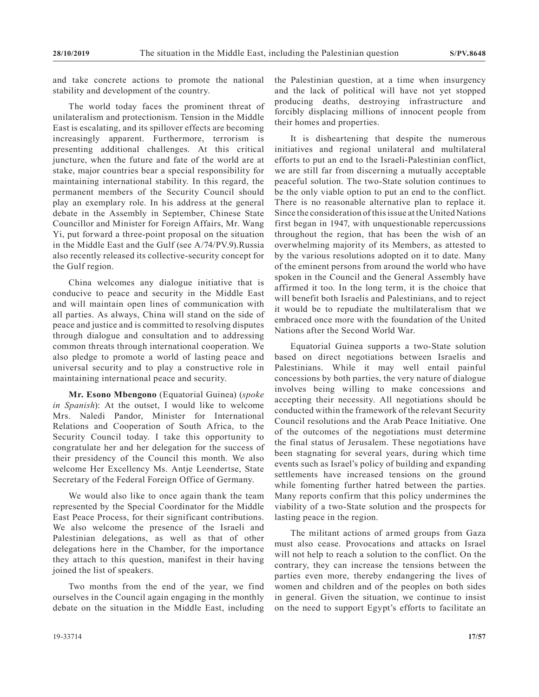and take concrete actions to promote the national stability and development of the country.

The world today faces the prominent threat of unilateralism and protectionism. Tension in the Middle East is escalating, and its spillover effects are becoming increasingly apparent. Furthermore, terrorism is presenting additional challenges. At this critical juncture, when the future and fate of the world are at stake, major countries bear a special responsibility for maintaining international stability. In this regard, the permanent members of the Security Council should play an exemplary role. In his address at the general debate in the Assembly in September, Chinese State Councillor and Minister for Foreign Affairs, Mr. Wang Yi, put forward a three-point proposal on the situation in the Middle East and the Gulf (see A/74/PV.9).Russia also recently released its collective-security concept for the Gulf region.

China welcomes any dialogue initiative that is conducive to peace and security in the Middle East and will maintain open lines of communication with all parties. As always, China will stand on the side of peace and justice and is committed to resolving disputes through dialogue and consultation and to addressing common threats through international cooperation. We also pledge to promote a world of lasting peace and universal security and to play a constructive role in maintaining international peace and security.

**Mr. Esono Mbengono** (Equatorial Guinea) (*spoke in Spanish*): At the outset, I would like to welcome Mrs. Naledi Pandor, Minister for International Relations and Cooperation of South Africa, to the Security Council today. I take this opportunity to congratulate her and her delegation for the success of their presidency of the Council this month. We also welcome Her Excellency Ms. Antje Leendertse, State Secretary of the Federal Foreign Office of Germany.

We would also like to once again thank the team represented by the Special Coordinator for the Middle East Peace Process, for their significant contributions. We also welcome the presence of the Israeli and Palestinian delegations, as well as that of other delegations here in the Chamber, for the importance they attach to this question, manifest in their having joined the list of speakers.

Two months from the end of the year, we find ourselves in the Council again engaging in the monthly debate on the situation in the Middle East, including the Palestinian question, at a time when insurgency and the lack of political will have not yet stopped producing deaths, destroying infrastructure and forcibly displacing millions of innocent people from their homes and properties.

It is disheartening that despite the numerous initiatives and regional unilateral and multilateral efforts to put an end to the Israeli-Palestinian conflict, we are still far from discerning a mutually acceptable peaceful solution. The two-State solution continues to be the only viable option to put an end to the conflict. There is no reasonable alternative plan to replace it. Since the consideration of this issue at the United Nations first began in 1947, with unquestionable repercussions throughout the region, that has been the wish of an overwhelming majority of its Members, as attested to by the various resolutions adopted on it to date. Many of the eminent persons from around the world who have spoken in the Council and the General Assembly have affirmed it too. In the long term, it is the choice that will benefit both Israelis and Palestinians, and to reject it would be to repudiate the multilateralism that we embraced once more with the foundation of the United Nations after the Second World War.

Equatorial Guinea supports a two-State solution based on direct negotiations between Israelis and Palestinians. While it may well entail painful concessions by both parties, the very nature of dialogue involves being willing to make concessions and accepting their necessity. All negotiations should be conducted within the framework of the relevant Security Council resolutions and the Arab Peace Initiative. One of the outcomes of the negotiations must determine the final status of Jerusalem. These negotiations have been stagnating for several years, during which time events such as Israel's policy of building and expanding settlements have increased tensions on the ground while fomenting further hatred between the parties. Many reports confirm that this policy undermines the viability of a two-State solution and the prospects for lasting peace in the region.

The militant actions of armed groups from Gaza must also cease. Provocations and attacks on Israel will not help to reach a solution to the conflict. On the contrary, they can increase the tensions between the parties even more, thereby endangering the lives of women and children and of the peoples on both sides in general. Given the situation, we continue to insist on the need to support Egypt's efforts to facilitate an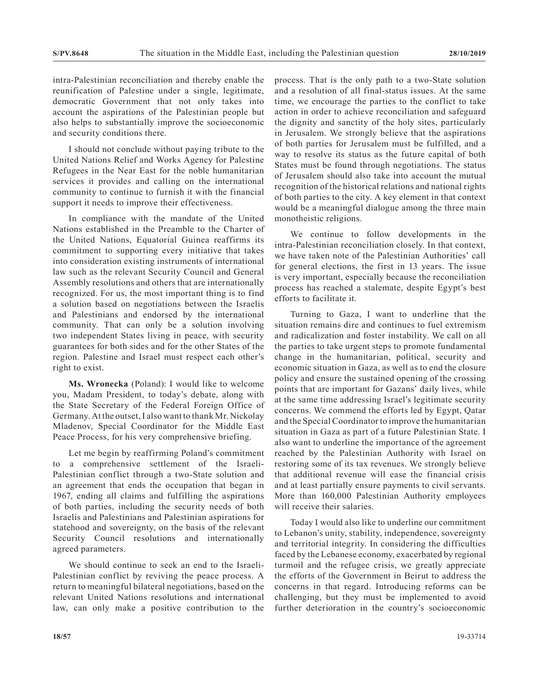intra-Palestinian reconciliation and thereby enable the reunification of Palestine under a single, legitimate, democratic Government that not only takes into account the aspirations of the Palestinian people but also helps to substantially improve the socioeconomic and security conditions there.

I should not conclude without paying tribute to the United Nations Relief and Works Agency for Palestine Refugees in the Near East for the noble humanitarian services it provides and calling on the international community to continue to furnish it with the financial support it needs to improve their effectiveness.

In compliance with the mandate of the United Nations established in the Preamble to the Charter of the United Nations, Equatorial Guinea reaffirms its commitment to supporting every initiative that takes into consideration existing instruments of international law such as the relevant Security Council and General Assembly resolutions and others that are internationally recognized. For us, the most important thing is to find a solution based on negotiations between the Israelis and Palestinians and endorsed by the international community. That can only be a solution involving two independent States living in peace, with security guarantees for both sides and for the other States of the region. Palestine and Israel must respect each other's right to exist.

**Ms. Wronecka** (Poland): I would like to welcome you, Madam President, to today's debate, along with the State Secretary of the Federal Foreign Office of Germany. At the outset, I also want to thank Mr. Nickolay Mladenov, Special Coordinator for the Middle East Peace Process, for his very comprehensive briefing.

Let me begin by reaffirming Poland's commitment to a comprehensive settlement of the Israeli-Palestinian conflict through a two-State solution and an agreement that ends the occupation that began in 1967, ending all claims and fulfilling the aspirations of both parties, including the security needs of both Israelis and Palestinians and Palestinian aspirations for statehood and sovereignty, on the basis of the relevant Security Council resolutions and internationally agreed parameters.

We should continue to seek an end to the Israeli-Palestinian conflict by reviving the peace process. A return to meaningful bilateral negotiations, based on the relevant United Nations resolutions and international law, can only make a positive contribution to the process. That is the only path to a two-State solution and a resolution of all final-status issues. At the same time, we encourage the parties to the conflict to take action in order to achieve reconciliation and safeguard the dignity and sanctity of the holy sites, particularly in Jerusalem. We strongly believe that the aspirations of both parties for Jerusalem must be fulfilled, and a way to resolve its status as the future capital of both States must be found through negotiations. The status of Jerusalem should also take into account the mutual recognition of the historical relations and national rights of both parties to the city. A key element in that context would be a meaningful dialogue among the three main monotheistic religions.

We continue to follow developments in the intra-Palestinian reconciliation closely. In that context, we have taken note of the Palestinian Authorities' call for general elections, the first in 13 years. The issue is very important, especially because the reconciliation process has reached a stalemate, despite Egypt's best efforts to facilitate it.

Turning to Gaza, I want to underline that the situation remains dire and continues to fuel extremism and radicalization and foster instability. We call on all the parties to take urgent steps to promote fundamental change in the humanitarian, political, security and economic situation in Gaza, as well as to end the closure policy and ensure the sustained opening of the crossing points that are important for Gazans' daily lives, while at the same time addressing Israel's legitimate security concerns. We commend the efforts led by Egypt, Qatar and the Special Coordinator to improve the humanitarian situation in Gaza as part of a future Palestinian State. I also want to underline the importance of the agreement reached by the Palestinian Authority with Israel on restoring some of its tax revenues. We strongly believe that additional revenue will ease the financial crisis and at least partially ensure payments to civil servants. More than 160,000 Palestinian Authority employees will receive their salaries.

Today I would also like to underline our commitment to Lebanon's unity, stability, independence, sovereignty and territorial integrity. In considering the difficulties faced by the Lebanese economy, exacerbated by regional turmoil and the refugee crisis, we greatly appreciate the efforts of the Government in Beirut to address the concerns in that regard. Introducing reforms can be challenging, but they must be implemented to avoid further deterioration in the country's socioeconomic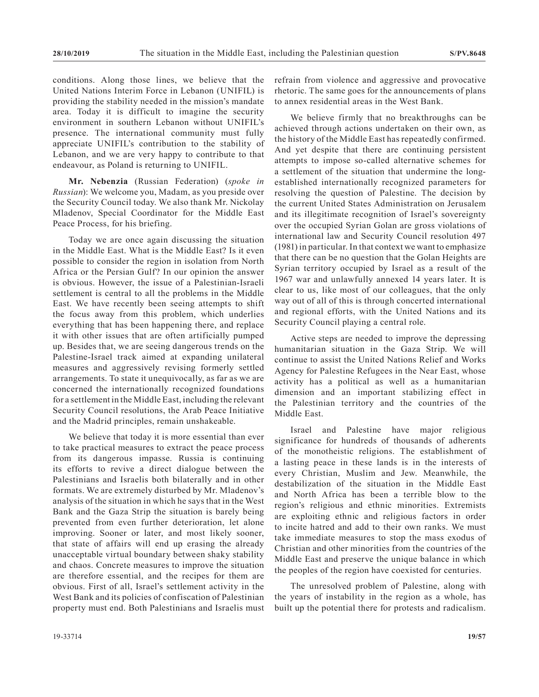conditions. Along those lines, we believe that the United Nations Interim Force in Lebanon (UNIFIL) is providing the stability needed in the mission's mandate area. Today it is difficult to imagine the security environment in southern Lebanon without UNIFIL's presence. The international community must fully appreciate UNIFIL's contribution to the stability of Lebanon, and we are very happy to contribute to that endeavour, as Poland is returning to UNIFIL.

**Mr. Nebenzia** (Russian Federation) (*spoke in Russian*): We welcome you, Madam, as you preside over the Security Council today. We also thank Mr. Nickolay Mladenov, Special Coordinator for the Middle East Peace Process, for his briefing.

Today we are once again discussing the situation in the Middle East. What is the Middle East? Is it even possible to consider the region in isolation from North Africa or the Persian Gulf? In our opinion the answer is obvious. However, the issue of a Palestinian-Israeli settlement is central to all the problems in the Middle East. We have recently been seeing attempts to shift the focus away from this problem, which underlies everything that has been happening there, and replace it with other issues that are often artificially pumped up. Besides that, we are seeing dangerous trends on the Palestine-Israel track aimed at expanding unilateral measures and aggressively revising formerly settled arrangements. To state it unequivocally, as far as we are concerned the internationally recognized foundations for a settlement in the Middle East, including the relevant Security Council resolutions, the Arab Peace Initiative and the Madrid principles, remain unshakeable.

We believe that today it is more essential than ever to take practical measures to extract the peace process from its dangerous impasse. Russia is continuing its efforts to revive a direct dialogue between the Palestinians and Israelis both bilaterally and in other formats. We are extremely disturbed by Mr. Mladenov's analysis of the situation in which he says that in the West Bank and the Gaza Strip the situation is barely being prevented from even further deterioration, let alone improving. Sooner or later, and most likely sooner, that state of affairs will end up erasing the already unacceptable virtual boundary between shaky stability and chaos. Concrete measures to improve the situation are therefore essential, and the recipes for them are obvious. First of all, Israel's settlement activity in the West Bank and its policies of confiscation of Palestinian property must end. Both Palestinians and Israelis must refrain from violence and aggressive and provocative rhetoric. The same goes for the announcements of plans to annex residential areas in the West Bank.

We believe firmly that no breakthroughs can be achieved through actions undertaken on their own, as the history of the Middle East has repeatedly confirmed. And yet despite that there are continuing persistent attempts to impose so-called alternative schemes for a settlement of the situation that undermine the longestablished internationally recognized parameters for resolving the question of Palestine. The decision by the current United States Administration on Jerusalem and its illegitimate recognition of Israel's sovereignty over the occupied Syrian Golan are gross violations of international law and Security Council resolution 497 (1981) in particular. In that context we want to emphasize that there can be no question that the Golan Heights are Syrian territory occupied by Israel as a result of the 1967 war and unlawfully annexed 14 years later. It is clear to us, like most of our colleagues, that the only way out of all of this is through concerted international and regional efforts, with the United Nations and its Security Council playing a central role.

Active steps are needed to improve the depressing humanitarian situation in the Gaza Strip. We will continue to assist the United Nations Relief and Works Agency for Palestine Refugees in the Near East, whose activity has a political as well as a humanitarian dimension and an important stabilizing effect in the Palestinian territory and the countries of the Middle East.

Israel and Palestine have major religious significance for hundreds of thousands of adherents of the monotheistic religions. The establishment of a lasting peace in these lands is in the interests of every Christian, Muslim and Jew. Meanwhile, the destabilization of the situation in the Middle East and North Africa has been a terrible blow to the region's religious and ethnic minorities. Extremists are exploiting ethnic and religious factors in order to incite hatred and add to their own ranks. We must take immediate measures to stop the mass exodus of Christian and other minorities from the countries of the Middle East and preserve the unique balance in which the peoples of the region have coexisted for centuries.

The unresolved problem of Palestine, along with the years of instability in the region as a whole, has built up the potential there for protests and radicalism.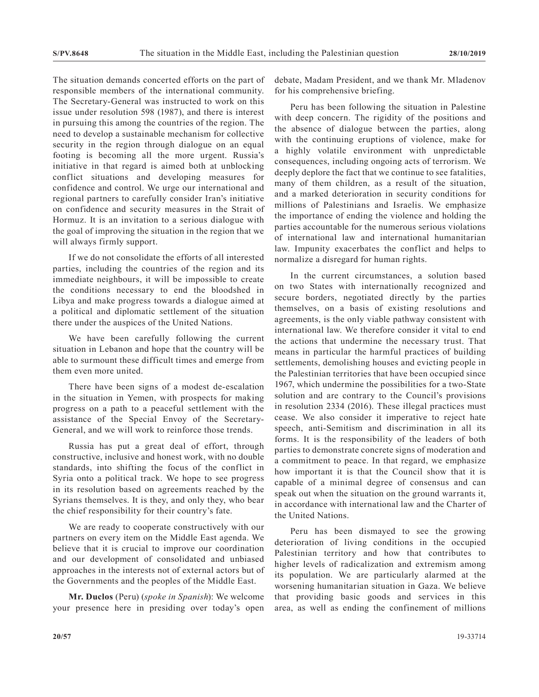The situation demands concerted efforts on the part of responsible members of the international community. The Secretary-General was instructed to work on this issue under resolution 598 (1987), and there is interest in pursuing this among the countries of the region. The need to develop a sustainable mechanism for collective security in the region through dialogue on an equal footing is becoming all the more urgent. Russia's initiative in that regard is aimed both at unblocking conflict situations and developing measures for confidence and control. We urge our international and regional partners to carefully consider Iran's initiative on confidence and security measures in the Strait of Hormuz. It is an invitation to a serious dialogue with the goal of improving the situation in the region that we will always firmly support.

If we do not consolidate the efforts of all interested parties, including the countries of the region and its immediate neighbours, it will be impossible to create the conditions necessary to end the bloodshed in Libya and make progress towards a dialogue aimed at a political and diplomatic settlement of the situation there under the auspices of the United Nations.

We have been carefully following the current situation in Lebanon and hope that the country will be able to surmount these difficult times and emerge from them even more united.

There have been signs of a modest de-escalation in the situation in Yemen, with prospects for making progress on a path to a peaceful settlement with the assistance of the Special Envoy of the Secretary-General, and we will work to reinforce those trends.

Russia has put a great deal of effort, through constructive, inclusive and honest work, with no double standards, into shifting the focus of the conflict in Syria onto a political track. We hope to see progress in its resolution based on agreements reached by the Syrians themselves. It is they, and only they, who bear the chief responsibility for their country's fate.

We are ready to cooperate constructively with our partners on every item on the Middle East agenda. We believe that it is crucial to improve our coordination and our development of consolidated and unbiased approaches in the interests not of external actors but of the Governments and the peoples of the Middle East.

**Mr. Duclos** (Peru) (*spoke in Spanish*): We welcome your presence here in presiding over today's open debate, Madam President, and we thank Mr. Mladenov for his comprehensive briefing.

Peru has been following the situation in Palestine with deep concern. The rigidity of the positions and the absence of dialogue between the parties, along with the continuing eruptions of violence, make for a highly volatile environment with unpredictable consequences, including ongoing acts of terrorism. We deeply deplore the fact that we continue to see fatalities, many of them children, as a result of the situation, and a marked deterioration in security conditions for millions of Palestinians and Israelis. We emphasize the importance of ending the violence and holding the parties accountable for the numerous serious violations of international law and international humanitarian law. Impunity exacerbates the conflict and helps to normalize a disregard for human rights.

In the current circumstances, a solution based on two States with internationally recognized and secure borders, negotiated directly by the parties themselves, on a basis of existing resolutions and agreements, is the only viable pathway consistent with international law. We therefore consider it vital to end the actions that undermine the necessary trust. That means in particular the harmful practices of building settlements, demolishing houses and evicting people in the Palestinian territories that have been occupied since 1967, which undermine the possibilities for a two-State solution and are contrary to the Council's provisions in resolution 2334 (2016). These illegal practices must cease. We also consider it imperative to reject hate speech, anti-Semitism and discrimination in all its forms. It is the responsibility of the leaders of both parties to demonstrate concrete signs of moderation and a commitment to peace. In that regard, we emphasize how important it is that the Council show that it is capable of a minimal degree of consensus and can speak out when the situation on the ground warrants it, in accordance with international law and the Charter of the United Nations.

Peru has been dismayed to see the growing deterioration of living conditions in the occupied Palestinian territory and how that contributes to higher levels of radicalization and extremism among its population. We are particularly alarmed at the worsening humanitarian situation in Gaza. We believe that providing basic goods and services in this area, as well as ending the confinement of millions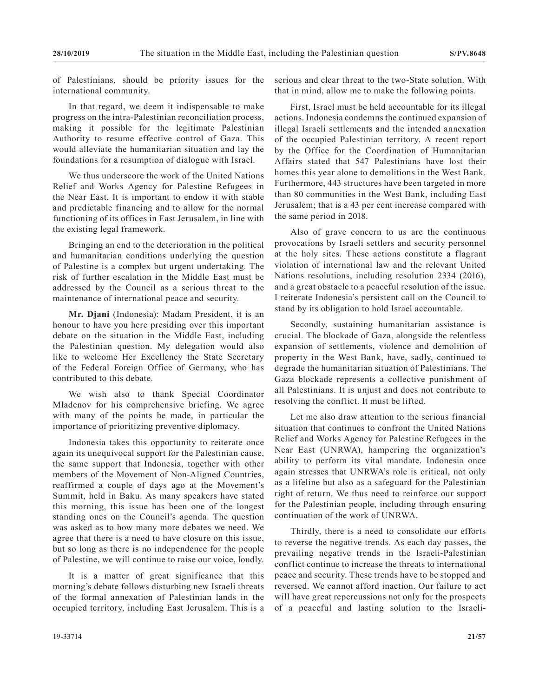of Palestinians, should be priority issues for the international community.

In that regard, we deem it indispensable to make progress on the intra-Palestinian reconciliation process, making it possible for the legitimate Palestinian Authority to resume effective control of Gaza. This would alleviate the humanitarian situation and lay the foundations for a resumption of dialogue with Israel.

We thus underscore the work of the United Nations Relief and Works Agency for Palestine Refugees in the Near East. It is important to endow it with stable and predictable financing and to allow for the normal functioning of its offices in East Jerusalem, in line with the existing legal framework.

Bringing an end to the deterioration in the political and humanitarian conditions underlying the question of Palestine is a complex but urgent undertaking. The risk of further escalation in the Middle East must be addressed by the Council as a serious threat to the maintenance of international peace and security.

**Mr. Djani** (Indonesia): Madam President, it is an honour to have you here presiding over this important debate on the situation in the Middle East, including the Palestinian question. My delegation would also like to welcome Her Excellency the State Secretary of the Federal Foreign Office of Germany, who has contributed to this debate.

We wish also to thank Special Coordinator Mladenov for his comprehensive briefing. We agree with many of the points he made, in particular the importance of prioritizing preventive diplomacy.

Indonesia takes this opportunity to reiterate once again its unequivocal support for the Palestinian cause, the same support that Indonesia, together with other members of the Movement of Non-Aligned Countries, reaffirmed a couple of days ago at the Movement's Summit, held in Baku. As many speakers have stated this morning, this issue has been one of the longest standing ones on the Council's agenda. The question was asked as to how many more debates we need. We agree that there is a need to have closure on this issue, but so long as there is no independence for the people of Palestine, we will continue to raise our voice, loudly.

It is a matter of great significance that this morning's debate follows disturbing new Israeli threats of the formal annexation of Palestinian lands in the occupied territory, including East Jerusalem. This is a serious and clear threat to the two-State solution. With that in mind, allow me to make the following points.

First, Israel must be held accountable for its illegal actions. Indonesia condemns the continued expansion of illegal Israeli settlements and the intended annexation of the occupied Palestinian territory. A recent report by the Office for the Coordination of Humanitarian Affairs stated that 547 Palestinians have lost their homes this year alone to demolitions in the West Bank. Furthermore, 443 structures have been targeted in more than 80 communities in the West Bank, including East Jerusalem; that is a 43 per cent increase compared with the same period in 2018.

Also of grave concern to us are the continuous provocations by Israeli settlers and security personnel at the holy sites. These actions constitute a flagrant violation of international law and the relevant United Nations resolutions, including resolution 2334 (2016), and a great obstacle to a peaceful resolution of the issue. I reiterate Indonesia's persistent call on the Council to stand by its obligation to hold Israel accountable.

Secondly, sustaining humanitarian assistance is crucial. The blockade of Gaza, alongside the relentless expansion of settlements, violence and demolition of property in the West Bank, have, sadly, continued to degrade the humanitarian situation of Palestinians. The Gaza blockade represents a collective punishment of all Palestinians. It is unjust and does not contribute to resolving the conflict. It must be lifted.

Let me also draw attention to the serious financial situation that continues to confront the United Nations Relief and Works Agency for Palestine Refugees in the Near East (UNRWA), hampering the organization's ability to perform its vital mandate. Indonesia once again stresses that UNRWA's role is critical, not only as a lifeline but also as a safeguard for the Palestinian right of return. We thus need to reinforce our support for the Palestinian people, including through ensuring continuation of the work of UNRWA.

Thirdly, there is a need to consolidate our efforts to reverse the negative trends. As each day passes, the prevailing negative trends in the Israeli-Palestinian conflict continue to increase the threats to international peace and security. These trends have to be stopped and reversed. We cannot afford inaction. Our failure to act will have great repercussions not only for the prospects of a peaceful and lasting solution to the Israeli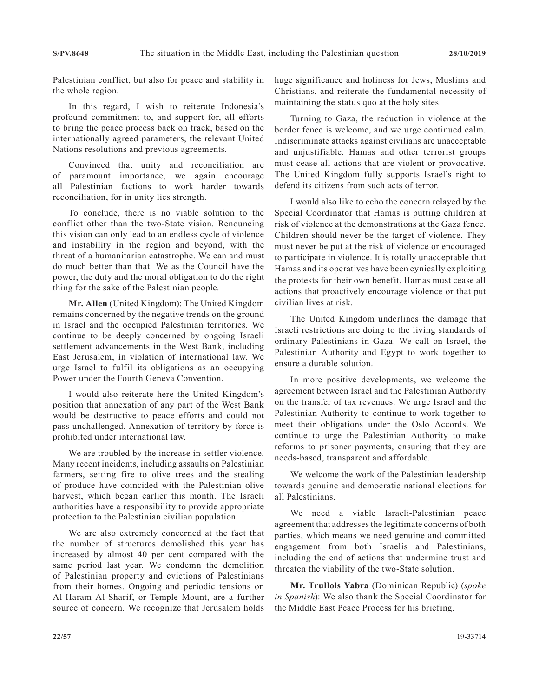Palestinian conflict, but also for peace and stability in the whole region.

In this regard, I wish to reiterate Indonesia's profound commitment to, and support for, all efforts to bring the peace process back on track, based on the internationally agreed parameters, the relevant United Nations resolutions and previous agreements.

Convinced that unity and reconciliation are of paramount importance, we again encourage all Palestinian factions to work harder towards reconciliation, for in unity lies strength.

To conclude, there is no viable solution to the conflict other than the two-State vision. Renouncing this vision can only lead to an endless cycle of violence and instability in the region and beyond, with the threat of a humanitarian catastrophe. We can and must do much better than that. We as the Council have the power, the duty and the moral obligation to do the right thing for the sake of the Palestinian people.

**Mr. Allen** (United Kingdom): The United Kingdom remains concerned by the negative trends on the ground in Israel and the occupied Palestinian territories. We continue to be deeply concerned by ongoing Israeli settlement advancements in the West Bank, including East Jerusalem, in violation of international law. We urge Israel to fulfil its obligations as an occupying Power under the Fourth Geneva Convention.

I would also reiterate here the United Kingdom's position that annexation of any part of the West Bank would be destructive to peace efforts and could not pass unchallenged. Annexation of territory by force is prohibited under international law.

We are troubled by the increase in settler violence. Many recent incidents, including assaults on Palestinian farmers, setting fire to olive trees and the stealing of produce have coincided with the Palestinian olive harvest, which began earlier this month. The Israeli authorities have a responsibility to provide appropriate protection to the Palestinian civilian population.

We are also extremely concerned at the fact that the number of structures demolished this year has increased by almost 40 per cent compared with the same period last year. We condemn the demolition of Palestinian property and evictions of Palestinians from their homes. Ongoing and periodic tensions on Al-Haram Al-Sharif, or Temple Mount, are a further source of concern. We recognize that Jerusalem holds

huge significance and holiness for Jews, Muslims and Christians, and reiterate the fundamental necessity of maintaining the status quo at the holy sites.

Turning to Gaza, the reduction in violence at the border fence is welcome, and we urge continued calm. Indiscriminate attacks against civilians are unacceptable and unjustifiable. Hamas and other terrorist groups must cease all actions that are violent or provocative. The United Kingdom fully supports Israel's right to defend its citizens from such acts of terror.

I would also like to echo the concern relayed by the Special Coordinator that Hamas is putting children at risk of violence at the demonstrations at the Gaza fence. Children should never be the target of violence. They must never be put at the risk of violence or encouraged to participate in violence. It is totally unacceptable that Hamas and its operatives have been cynically exploiting the protests for their own benefit. Hamas must cease all actions that proactively encourage violence or that put civilian lives at risk.

The United Kingdom underlines the damage that Israeli restrictions are doing to the living standards of ordinary Palestinians in Gaza. We call on Israel, the Palestinian Authority and Egypt to work together to ensure a durable solution.

In more positive developments, we welcome the agreement between Israel and the Palestinian Authority on the transfer of tax revenues. We urge Israel and the Palestinian Authority to continue to work together to meet their obligations under the Oslo Accords. We continue to urge the Palestinian Authority to make reforms to prisoner payments, ensuring that they are needs-based, transparent and affordable.

We welcome the work of the Palestinian leadership towards genuine and democratic national elections for all Palestinians.

We need a viable Israeli-Palestinian peace agreement that addresses the legitimate concerns of both parties, which means we need genuine and committed engagement from both Israelis and Palestinians, including the end of actions that undermine trust and threaten the viability of the two-State solution.

**Mr. Trullols Yabra** (Dominican Republic) (*spoke in Spanish*): We also thank the Special Coordinator for the Middle East Peace Process for his briefing.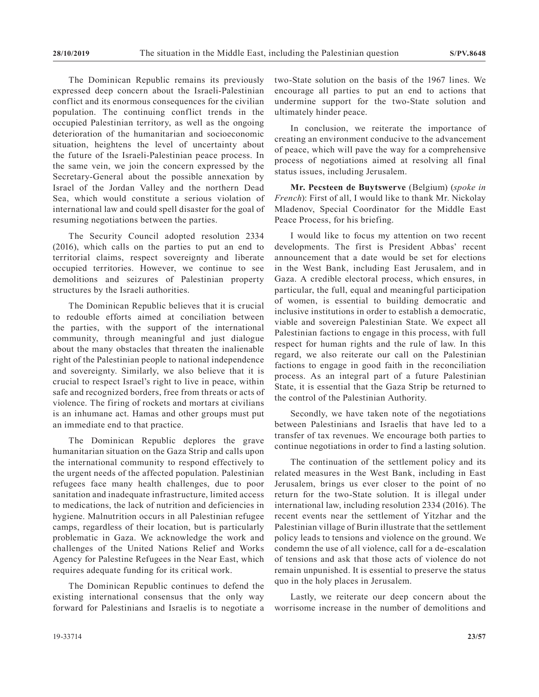The Dominican Republic remains its previously expressed deep concern about the Israeli-Palestinian conflict and its enormous consequences for the civilian population. The continuing conflict trends in the occupied Palestinian territory, as well as the ongoing deterioration of the humanitarian and socioeconomic situation, heightens the level of uncertainty about the future of the Israeli-Palestinian peace process. In the same vein, we join the concern expressed by the Secretary-General about the possible annexation by Israel of the Jordan Valley and the northern Dead Sea, which would constitute a serious violation of international law and could spell disaster for the goal of resuming negotiations between the parties.

The Security Council adopted resolution 2334 (2016), which calls on the parties to put an end to territorial claims, respect sovereignty and liberate occupied territories. However, we continue to see demolitions and seizures of Palestinian property structures by the Israeli authorities.

The Dominican Republic believes that it is crucial to redouble efforts aimed at conciliation between the parties, with the support of the international community, through meaningful and just dialogue about the many obstacles that threaten the inalienable right of the Palestinian people to national independence and sovereignty. Similarly, we also believe that it is crucial to respect Israel's right to live in peace, within safe and recognized borders, free from threats or acts of violence. The firing of rockets and mortars at civilians is an inhumane act. Hamas and other groups must put an immediate end to that practice.

The Dominican Republic deplores the grave humanitarian situation on the Gaza Strip and calls upon the international community to respond effectively to the urgent needs of the affected population. Palestinian refugees face many health challenges, due to poor sanitation and inadequate infrastructure, limited access to medications, the lack of nutrition and deficiencies in hygiene. Malnutrition occurs in all Palestinian refugee camps, regardless of their location, but is particularly problematic in Gaza. We acknowledge the work and challenges of the United Nations Relief and Works Agency for Palestine Refugees in the Near East, which requires adequate funding for its critical work.

The Dominican Republic continues to defend the existing international consensus that the only way forward for Palestinians and Israelis is to negotiate a two-State solution on the basis of the 1967 lines. We encourage all parties to put an end to actions that undermine support for the two-State solution and ultimately hinder peace.

In conclusion, we reiterate the importance of creating an environment conducive to the advancement of peace, which will pave the way for a comprehensive process of negotiations aimed at resolving all final status issues, including Jerusalem.

**Mr. Pecsteen de Buytswerve** (Belgium) (*spoke in French*): First of all, I would like to thank Mr. Nickolay Mladenov, Special Coordinator for the Middle East Peace Process, for his briefing.

I would like to focus my attention on two recent developments. The first is President Abbas' recent announcement that a date would be set for elections in the West Bank, including East Jerusalem, and in Gaza. A credible electoral process, which ensures, in particular, the full, equal and meaningful participation of women, is essential to building democratic and inclusive institutions in order to establish a democratic, viable and sovereign Palestinian State. We expect all Palestinian factions to engage in this process, with full respect for human rights and the rule of law. In this regard, we also reiterate our call on the Palestinian factions to engage in good faith in the reconciliation process. As an integral part of a future Palestinian State, it is essential that the Gaza Strip be returned to the control of the Palestinian Authority.

Secondly, we have taken note of the negotiations between Palestinians and Israelis that have led to a transfer of tax revenues. We encourage both parties to continue negotiations in order to find a lasting solution.

The continuation of the settlement policy and its related measures in the West Bank, including in East Jerusalem, brings us ever closer to the point of no return for the two-State solution. It is illegal under international law, including resolution 2334 (2016). The recent events near the settlement of Yitzhar and the Palestinian village of Burin illustrate that the settlement policy leads to tensions and violence on the ground. We condemn the use of all violence, call for a de-escalation of tensions and ask that those acts of violence do not remain unpunished. It is essential to preserve the status quo in the holy places in Jerusalem.

Lastly, we reiterate our deep concern about the worrisome increase in the number of demolitions and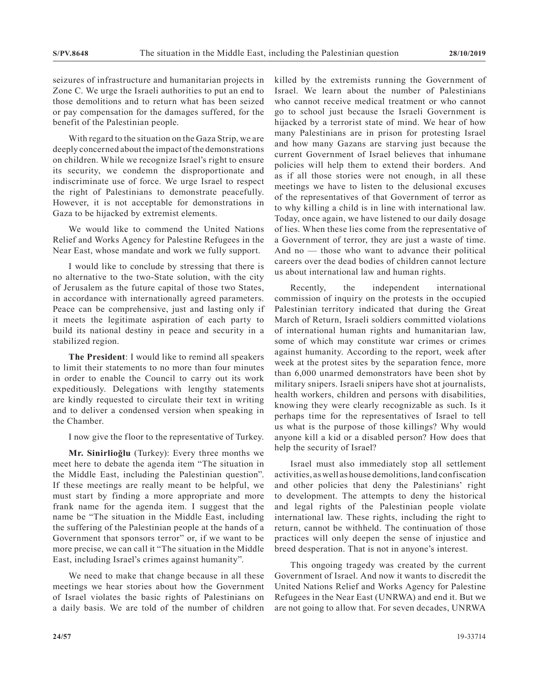seizures of infrastructure and humanitarian projects in Zone C. We urge the Israeli authorities to put an end to those demolitions and to return what has been seized or pay compensation for the damages suffered, for the benefit of the Palestinian people.

With regard to the situation on the Gaza Strip, we are deeply concerned about the impact of the demonstrations on children. While we recognize Israel's right to ensure its security, we condemn the disproportionate and indiscriminate use of force. We urge Israel to respect the right of Palestinians to demonstrate peacefully. However, it is not acceptable for demonstrations in Gaza to be hijacked by extremist elements.

We would like to commend the United Nations Relief and Works Agency for Palestine Refugees in the Near East, whose mandate and work we fully support.

I would like to conclude by stressing that there is no alternative to the two-State solution, with the city of Jerusalem as the future capital of those two States, in accordance with internationally agreed parameters. Peace can be comprehensive, just and lasting only if it meets the legitimate aspiration of each party to build its national destiny in peace and security in a stabilized region.

**The President**: I would like to remind all speakers to limit their statements to no more than four minutes in order to enable the Council to carry out its work expeditiously. Delegations with lengthy statements are kindly requested to circulate their text in writing and to deliver a condensed version when speaking in the Chamber.

I now give the floor to the representative of Turkey.

**Mr. Sinirlioğlu** (Turkey): Every three months we meet here to debate the agenda item "The situation in the Middle East, including the Palestinian question". If these meetings are really meant to be helpful, we must start by finding a more appropriate and more frank name for the agenda item. I suggest that the name be "The situation in the Middle East, including the suffering of the Palestinian people at the hands of a Government that sponsors terror" or, if we want to be more precise, we can call it "The situation in the Middle East, including Israel's crimes against humanity".

We need to make that change because in all these meetings we hear stories about how the Government of Israel violates the basic rights of Palestinians on a daily basis. We are told of the number of children killed by the extremists running the Government of Israel. We learn about the number of Palestinians who cannot receive medical treatment or who cannot go to school just because the Israeli Government is hijacked by a terrorist state of mind. We hear of how many Palestinians are in prison for protesting Israel and how many Gazans are starving just because the current Government of Israel believes that inhumane policies will help them to extend their borders. And as if all those stories were not enough, in all these meetings we have to listen to the delusional excuses of the representatives of that Government of terror as to why killing a child is in line with international law. Today, once again, we have listened to our daily dosage of lies. When these lies come from the representative of a Government of terror, they are just a waste of time. And no — those who want to advance their political careers over the dead bodies of children cannot lecture us about international law and human rights.

Recently, the independent international commission of inquiry on the protests in the occupied Palestinian territory indicated that during the Great March of Return, Israeli soldiers committed violations of international human rights and humanitarian law, some of which may constitute war crimes or crimes against humanity. According to the report, week after week at the protest sites by the separation fence, more than 6,000 unarmed demonstrators have been shot by military snipers. Israeli snipers have shot at journalists, health workers, children and persons with disabilities, knowing they were clearly recognizable as such. Is it perhaps time for the representatives of Israel to tell us what is the purpose of those killings? Why would anyone kill a kid or a disabled person? How does that help the security of Israel?

Israel must also immediately stop all settlement activities, as well as house demolitions, land confiscation and other policies that deny the Palestinians' right to development. The attempts to deny the historical and legal rights of the Palestinian people violate international law. These rights, including the right to return, cannot be withheld. The continuation of those practices will only deepen the sense of injustice and breed desperation. That is not in anyone's interest.

This ongoing tragedy was created by the current Government of Israel. And now it wants to discredit the United Nations Relief and Works Agency for Palestine Refugees in the Near East (UNRWA) and end it. But we are not going to allow that. For seven decades, UNRWA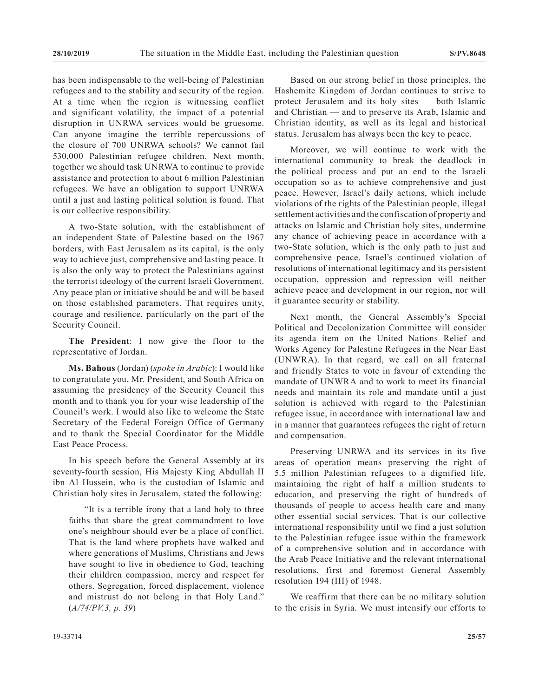has been indispensable to the well-being of Palestinian refugees and to the stability and security of the region. At a time when the region is witnessing conflict and significant volatility, the impact of a potential disruption in UNRWA services would be gruesome. Can anyone imagine the terrible repercussions of the closure of 700 UNRWA schools? We cannot fail 530,000 Palestinian refugee children. Next month, together we should task UNRWA to continue to provide assistance and protection to about 6 million Palestinian refugees. We have an obligation to support UNRWA until a just and lasting political solution is found. That is our collective responsibility.

A two-State solution, with the establishment of an independent State of Palestine based on the 1967 borders, with East Jerusalem as its capital, is the only way to achieve just, comprehensive and lasting peace. It is also the only way to protect the Palestinians against the terrorist ideology of the current Israeli Government. Any peace plan or initiative should be and will be based on those established parameters. That requires unity, courage and resilience, particularly on the part of the Security Council.

**The President**: I now give the floor to the representative of Jordan.

**Ms. Bahous** (Jordan) (*spoke in Arabic*): I would like to congratulate you, Mr. President, and South Africa on assuming the presidency of the Security Council this month and to thank you for your wise leadership of the Council's work. I would also like to welcome the State Secretary of the Federal Foreign Office of Germany and to thank the Special Coordinator for the Middle East Peace Process.

In his speech before the General Assembly at its seventy-fourth session, His Majesty King Abdullah II ibn Al Hussein, who is the custodian of Islamic and Christian holy sites in Jerusalem, stated the following:

"It is a terrible irony that a land holy to three faiths that share the great commandment to love one's neighbour should ever be a place of conflict. That is the land where prophets have walked and where generations of Muslims, Christians and Jews have sought to live in obedience to God, teaching their children compassion, mercy and respect for others. Segregation, forced displacement, violence and mistrust do not belong in that Holy Land." (*A/74/PV.3, p. 39*)

Based on our strong belief in those principles, the Hashemite Kingdom of Jordan continues to strive to protect Jerusalem and its holy sites — both Islamic and Christian — and to preserve its Arab, Islamic and Christian identity, as well as its legal and historical status. Jerusalem has always been the key to peace.

Moreover, we will continue to work with the international community to break the deadlock in the political process and put an end to the Israeli occupation so as to achieve comprehensive and just peace. However, Israel's daily actions, which include violations of the rights of the Palestinian people, illegal settlement activities and the confiscation of property and attacks on Islamic and Christian holy sites, undermine any chance of achieving peace in accordance with a two-State solution, which is the only path to just and comprehensive peace. Israel's continued violation of resolutions of international legitimacy and its persistent occupation, oppression and repression will neither achieve peace and development in our region, nor will it guarantee security or stability.

Next month, the General Assembly's Special Political and Decolonization Committee will consider its agenda item on the United Nations Relief and Works Agency for Palestine Refugees in the Near East (UNWRA). In that regard, we call on all fraternal and friendly States to vote in favour of extending the mandate of UNWRA and to work to meet its financial needs and maintain its role and mandate until a just solution is achieved with regard to the Palestinian refugee issue, in accordance with international law and in a manner that guarantees refugees the right of return and compensation.

Preserving UNRWA and its services in its five areas of operation means preserving the right of 5.5 million Palestinian refugees to a dignified life, maintaining the right of half a million students to education, and preserving the right of hundreds of thousands of people to access health care and many other essential social services. That is our collective international responsibility until we find a just solution to the Palestinian refugee issue within the framework of a comprehensive solution and in accordance with the Arab Peace Initiative and the relevant international resolutions, first and foremost General Assembly resolution 194 (III) of 1948.

We reaffirm that there can be no military solution to the crisis in Syria. We must intensify our efforts to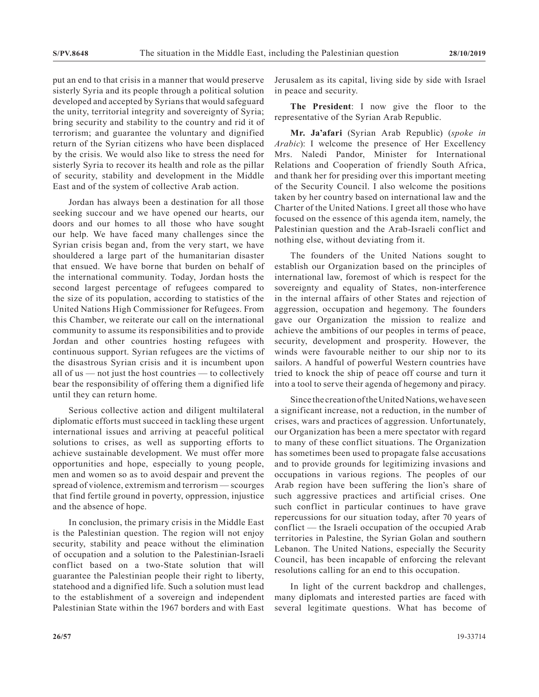put an end to that crisis in a manner that would preserve sisterly Syria and its people through a political solution developed and accepted by Syrians that would safeguard the unity, territorial integrity and sovereignty of Syria; bring security and stability to the country and rid it of terrorism; and guarantee the voluntary and dignified return of the Syrian citizens who have been displaced by the crisis. We would also like to stress the need for sisterly Syria to recover its health and role as the pillar of security, stability and development in the Middle East and of the system of collective Arab action.

Jordan has always been a destination for all those seeking succour and we have opened our hearts, our doors and our homes to all those who have sought our help. We have faced many challenges since the Syrian crisis began and, from the very start, we have shouldered a large part of the humanitarian disaster that ensued. We have borne that burden on behalf of the international community. Today, Jordan hosts the second largest percentage of refugees compared to the size of its population, according to statistics of the United Nations High Commissioner for Refugees. From this Chamber, we reiterate our call on the international community to assume its responsibilities and to provide Jordan and other countries hosting refugees with continuous support. Syrian refugees are the victims of the disastrous Syrian crisis and it is incumbent upon all of us — not just the host countries — to collectively bear the responsibility of offering them a dignified life until they can return home.

Serious collective action and diligent multilateral diplomatic efforts must succeed in tackling these urgent international issues and arriving at peaceful political solutions to crises, as well as supporting efforts to achieve sustainable development. We must offer more opportunities and hope, especially to young people, men and women so as to avoid despair and prevent the spread of violence, extremism and terrorism — scourges that find fertile ground in poverty, oppression, injustice and the absence of hope.

In conclusion, the primary crisis in the Middle East is the Palestinian question. The region will not enjoy security, stability and peace without the elimination of occupation and a solution to the Palestinian-Israeli conflict based on a two-State solution that will guarantee the Palestinian people their right to liberty, statehood and a dignified life. Such a solution must lead to the establishment of a sovereign and independent Palestinian State within the 1967 borders and with East Jerusalem as its capital, living side by side with Israel in peace and security.

**The President**: I now give the floor to the representative of the Syrian Arab Republic.

**Mr. Ja'afari** (Syrian Arab Republic) (*spoke in Arabic*): I welcome the presence of Her Excellency Mrs. Naledi Pandor, Minister for International Relations and Cooperation of friendly South Africa, and thank her for presiding over this important meeting of the Security Council. I also welcome the positions taken by her country based on international law and the Charter of the United Nations. I greet all those who have focused on the essence of this agenda item, namely, the Palestinian question and the Arab-Israeli conflict and nothing else, without deviating from it.

The founders of the United Nations sought to establish our Organization based on the principles of international law, foremost of which is respect for the sovereignty and equality of States, non-interference in the internal affairs of other States and rejection of aggression, occupation and hegemony. The founders gave our Organization the mission to realize and achieve the ambitions of our peoples in terms of peace, security, development and prosperity. However, the winds were favourable neither to our ship nor to its sailors. A handful of powerful Western countries have tried to knock the ship of peace off course and turn it into a tool to serve their agenda of hegemony and piracy.

Since the creation of the United Nations, we have seen a significant increase, not a reduction, in the number of crises, wars and practices of aggression. Unfortunately, our Organization has been a mere spectator with regard to many of these conflict situations. The Organization has sometimes been used to propagate false accusations and to provide grounds for legitimizing invasions and occupations in various regions. The peoples of our Arab region have been suffering the lion's share of such aggressive practices and artificial crises. One such conflict in particular continues to have grave repercussions for our situation today, after 70 years of conflict — the Israeli occupation of the occupied Arab territories in Palestine, the Syrian Golan and southern Lebanon. The United Nations, especially the Security Council, has been incapable of enforcing the relevant resolutions calling for an end to this occupation.

In light of the current backdrop and challenges, many diplomats and interested parties are faced with several legitimate questions. What has become of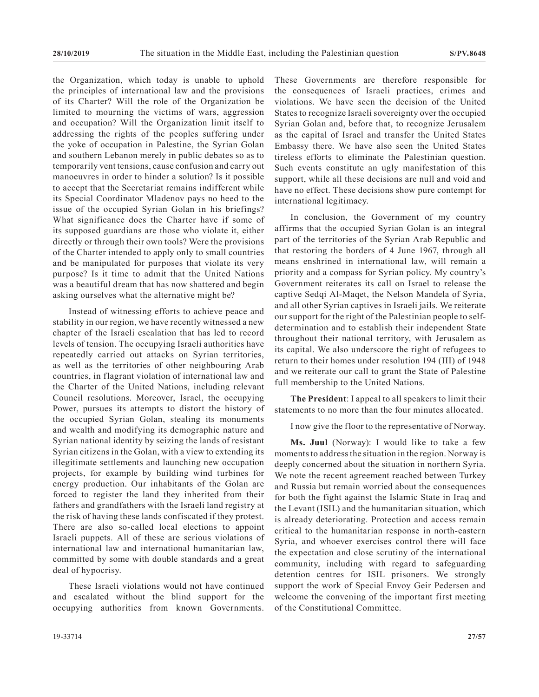the Organization, which today is unable to uphold the principles of international law and the provisions of its Charter? Will the role of the Organization be limited to mourning the victims of wars, aggression and occupation? Will the Organization limit itself to addressing the rights of the peoples suffering under the yoke of occupation in Palestine, the Syrian Golan and southern Lebanon merely in public debates so as to temporarily vent tensions, cause confusion and carry out manoeuvres in order to hinder a solution? Is it possible to accept that the Secretariat remains indifferent while its Special Coordinator Mladenov pays no heed to the issue of the occupied Syrian Golan in his briefings? What significance does the Charter have if some of its supposed guardians are those who violate it, either directly or through their own tools? Were the provisions of the Charter intended to apply only to small countries and be manipulated for purposes that violate its very purpose? Is it time to admit that the United Nations was a beautiful dream that has now shattered and begin asking ourselves what the alternative might be?

Instead of witnessing efforts to achieve peace and stability in our region, we have recently witnessed a new chapter of the Israeli escalation that has led to record levels of tension. The occupying Israeli authorities have repeatedly carried out attacks on Syrian territories, as well as the territories of other neighbouring Arab countries, in flagrant violation of international law and the Charter of the United Nations, including relevant Council resolutions. Moreover, Israel, the occupying Power, pursues its attempts to distort the history of the occupied Syrian Golan, stealing its monuments and wealth and modifying its demographic nature and Syrian national identity by seizing the lands of resistant Syrian citizens in the Golan, with a view to extending its illegitimate settlements and launching new occupation projects, for example by building wind turbines for energy production. Our inhabitants of the Golan are forced to register the land they inherited from their fathers and grandfathers with the Israeli land registry at the risk of having these lands confiscated if they protest. There are also so-called local elections to appoint Israeli puppets. All of these are serious violations of international law and international humanitarian law, committed by some with double standards and a great deal of hypocrisy.

These Israeli violations would not have continued and escalated without the blind support for the occupying authorities from known Governments. These Governments are therefore responsible for the consequences of Israeli practices, crimes and violations. We have seen the decision of the United States to recognize Israeli sovereignty over the occupied Syrian Golan and, before that, to recognize Jerusalem as the capital of Israel and transfer the United States Embassy there. We have also seen the United States tireless efforts to eliminate the Palestinian question. Such events constitute an ugly manifestation of this support, while all these decisions are null and void and have no effect. These decisions show pure contempt for international legitimacy.

In conclusion, the Government of my country affirms that the occupied Syrian Golan is an integral part of the territories of the Syrian Arab Republic and that restoring the borders of 4 June 1967, through all means enshrined in international law, will remain a priority and a compass for Syrian policy. My country's Government reiterates its call on Israel to release the captive Sedqi Al-Maqet, the Nelson Mandela of Syria, and all other Syrian captives in Israeli jails. We reiterate our support for the right of the Palestinian people to selfdetermination and to establish their independent State throughout their national territory, with Jerusalem as its capital. We also underscore the right of refugees to return to their homes under resolution 194 (III) of 1948 and we reiterate our call to grant the State of Palestine full membership to the United Nations.

**The President**: I appeal to all speakers to limit their statements to no more than the four minutes allocated.

I now give the floor to the representative of Norway.

**Ms. Juul** (Norway): I would like to take a few moments to address the situation in the region. Norway is deeply concerned about the situation in northern Syria. We note the recent agreement reached between Turkey and Russia but remain worried about the consequences for both the fight against the Islamic State in Iraq and the Levant (ISIL) and the humanitarian situation, which is already deteriorating. Protection and access remain critical to the humanitarian response in north-eastern Syria, and whoever exercises control there will face the expectation and close scrutiny of the international community, including with regard to safeguarding detention centres for ISIL prisoners. We strongly support the work of Special Envoy Geir Pedersen and welcome the convening of the important first meeting of the Constitutional Committee.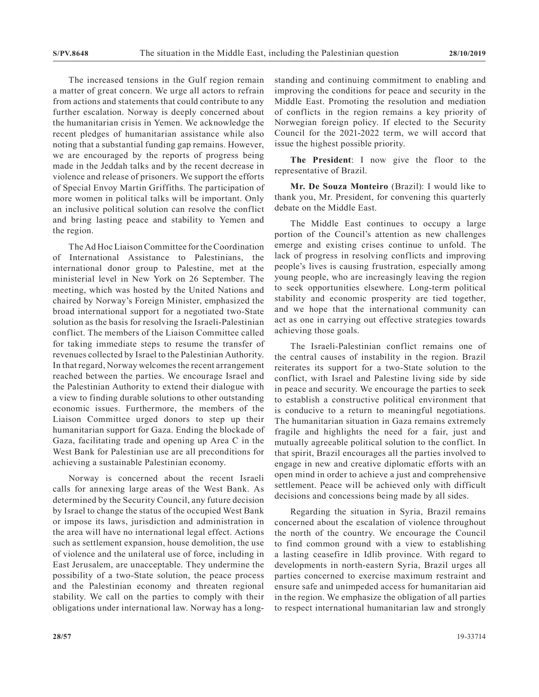The increased tensions in the Gulf region remain a matter of great concern. We urge all actors to refrain from actions and statements that could contribute to any further escalation. Norway is deeply concerned about the humanitarian crisis in Yemen. We acknowledge the recent pledges of humanitarian assistance while also noting that a substantial funding gap remains. However, we are encouraged by the reports of progress being made in the Jeddah talks and by the recent decrease in violence and release of prisoners. We support the efforts of Special Envoy Martin Griffiths. The participation of more women in political talks will be important. Only an inclusive political solution can resolve the conflict and bring lasting peace and stability to Yemen and the region.

The Ad Hoc Liaison Committee for the Coordination of International Assistance to Palestinians, the international donor group to Palestine, met at the ministerial level in New York on 26 September. The meeting, which was hosted by the United Nations and chaired by Norway's Foreign Minister, emphasized the broad international support for a negotiated two-State solution as the basis for resolving the Israeli-Palestinian conflict. The members of the Liaison Committee called for taking immediate steps to resume the transfer of revenues collected by Israel to the Palestinian Authority. In that regard, Norway welcomes the recent arrangement reached between the parties. We encourage Israel and the Palestinian Authority to extend their dialogue with a view to finding durable solutions to other outstanding economic issues. Furthermore, the members of the Liaison Committee urged donors to step up their humanitarian support for Gaza. Ending the blockade of Gaza, facilitating trade and opening up Area C in the West Bank for Palestinian use are all preconditions for achieving a sustainable Palestinian economy.

Norway is concerned about the recent Israeli calls for annexing large areas of the West Bank. As determined by the Security Council, any future decision by Israel to change the status of the occupied West Bank or impose its laws, jurisdiction and administration in the area will have no international legal effect. Actions such as settlement expansion, house demolition, the use of violence and the unilateral use of force, including in East Jerusalem, are unacceptable. They undermine the possibility of a two-State solution, the peace process and the Palestinian economy and threaten regional stability. We call on the parties to comply with their obligations under international law. Norway has a longstanding and continuing commitment to enabling and improving the conditions for peace and security in the Middle East. Promoting the resolution and mediation of conflicts in the region remains a key priority of Norwegian foreign policy. If elected to the Security Council for the 2021-2022 term, we will accord that issue the highest possible priority.

**The President**: I now give the floor to the representative of Brazil.

**Mr. De Souza Monteiro** (Brazil): I would like to thank you, Mr. President, for convening this quarterly debate on the Middle East.

The Middle East continues to occupy a large portion of the Council's attention as new challenges emerge and existing crises continue to unfold. The lack of progress in resolving conflicts and improving people's lives is causing frustration, especially among young people, who are increasingly leaving the region to seek opportunities elsewhere. Long-term political stability and economic prosperity are tied together, and we hope that the international community can act as one in carrying out effective strategies towards achieving those goals.

The Israeli-Palestinian conflict remains one of the central causes of instability in the region. Brazil reiterates its support for a two-State solution to the conflict, with Israel and Palestine living side by side in peace and security. We encourage the parties to seek to establish a constructive political environment that is conducive to a return to meaningful negotiations. The humanitarian situation in Gaza remains extremely fragile and highlights the need for a fair, just and mutually agreeable political solution to the conflict. In that spirit, Brazil encourages all the parties involved to engage in new and creative diplomatic efforts with an open mind in order to achieve a just and comprehensive settlement. Peace will be achieved only with difficult decisions and concessions being made by all sides.

Regarding the situation in Syria, Brazil remains concerned about the escalation of violence throughout the north of the country. We encourage the Council to find common ground with a view to establishing a lasting ceasefire in Idlib province. With regard to developments in north-eastern Syria, Brazil urges all parties concerned to exercise maximum restraint and ensure safe and unimpeded access for humanitarian aid in the region. We emphasize the obligation of all parties to respect international humanitarian law and strongly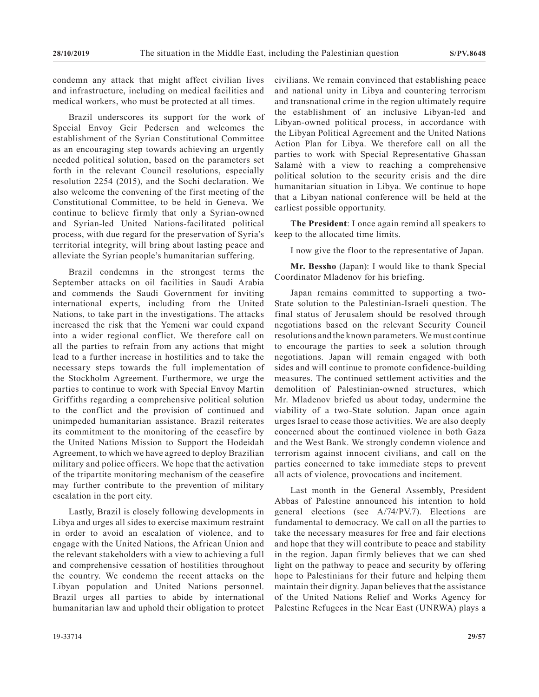condemn any attack that might affect civilian lives and infrastructure, including on medical facilities and medical workers, who must be protected at all times.

Brazil underscores its support for the work of Special Envoy Geir Pedersen and welcomes the establishment of the Syrian Constitutional Committee as an encouraging step towards achieving an urgently needed political solution, based on the parameters set forth in the relevant Council resolutions, especially resolution 2254 (2015), and the Sochi declaration. We also welcome the convening of the first meeting of the Constitutional Committee, to be held in Geneva. We continue to believe firmly that only a Syrian-owned and Syrian-led United Nations-facilitated political process, with due regard for the preservation of Syria's territorial integrity, will bring about lasting peace and alleviate the Syrian people's humanitarian suffering.

Brazil condemns in the strongest terms the September attacks on oil facilities in Saudi Arabia and commends the Saudi Government for inviting international experts, including from the United Nations, to take part in the investigations. The attacks increased the risk that the Yemeni war could expand into a wider regional conflict. We therefore call on all the parties to refrain from any actions that might lead to a further increase in hostilities and to take the necessary steps towards the full implementation of the Stockholm Agreement. Furthermore, we urge the parties to continue to work with Special Envoy Martin Griffiths regarding a comprehensive political solution to the conflict and the provision of continued and unimpeded humanitarian assistance. Brazil reiterates its commitment to the monitoring of the ceasefire by the United Nations Mission to Support the Hodeidah Agreement, to which we have agreed to deploy Brazilian military and police officers. We hope that the activation of the tripartite monitoring mechanism of the ceasefire may further contribute to the prevention of military escalation in the port city.

Lastly, Brazil is closely following developments in Libya and urges all sides to exercise maximum restraint in order to avoid an escalation of violence, and to engage with the United Nations, the African Union and the relevant stakeholders with a view to achieving a full and comprehensive cessation of hostilities throughout the country. We condemn the recent attacks on the Libyan population and United Nations personnel. Brazil urges all parties to abide by international humanitarian law and uphold their obligation to protect civilians. We remain convinced that establishing peace and national unity in Libya and countering terrorism and transnational crime in the region ultimately require the establishment of an inclusive Libyan-led and Libyan-owned political process, in accordance with the Libyan Political Agreement and the United Nations Action Plan for Libya. We therefore call on all the parties to work with Special Representative Ghassan Salamé with a view to reaching a comprehensive political solution to the security crisis and the dire humanitarian situation in Libya. We continue to hope that a Libyan national conference will be held at the earliest possible opportunity.

**The President**: I once again remind all speakers to keep to the allocated time limits.

I now give the floor to the representative of Japan.

**Mr. Bessho** (Japan): I would like to thank Special Coordinator Mladenov for his briefing.

Japan remains committed to supporting a two-State solution to the Palestinian-Israeli question. The final status of Jerusalem should be resolved through negotiations based on the relevant Security Council resolutions and the known parameters. We must continue to encourage the parties to seek a solution through negotiations. Japan will remain engaged with both sides and will continue to promote confidence-building measures. The continued settlement activities and the demolition of Palestinian-owned structures, which Mr. Mladenov briefed us about today, undermine the viability of a two-State solution. Japan once again urges Israel to cease those activities. We are also deeply concerned about the continued violence in both Gaza and the West Bank. We strongly condemn violence and terrorism against innocent civilians, and call on the parties concerned to take immediate steps to prevent all acts of violence, provocations and incitement.

Last month in the General Assembly, President Abbas of Palestine announced his intention to hold general elections (see A/74/PV.7). Elections are fundamental to democracy. We call on all the parties to take the necessary measures for free and fair elections and hope that they will contribute to peace and stability in the region. Japan firmly believes that we can shed light on the pathway to peace and security by offering hope to Palestinians for their future and helping them maintain their dignity. Japan believes that the assistance of the United Nations Relief and Works Agency for Palestine Refugees in the Near East (UNRWA) plays a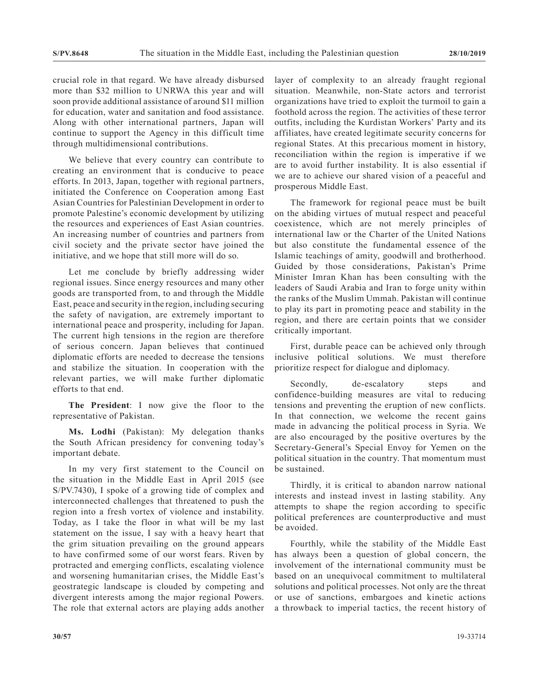crucial role in that regard. We have already disbursed more than \$32 million to UNRWA this year and will soon provide additional assistance of around \$11 million for education, water and sanitation and food assistance. Along with other international partners, Japan will continue to support the Agency in this difficult time through multidimensional contributions.

We believe that every country can contribute to creating an environment that is conducive to peace efforts. In 2013, Japan, together with regional partners, initiated the Conference on Cooperation among East Asian Countries for Palestinian Development in order to promote Palestine's economic development by utilizing the resources and experiences of East Asian countries. An increasing number of countries and partners from civil society and the private sector have joined the initiative, and we hope that still more will do so.

Let me conclude by briefly addressing wider regional issues. Since energy resources and many other goods are transported from, to and through the Middle East, peace and security in the region, including securing the safety of navigation, are extremely important to international peace and prosperity, including for Japan. The current high tensions in the region are therefore of serious concern. Japan believes that continued diplomatic efforts are needed to decrease the tensions and stabilize the situation. In cooperation with the relevant parties, we will make further diplomatic efforts to that end.

**The President**: I now give the floor to the representative of Pakistan.

**Ms. Lodhi** (Pakistan): My delegation thanks the South African presidency for convening today's important debate.

In my very first statement to the Council on the situation in the Middle East in April 2015 (see S/PV.7430), I spoke of a growing tide of complex and interconnected challenges that threatened to push the region into a fresh vortex of violence and instability. Today, as I take the floor in what will be my last statement on the issue, I say with a heavy heart that the grim situation prevailing on the ground appears to have confirmed some of our worst fears. Riven by protracted and emerging conflicts, escalating violence and worsening humanitarian crises, the Middle East's geostrategic landscape is clouded by competing and divergent interests among the major regional Powers. The role that external actors are playing adds another layer of complexity to an already fraught regional situation. Meanwhile, non-State actors and terrorist organizations have tried to exploit the turmoil to gain a foothold across the region. The activities of these terror outfits, including the Kurdistan Workers' Party and its affiliates, have created legitimate security concerns for regional States. At this precarious moment in history, reconciliation within the region is imperative if we are to avoid further instability. It is also essential if we are to achieve our shared vision of a peaceful and prosperous Middle East.

The framework for regional peace must be built on the abiding virtues of mutual respect and peaceful coexistence, which are not merely principles of international law or the Charter of the United Nations but also constitute the fundamental essence of the Islamic teachings of amity, goodwill and brotherhood. Guided by those considerations, Pakistan's Prime Minister Imran Khan has been consulting with the leaders of Saudi Arabia and Iran to forge unity within the ranks of the Muslim Ummah. Pakistan will continue to play its part in promoting peace and stability in the region, and there are certain points that we consider critically important.

First, durable peace can be achieved only through inclusive political solutions. We must therefore prioritize respect for dialogue and diplomacy.

Secondly, de-escalatory steps and confidence-building measures are vital to reducing tensions and preventing the eruption of new conflicts. In that connection, we welcome the recent gains made in advancing the political process in Syria. We are also encouraged by the positive overtures by the Secretary-General's Special Envoy for Yemen on the political situation in the country. That momentum must be sustained.

Thirdly, it is critical to abandon narrow national interests and instead invest in lasting stability. Any attempts to shape the region according to specific political preferences are counterproductive and must be avoided.

Fourthly, while the stability of the Middle East has always been a question of global concern, the involvement of the international community must be based on an unequivocal commitment to multilateral solutions and political processes. Not only are the threat or use of sanctions, embargoes and kinetic actions a throwback to imperial tactics, the recent history of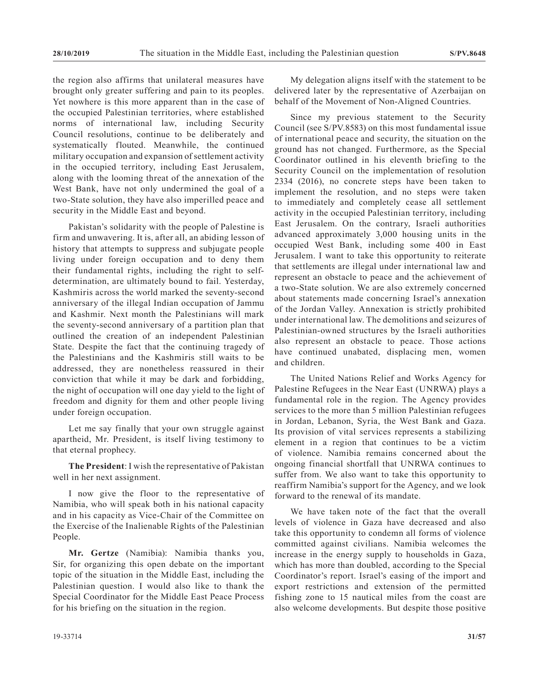the region also affirms that unilateral measures have brought only greater suffering and pain to its peoples. Yet nowhere is this more apparent than in the case of the occupied Palestinian territories, where established norms of international law, including Security Council resolutions, continue to be deliberately and systematically flouted. Meanwhile, the continued military occupation and expansion of settlement activity in the occupied territory, including East Jerusalem, along with the looming threat of the annexation of the West Bank, have not only undermined the goal of a two-State solution, they have also imperilled peace and security in the Middle East and beyond.

Pakistan's solidarity with the people of Palestine is firm and unwavering. It is, after all, an abiding lesson of history that attempts to suppress and subjugate people living under foreign occupation and to deny them their fundamental rights, including the right to selfdetermination, are ultimately bound to fail. Yesterday, Kashmiris across the world marked the seventy-second anniversary of the illegal Indian occupation of Jammu and Kashmir. Next month the Palestinians will mark the seventy-second anniversary of a partition plan that outlined the creation of an independent Palestinian State. Despite the fact that the continuing tragedy of the Palestinians and the Kashmiris still waits to be addressed, they are nonetheless reassured in their conviction that while it may be dark and forbidding, the night of occupation will one day yield to the light of freedom and dignity for them and other people living under foreign occupation.

Let me say finally that your own struggle against apartheid, Mr. President, is itself living testimony to that eternal prophecy.

**The President**: I wish the representative of Pakistan well in her next assignment.

I now give the floor to the representative of Namibia, who will speak both in his national capacity and in his capacity as Vice-Chair of the Committee on the Exercise of the Inalienable Rights of the Palestinian People.

**Mr. Gertze** (Namibia): Namibia thanks you, Sir, for organizing this open debate on the important topic of the situation in the Middle East, including the Palestinian question. I would also like to thank the Special Coordinator for the Middle East Peace Process for his briefing on the situation in the region.

My delegation aligns itself with the statement to be delivered later by the representative of Azerbaijan on behalf of the Movement of Non-Aligned Countries.

Since my previous statement to the Security Council (see S/PV.8583) on this most fundamental issue of international peace and security, the situation on the ground has not changed. Furthermore, as the Special Coordinator outlined in his eleventh briefing to the Security Council on the implementation of resolution 2334 (2016), no concrete steps have been taken to implement the resolution, and no steps were taken to immediately and completely cease all settlement activity in the occupied Palestinian territory, including East Jerusalem. On the contrary, Israeli authorities advanced approximately 3,000 housing units in the occupied West Bank, including some 400 in East Jerusalem. I want to take this opportunity to reiterate that settlements are illegal under international law and represent an obstacle to peace and the achievement of a two-State solution. We are also extremely concerned about statements made concerning Israel's annexation of the Jordan Valley. Annexation is strictly prohibited under international law. The demolitions and seizures of Palestinian-owned structures by the Israeli authorities also represent an obstacle to peace. Those actions have continued unabated, displacing men, women and children.

The United Nations Relief and Works Agency for Palestine Refugees in the Near East (UNRWA) plays a fundamental role in the region. The Agency provides services to the more than 5 million Palestinian refugees in Jordan, Lebanon, Syria, the West Bank and Gaza. Its provision of vital services represents a stabilizing element in a region that continues to be a victim of violence. Namibia remains concerned about the ongoing financial shortfall that UNRWA continues to suffer from. We also want to take this opportunity to reaffirm Namibia's support for the Agency, and we look forward to the renewal of its mandate.

We have taken note of the fact that the overall levels of violence in Gaza have decreased and also take this opportunity to condemn all forms of violence committed against civilians. Namibia welcomes the increase in the energy supply to households in Gaza, which has more than doubled, according to the Special Coordinator's report. Israel's easing of the import and export restrictions and extension of the permitted fishing zone to 15 nautical miles from the coast are also welcome developments. But despite those positive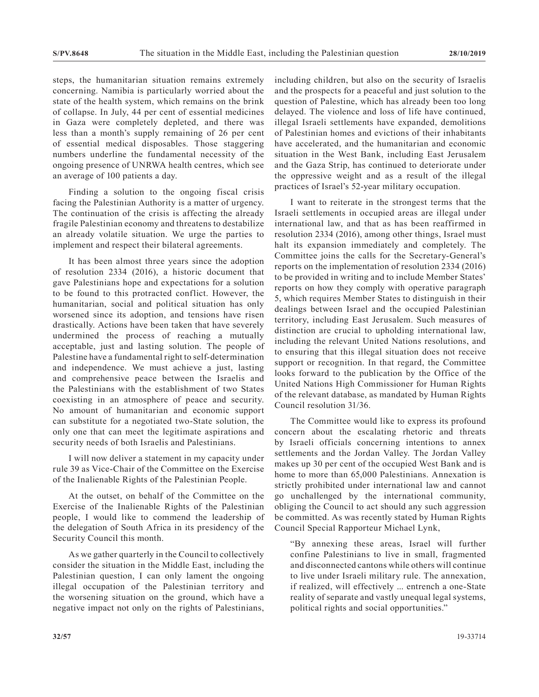steps, the humanitarian situation remains extremely concerning. Namibia is particularly worried about the state of the health system, which remains on the brink of collapse. In July, 44 per cent of essential medicines in Gaza were completely depleted, and there was less than a month's supply remaining of 26 per cent of essential medical disposables. Those staggering numbers underline the fundamental necessity of the ongoing presence of UNRWA health centres, which see an average of 100 patients a day.

Finding a solution to the ongoing fiscal crisis facing the Palestinian Authority is a matter of urgency. The continuation of the crisis is affecting the already fragile Palestinian economy and threatens to destabilize an already volatile situation. We urge the parties to implement and respect their bilateral agreements.

It has been almost three years since the adoption of resolution 2334 (2016), a historic document that gave Palestinians hope and expectations for a solution to be found to this protracted conflict. However, the humanitarian, social and political situation has only worsened since its adoption, and tensions have risen drastically. Actions have been taken that have severely undermined the process of reaching a mutually acceptable, just and lasting solution. The people of Palestine have a fundamental right to self-determination and independence. We must achieve a just, lasting and comprehensive peace between the Israelis and the Palestinians with the establishment of two States coexisting in an atmosphere of peace and security. No amount of humanitarian and economic support can substitute for a negotiated two-State solution, the only one that can meet the legitimate aspirations and security needs of both Israelis and Palestinians.

I will now deliver a statement in my capacity under rule 39 as Vice-Chair of the Committee on the Exercise of the Inalienable Rights of the Palestinian People.

At the outset, on behalf of the Committee on the Exercise of the Inalienable Rights of the Palestinian people, I would like to commend the leadership of the delegation of South Africa in its presidency of the Security Council this month.

As we gather quarterly in the Council to collectively consider the situation in the Middle East, including the Palestinian question, I can only lament the ongoing illegal occupation of the Palestinian territory and the worsening situation on the ground, which have a negative impact not only on the rights of Palestinians, including children, but also on the security of Israelis and the prospects for a peaceful and just solution to the question of Palestine, which has already been too long delayed. The violence and loss of life have continued, illegal Israeli settlements have expanded, demolitions of Palestinian homes and evictions of their inhabitants have accelerated, and the humanitarian and economic situation in the West Bank, including East Jerusalem and the Gaza Strip, has continued to deteriorate under the oppressive weight and as a result of the illegal practices of Israel's 52-year military occupation.

I want to reiterate in the strongest terms that the Israeli settlements in occupied areas are illegal under international law, and that as has been reaffirmed in resolution 2334 (2016), among other things, Israel must halt its expansion immediately and completely. The Committee joins the calls for the Secretary-General's reports on the implementation of resolution 2334 (2016) to be provided in writing and to include Member States' reports on how they comply with operative paragraph 5, which requires Member States to distinguish in their dealings between Israel and the occupied Palestinian territory, including East Jerusalem. Such measures of distinction are crucial to upholding international law, including the relevant United Nations resolutions, and to ensuring that this illegal situation does not receive support or recognition. In that regard, the Committee looks forward to the publication by the Office of the United Nations High Commissioner for Human Rights of the relevant database, as mandated by Human Rights Council resolution 31/36.

The Committee would like to express its profound concern about the escalating rhetoric and threats by Israeli officials concerning intentions to annex settlements and the Jordan Valley. The Jordan Valley makes up 30 per cent of the occupied West Bank and is home to more than 65,000 Palestinians. Annexation is strictly prohibited under international law and cannot go unchallenged by the international community, obliging the Council to act should any such aggression be committed. As was recently stated by Human Rights Council Special Rapporteur Michael Lynk,

"By annexing these areas, Israel will further confine Palestinians to live in small, fragmented and disconnected cantons while others will continue to live under Israeli military rule. The annexation, if realized, will effectively ... entrench a one-State reality of separate and vastly unequal legal systems, political rights and social opportunities."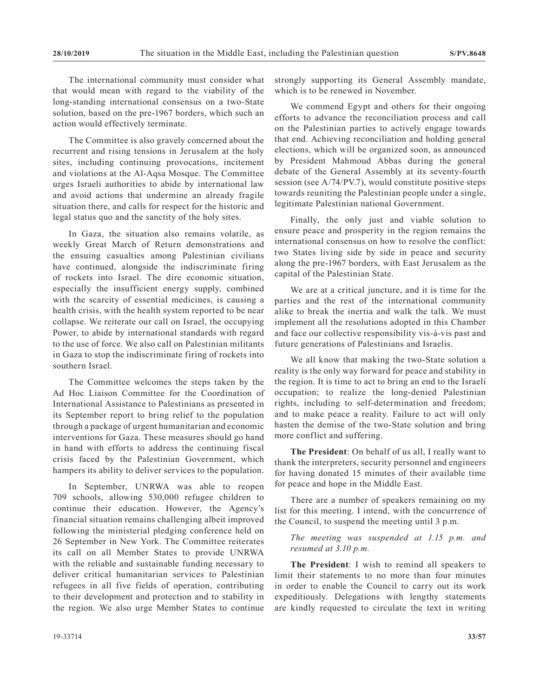The international community must consider what that would mean with regard to the viability of the long-standing international consensus on a two-State solution, based on the pre-1967 borders, which such an action would effectively terminate.

The Committee is also gravely concerned about the recurrent and rising tensions in Jerusalem at the holy sites, including continuing provocations, incitement and violations at the Al-Aqsa Mosque. The Committee urges Israeli authorities to abide by international law and avoid actions that undermine an already fragile situation there, and calls for respect for the historic and legal status quo and the sanctity of the holy sites.

In Gaza, the situation also remains volatile, as weekly Great March of Return demonstrations and the ensuing casualties among Palestinian civilians have continued, alongside the indiscriminate firing of rockets into Israel. The dire economic situation, especially the insufficient energy supply, combined with the scarcity of essential medicines, is causing a health crisis, with the health system reported to be near collapse. We reiterate our call on Israel, the occupying Power, to abide by international standards with regard to the use of force. We also call on Palestinian militants in Gaza to stop the indiscriminate firing of rockets into southern Israel.

The Committee welcomes the steps taken by the Ad Hoc Liaison Committee for the Coordination of International Assistance to Palestinians as presented in its September report to bring relief to the population through a package of urgent humanitarian and economic interventions for Gaza. These measures should go hand in hand with efforts to address the continuing fiscal crisis faced by the Palestinian Government, which hampers its ability to deliver services to the population.

In September, UNRWA was able to reopen 709 schools, allowing 530,000 refugee children to continue their education. However, the Agency's financial situation remains challenging albeit improved following the ministerial pledging conference held on 26 September in New York. The Committee reiterates its call on all Member States to provide UNRWA with the reliable and sustainable funding necessary to deliver critical humanitarian services to Palestinian refugees in all five fields of operation, contributing to their development and protection and to stability in the region. We also urge Member States to continue strongly supporting its General Assembly mandate, which is to be renewed in November.

We commend Egypt and others for their ongoing efforts to advance the reconciliation process and call on the Palestinian parties to actively engage towards that end. Achieving reconciliation and holding general elections, which will be organized soon, as announced by President Mahmoud Abbas during the general debate of the General Assembly at its seventy-fourth session (see A/74/PV.7), would constitute positive steps towards reuniting the Palestinian people under a single, legitimate Palestinian national Government.

Finally, the only just and viable solution to ensure peace and prosperity in the region remains the international consensus on how to resolve the conflict: two States living side by side in peace and security along the pre-1967 borders, with East Jerusalem as the capital of the Palestinian State.

We are at a critical juncture, and it is time for the parties and the rest of the international community alike to break the inertia and walk the talk. We must implement all the resolutions adopted in this Chamber and face our collective responsibility vis-à-vis past and future generations of Palestinians and Israelis.

We all know that making the two-State solution a reality is the only way forward for peace and stability in the region. It is time to act to bring an end to the Israeli occupation; to realize the long-denied Palestinian rights, including to self-determination and freedom; and to make peace a reality. Failure to act will only hasten the demise of the two-State solution and bring more conflict and suffering.

**The President**: On behalf of us all, I really want to thank the interpreters, security personnel and engineers for having donated 15 minutes of their available time for peace and hope in the Middle East.

There are a number of speakers remaining on my list for this meeting. I intend, with the concurrence of the Council, to suspend the meeting until 3 p.m.

*The meeting was suspended at 1.15 p.m. and resumed at 3.10 p.m.*

**The President**: I wish to remind all speakers to limit their statements to no more than four minutes in order to enable the Council to carry out its work expeditiously. Delegations with lengthy statements are kindly requested to circulate the text in writing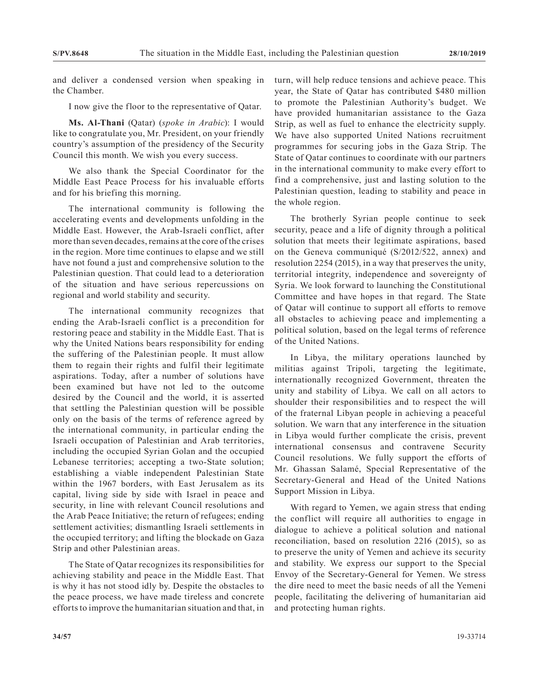and deliver a condensed version when speaking in the Chamber.

I now give the floor to the representative of Qatar.

**Ms. Al-Thani** (Qatar) (*spoke in Arabic*): I would like to congratulate you, Mr. President, on your friendly country's assumption of the presidency of the Security Council this month. We wish you every success.

We also thank the Special Coordinator for the Middle East Peace Process for his invaluable efforts and for his briefing this morning.

The international community is following the accelerating events and developments unfolding in the Middle East. However, the Arab-Israeli conflict, after more than seven decades, remains at the core of the crises in the region. More time continues to elapse and we still have not found a just and comprehensive solution to the Palestinian question. That could lead to a deterioration of the situation and have serious repercussions on regional and world stability and security.

The international community recognizes that ending the Arab-Israeli conflict is a precondition for restoring peace and stability in the Middle East. That is why the United Nations bears responsibility for ending the suffering of the Palestinian people. It must allow them to regain their rights and fulfil their legitimate aspirations. Today, after a number of solutions have been examined but have not led to the outcome desired by the Council and the world, it is asserted that settling the Palestinian question will be possible only on the basis of the terms of reference agreed by the international community, in particular ending the Israeli occupation of Palestinian and Arab territories, including the occupied Syrian Golan and the occupied Lebanese territories; accepting a two-State solution; establishing a viable independent Palestinian State within the 1967 borders, with East Jerusalem as its capital, living side by side with Israel in peace and security, in line with relevant Council resolutions and the Arab Peace Initiative; the return of refugees; ending settlement activities; dismantling Israeli settlements in the occupied territory; and lifting the blockade on Gaza Strip and other Palestinian areas.

The State of Qatar recognizes its responsibilities for achieving stability and peace in the Middle East. That is why it has not stood idly by. Despite the obstacles to the peace process, we have made tireless and concrete efforts to improve the humanitarian situation and that, in

turn, will help reduce tensions and achieve peace. This year, the State of Qatar has contributed \$480 million to promote the Palestinian Authority's budget. We have provided humanitarian assistance to the Gaza Strip, as well as fuel to enhance the electricity supply. We have also supported United Nations recruitment programmes for securing jobs in the Gaza Strip. The State of Qatar continues to coordinate with our partners in the international community to make every effort to find a comprehensive, just and lasting solution to the Palestinian question, leading to stability and peace in the whole region.

The brotherly Syrian people continue to seek security, peace and a life of dignity through a political solution that meets their legitimate aspirations, based on the Geneva communiqué (S/2012/522, annex) and resolution 2254 (2015), in a way that preserves the unity, territorial integrity, independence and sovereignty of Syria. We look forward to launching the Constitutional Committee and have hopes in that regard. The State of Qatar will continue to support all efforts to remove all obstacles to achieving peace and implementing a political solution, based on the legal terms of reference of the United Nations.

In Libya, the military operations launched by militias against Tripoli, targeting the legitimate, internationally recognized Government, threaten the unity and stability of Libya. We call on all actors to shoulder their responsibilities and to respect the will of the fraternal Libyan people in achieving a peaceful solution. We warn that any interference in the situation in Libya would further complicate the crisis, prevent international consensus and contravene Security Council resolutions. We fully support the efforts of Mr. Ghassan Salamé, Special Representative of the Secretary-General and Head of the United Nations Support Mission in Libya.

With regard to Yemen, we again stress that ending the conflict will require all authorities to engage in dialogue to achieve a political solution and national reconciliation, based on resolution 2216 (2015), so as to preserve the unity of Yemen and achieve its security and stability. We express our support to the Special Envoy of the Secretary-General for Yemen. We stress the dire need to meet the basic needs of all the Yemeni people, facilitating the delivering of humanitarian aid and protecting human rights.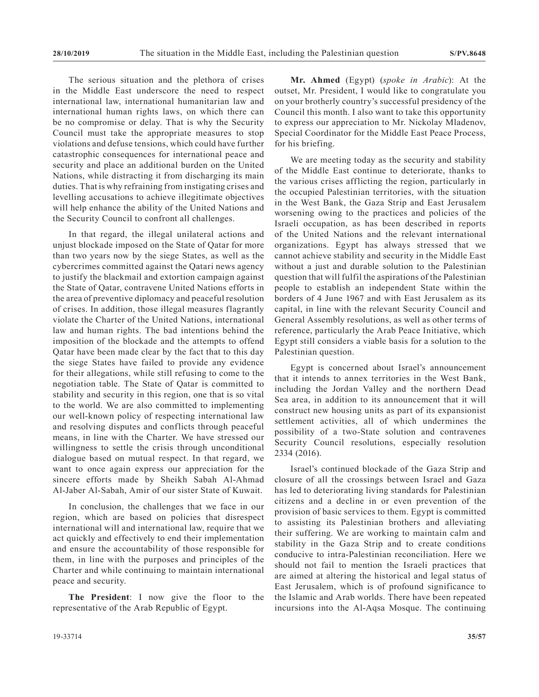The serious situation and the plethora of crises in the Middle East underscore the need to respect international law, international humanitarian law and international human rights laws, on which there can be no compromise or delay. That is why the Security Council must take the appropriate measures to stop violations and defuse tensions, which could have further catastrophic consequences for international peace and security and place an additional burden on the United Nations, while distracting it from discharging its main duties. That is why refraining from instigating crises and levelling accusations to achieve illegitimate objectives will help enhance the ability of the United Nations and the Security Council to confront all challenges.

In that regard, the illegal unilateral actions and unjust blockade imposed on the State of Qatar for more than two years now by the siege States, as well as the cybercrimes committed against the Qatari news agency to justify the blackmail and extortion campaign against the State of Qatar, contravene United Nations efforts in the area of preventive diplomacy and peaceful resolution of crises. In addition, those illegal measures flagrantly violate the Charter of the United Nations, international law and human rights. The bad intentions behind the imposition of the blockade and the attempts to offend Qatar have been made clear by the fact that to this day the siege States have failed to provide any evidence for their allegations, while still refusing to come to the negotiation table. The State of Qatar is committed to stability and security in this region, one that is so vital to the world. We are also committed to implementing our well-known policy of respecting international law and resolving disputes and conflicts through peaceful means, in line with the Charter. We have stressed our willingness to settle the crisis through unconditional dialogue based on mutual respect. In that regard, we want to once again express our appreciation for the sincere efforts made by Sheikh Sabah Al-Ahmad Al-Jaber Al-Sabah, Amir of our sister State of Kuwait.

In conclusion, the challenges that we face in our region, which are based on policies that disrespect international will and international law, require that we act quickly and effectively to end their implementation and ensure the accountability of those responsible for them, in line with the purposes and principles of the Charter and while continuing to maintain international peace and security.

**The President**: I now give the floor to the representative of the Arab Republic of Egypt.

**Mr. Ahmed** (Egypt) (*spoke in Arabic*): At the outset, Mr. President, I would like to congratulate you on your brotherly country's successful presidency of the Council this month. I also want to take this opportunity to express our appreciation to Mr. Nickolay Mladenov, Special Coordinator for the Middle East Peace Process, for his briefing.

We are meeting today as the security and stability of the Middle East continue to deteriorate, thanks to the various crises afflicting the region, particularly in the occupied Palestinian territories, with the situation in the West Bank, the Gaza Strip and East Jerusalem worsening owing to the practices and policies of the Israeli occupation, as has been described in reports of the United Nations and the relevant international organizations. Egypt has always stressed that we cannot achieve stability and security in the Middle East without a just and durable solution to the Palestinian question that will fulfil the aspirations of the Palestinian people to establish an independent State within the borders of 4 June 1967 and with East Jerusalem as its capital, in line with the relevant Security Council and General Assembly resolutions, as well as other terms of reference, particularly the Arab Peace Initiative, which Egypt still considers a viable basis for a solution to the Palestinian question.

Egypt is concerned about Israel's announcement that it intends to annex territories in the West Bank, including the Jordan Valley and the northern Dead Sea area, in addition to its announcement that it will construct new housing units as part of its expansionist settlement activities, all of which undermines the possibility of a two-State solution and contravenes Security Council resolutions, especially resolution 2334 (2016).

Israel's continued blockade of the Gaza Strip and closure of all the crossings between Israel and Gaza has led to deteriorating living standards for Palestinian citizens and a decline in or even prevention of the provision of basic services to them. Egypt is committed to assisting its Palestinian brothers and alleviating their suffering. We are working to maintain calm and stability in the Gaza Strip and to create conditions conducive to intra-Palestinian reconciliation. Here we should not fail to mention the Israeli practices that are aimed at altering the historical and legal status of East Jerusalem, which is of profound significance to the Islamic and Arab worlds. There have been repeated incursions into the Al-Aqsa Mosque. The continuing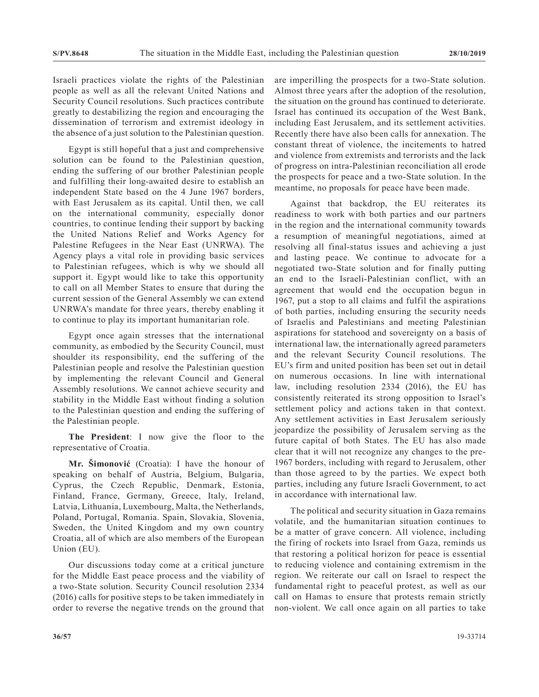Israeli practices violate the rights of the Palestinian people as well as all the relevant United Nations and Security Council resolutions. Such practices contribute greatly to destabilizing the region and encouraging the dissemination of terrorism and extremist ideology in the absence of a just solution to the Palestinian question.

Egypt is still hopeful that a just and comprehensive solution can be found to the Palestinian question, ending the suffering of our brother Palestinian people and fulfilling their long-awaited desire to establish an independent State based on the 4 June 1967 borders, with East Jerusalem as its capital. Until then, we call on the international community, especially donor countries, to continue lending their support by backing the United Nations Relief and Works Agency for Palestine Refugees in the Near East (UNRWA). The Agency plays a vital role in providing basic services to Palestinian refugees, which is why we should all support it. Egypt would like to take this opportunity to call on all Member States to ensure that during the current session of the General Assembly we can extend UNRWA's mandate for three years, thereby enabling it to continue to play its important humanitarian role.

Egypt once again stresses that the international community, as embodied by the Security Council, must shoulder its responsibility, end the suffering of the Palestinian people and resolve the Palestinian question by implementing the relevant Council and General Assembly resolutions. We cannot achieve security and stability in the Middle East without finding a solution to the Palestinian question and ending the suffering of the Palestinian people.

**The President**: I now give the floor to the representative of Croatia.

**Mr. Šimonović** (Croatia): I have the honour of speaking on behalf of Austria, Belgium, Bulgaria, Cyprus, the Czech Republic, Denmark, Estonia, Finland, France, Germany, Greece, Italy, Ireland, Latvia, Lithuania, Luxembourg, Malta, the Netherlands, Poland, Portugal, Romania. Spain, Slovakia, Slovenia, Sweden, the United Kingdom and my own country Croatia, all of which are also members of the European Union (EU).

Our discussions today come at a critical juncture for the Middle East peace process and the viability of a two-State solution. Security Council resolution 2334 (2016) calls for positive steps to be taken immediately in order to reverse the negative trends on the ground that

are imperilling the prospects for a two-State solution. Almost three years after the adoption of the resolution, the situation on the ground has continued to deteriorate. Israel has continued its occupation of the West Bank, including East Jerusalem, and its settlement activities. Recently there have also been calls for annexation. The constant threat of violence, the incitements to hatred and violence from extremists and terrorists and the lack of progress on intra-Palestinian reconciliation all erode the prospects for peace and a two-State solution. In the meantime, no proposals for peace have been made.

Against that backdrop, the EU reiterates its readiness to work with both parties and our partners in the region and the international community towards a resumption of meaningful negotiations, aimed at resolving all final-status issues and achieving a just and lasting peace. We continue to advocate for a negotiated two-State solution and for finally putting an end to the Israeli-Palestinian conflict, with an agreement that would end the occupation begun in 1967, put a stop to all claims and fulfil the aspirations of both parties, including ensuring the security needs of Israelis and Palestinians and meeting Palestinian aspirations for statehood and sovereignty on a basis of international law, the internationally agreed parameters and the relevant Security Council resolutions. The EU's firm and united position has been set out in detail on numerous occasions. In line with international law, including resolution 2334 (2016), the EU has consistently reiterated its strong opposition to Israel's settlement policy and actions taken in that context. Any settlement activities in East Jerusalem seriously jeopardize the possibility of Jerusalem serving as the future capital of both States. The EU has also made clear that it will not recognize any changes to the pre-1967 borders, including with regard to Jerusalem, other than those agreed to by the parties. We expect both parties, including any future Israeli Government, to act in accordance with international law.

The political and security situation in Gaza remains volatile, and the humanitarian situation continues to be a matter of grave concern. All violence, including the firing of rockets into Israel from Gaza, reminds us that restoring a political horizon for peace is essential to reducing violence and containing extremism in the region. We reiterate our call on Israel to respect the fundamental right to peaceful protest, as well as our call on Hamas to ensure that protests remain strictly non-violent. We call once again on all parties to take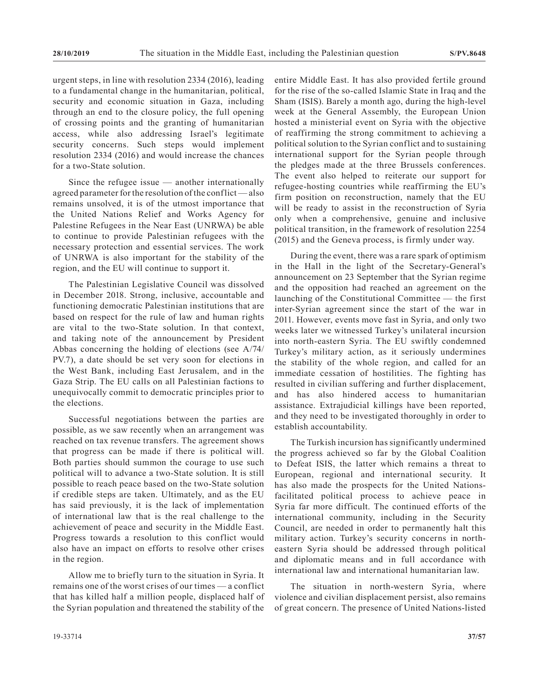urgent steps, in line with resolution 2334 (2016), leading to a fundamental change in the humanitarian, political, security and economic situation in Gaza, including through an end to the closure policy, the full opening of crossing points and the granting of humanitarian access, while also addressing Israel's legitimate security concerns. Such steps would implement resolution 2334 (2016) and would increase the chances for a two-State solution.

Since the refugee issue — another internationally agreed parameter for the resolution of the conflict— also remains unsolved, it is of the utmost importance that the United Nations Relief and Works Agency for Palestine Refugees in the Near East (UNRWA) be able to continue to provide Palestinian refugees with the necessary protection and essential services. The work of UNRWA is also important for the stability of the region, and the EU will continue to support it.

The Palestinian Legislative Council was dissolved in December 2018. Strong, inclusive, accountable and functioning democratic Palestinian institutions that are based on respect for the rule of law and human rights are vital to the two-State solution. In that context, and taking note of the announcement by President Abbas concerning the holding of elections (see A/74/ PV.7), a date should be set very soon for elections in the West Bank, including East Jerusalem, and in the Gaza Strip. The EU calls on all Palestinian factions to unequivocally commit to democratic principles prior to the elections.

Successful negotiations between the parties are possible, as we saw recently when an arrangement was reached on tax revenue transfers. The agreement shows that progress can be made if there is political will. Both parties should summon the courage to use such political will to advance a two-State solution. It is still possible to reach peace based on the two-State solution if credible steps are taken. Ultimately, and as the EU has said previously, it is the lack of implementation of international law that is the real challenge to the achievement of peace and security in the Middle East. Progress towards a resolution to this conflict would also have an impact on efforts to resolve other crises in the region.

Allow me to briefly turn to the situation in Syria. It remains one of the worst crises of our times — a conflict that has killed half a million people, displaced half of the Syrian population and threatened the stability of the entire Middle East. It has also provided fertile ground for the rise of the so-called Islamic State in Iraq and the Sham (ISIS). Barely a month ago, during the high-level week at the General Assembly, the European Union hosted a ministerial event on Syria with the objective of reaffirming the strong commitment to achieving a political solution to the Syrian conflict and to sustaining international support for the Syrian people through the pledges made at the three Brussels conferences. The event also helped to reiterate our support for refugee-hosting countries while reaffirming the EU's firm position on reconstruction, namely that the EU will be ready to assist in the reconstruction of Syria only when a comprehensive, genuine and inclusive political transition, in the framework of resolution 2254 (2015) and the Geneva process, is firmly under way.

During the event, there was a rare spark of optimism in the Hall in the light of the Secretary-General's announcement on 23 September that the Syrian regime and the opposition had reached an agreement on the launching of the Constitutional Committee — the first inter-Syrian agreement since the start of the war in 2011. However, events move fast in Syria, and only two weeks later we witnessed Turkey's unilateral incursion into north-eastern Syria. The EU swiftly condemned Turkey's military action, as it seriously undermines the stability of the whole region, and called for an immediate cessation of hostilities. The fighting has resulted in civilian suffering and further displacement, and has also hindered access to humanitarian assistance. Extrajudicial killings have been reported, and they need to be investigated thoroughly in order to establish accountability.

The Turkish incursion has significantly undermined the progress achieved so far by the Global Coalition to Defeat ISIS, the latter which remains a threat to European, regional and international security. It has also made the prospects for the United Nationsfacilitated political process to achieve peace in Syria far more difficult. The continued efforts of the international community, including in the Security Council, are needed in order to permanently halt this military action. Turkey's security concerns in northeastern Syria should be addressed through political and diplomatic means and in full accordance with international law and international humanitarian law.

The situation in north-western Syria, where violence and civilian displacement persist, also remains of great concern. The presence of United Nations-listed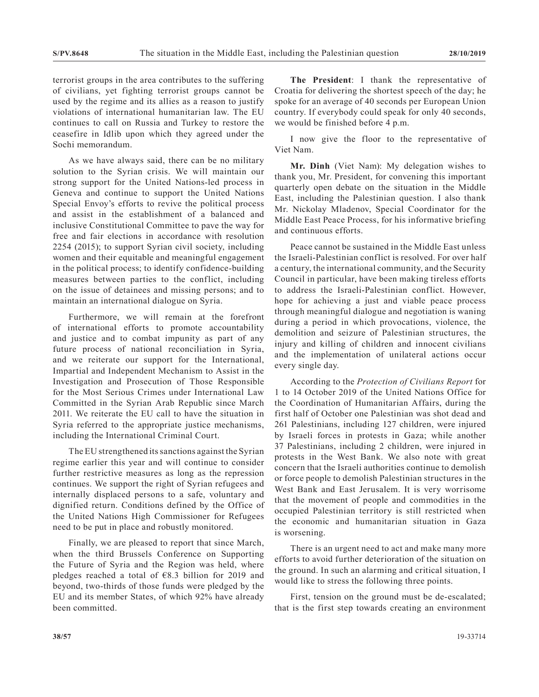terrorist groups in the area contributes to the suffering of civilians, yet fighting terrorist groups cannot be used by the regime and its allies as a reason to justify violations of international humanitarian law. The EU continues to call on Russia and Turkey to restore the ceasefire in Idlib upon which they agreed under the Sochi memorandum.

As we have always said, there can be no military solution to the Syrian crisis. We will maintain our strong support for the United Nations-led process in Geneva and continue to support the United Nations Special Envoy's efforts to revive the political process and assist in the establishment of a balanced and inclusive Constitutional Committee to pave the way for free and fair elections in accordance with resolution 2254 (2015); to support Syrian civil society, including women and their equitable and meaningful engagement in the political process; to identify confidence-building measures between parties to the conflict, including on the issue of detainees and missing persons; and to maintain an international dialogue on Syria.

Furthermore, we will remain at the forefront of international efforts to promote accountability and justice and to combat impunity as part of any future process of national reconciliation in Syria, and we reiterate our support for the International, Impartial and Independent Mechanism to Assist in the Investigation and Prosecution of Those Responsible for the Most Serious Crimes under International Law Committed in the Syrian Arab Republic since March 2011. We reiterate the EU call to have the situation in Syria referred to the appropriate justice mechanisms, including the International Criminal Court.

The EU strengthened its sanctions against the Syrian regime earlier this year and will continue to consider further restrictive measures as long as the repression continues. We support the right of Syrian refugees and internally displaced persons to a safe, voluntary and dignified return. Conditions defined by the Office of the United Nations High Commissioner for Refugees need to be put in place and robustly monitored.

Finally, we are pleased to report that since March, when the third Brussels Conference on Supporting the Future of Syria and the Region was held, where pledges reached a total of  $E$ 8.3 billion for 2019 and beyond, two-thirds of those funds were pledged by the EU and its member States, of which 92% have already been committed.

**The President**: I thank the representative of Croatia for delivering the shortest speech of the day; he spoke for an average of 40 seconds per European Union country. If everybody could speak for only 40 seconds, we would be finished before 4 p.m.

I now give the floor to the representative of Viet Nam.

**Mr. Dinh** (Viet Nam): My delegation wishes to thank you, Mr. President, for convening this important quarterly open debate on the situation in the Middle East, including the Palestinian question. I also thank Mr. Nickolay Mladenov, Special Coordinator for the Middle East Peace Process, for his informative briefing and continuous efforts.

Peace cannot be sustained in the Middle East unless the Israeli-Palestinian conflict is resolved. For over half a century, the international community, and the Security Council in particular, have been making tireless efforts to address the Israeli-Palestinian conflict. However, hope for achieving a just and viable peace process through meaningful dialogue and negotiation is waning during a period in which provocations, violence, the demolition and seizure of Palestinian structures, the injury and killing of children and innocent civilians and the implementation of unilateral actions occur every single day.

According to the *Protection of Civilians Report* for 1 to 14 October 2019 of the United Nations Office for the Coordination of Humanitarian Affairs, during the first half of October one Palestinian was shot dead and 261 Palestinians, including 127 children, were injured by Israeli forces in protests in Gaza; while another 37 Palestinians, including 2 children, were injured in protests in the West Bank. We also note with great concern that the Israeli authorities continue to demolish or force people to demolish Palestinian structures in the West Bank and East Jerusalem. It is very worrisome that the movement of people and commodities in the occupied Palestinian territory is still restricted when the economic and humanitarian situation in Gaza is worsening.

There is an urgent need to act and make many more efforts to avoid further deterioration of the situation on the ground. In such an alarming and critical situation, I would like to stress the following three points.

First, tension on the ground must be de-escalated; that is the first step towards creating an environment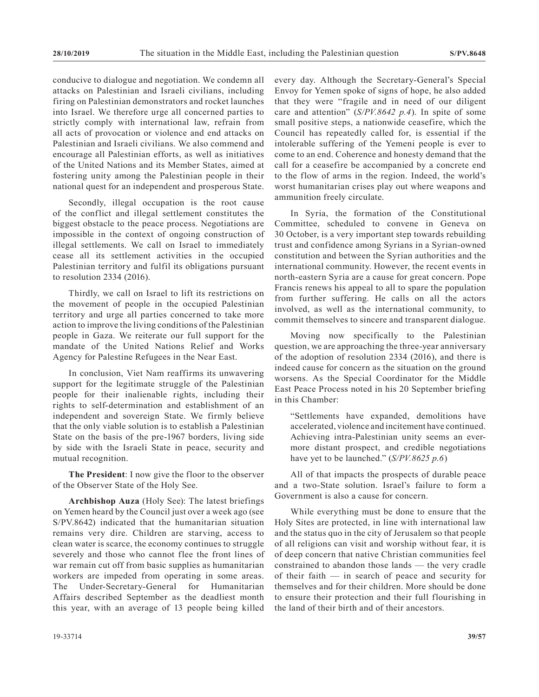conducive to dialogue and negotiation. We condemn all attacks on Palestinian and Israeli civilians, including firing on Palestinian demonstrators and rocket launches into Israel. We therefore urge all concerned parties to strictly comply with international law, refrain from all acts of provocation or violence and end attacks on Palestinian and Israeli civilians. We also commend and encourage all Palestinian efforts, as well as initiatives of the United Nations and its Member States, aimed at fostering unity among the Palestinian people in their national quest for an independent and prosperous State.

Secondly, illegal occupation is the root cause of the conflict and illegal settlement constitutes the biggest obstacle to the peace process. Negotiations are impossible in the context of ongoing construction of illegal settlements. We call on Israel to immediately cease all its settlement activities in the occupied Palestinian territory and fulfil its obligations pursuant to resolution 2334 (2016).

Thirdly, we call on Israel to lift its restrictions on the movement of people in the occupied Palestinian territory and urge all parties concerned to take more action to improve the living conditions of the Palestinian people in Gaza. We reiterate our full support for the mandate of the United Nations Relief and Works Agency for Palestine Refugees in the Near East.

In conclusion, Viet Nam reaffirms its unwavering support for the legitimate struggle of the Palestinian people for their inalienable rights, including their rights to self-determination and establishment of an independent and sovereign State. We firmly believe that the only viable solution is to establish a Palestinian State on the basis of the pre-1967 borders, living side by side with the Israeli State in peace, security and mutual recognition.

**The President**: I now give the floor to the observer of the Observer State of the Holy See.

**Archbishop Auza** (Holy See): The latest briefings on Yemen heard by the Council just over a week ago (see S/PV.8642) indicated that the humanitarian situation remains very dire. Children are starving, access to clean water is scarce, the economy continues to struggle severely and those who cannot flee the front lines of war remain cut off from basic supplies as humanitarian workers are impeded from operating in some areas. The Under-Secretary-General for Humanitarian Affairs described September as the deadliest month this year, with an average of 13 people being killed

every day. Although the Secretary-General's Special Envoy for Yemen spoke of signs of hope, he also added that they were "fragile and in need of our diligent care and attention" (*S/PV.8642 p.4*). In spite of some small positive steps, a nationwide ceasefire, which the Council has repeatedly called for, is essential if the intolerable suffering of the Yemeni people is ever to come to an end. Coherence and honesty demand that the call for a ceasefire be accompanied by a concrete end to the flow of arms in the region. Indeed, the world's worst humanitarian crises play out where weapons and ammunition freely circulate.

In Syria, the formation of the Constitutional Committee, scheduled to convene in Geneva on 30 October, is a very important step towards rebuilding trust and confidence among Syrians in a Syrian-owned constitution and between the Syrian authorities and the international community. However, the recent events in north-eastern Syria are a cause for great concern. Pope Francis renews his appeal to all to spare the population from further suffering. He calls on all the actors involved, as well as the international community, to commit themselves to sincere and transparent dialogue.

Moving now specifically to the Palestinian question, we are approaching the three-year anniversary of the adoption of resolution 2334 (2016), and there is indeed cause for concern as the situation on the ground worsens. As the Special Coordinator for the Middle East Peace Process noted in his 20 September briefing in this Chamber:

"Settlements have expanded, demolitions have accelerated, violence and incitement have continued. Achieving intra-Palestinian unity seems an evermore distant prospect, and credible negotiations have yet to be launched." (*S/PV.8625 p.6*)

All of that impacts the prospects of durable peace and a two-State solution. Israel's failure to form a Government is also a cause for concern.

While everything must be done to ensure that the Holy Sites are protected, in line with international law and the status quo in the city of Jerusalem so that people of all religions can visit and worship without fear, it is of deep concern that native Christian communities feel constrained to abandon those lands — the very cradle of their faith — in search of peace and security for themselves and for their children. More should be done to ensure their protection and their full flourishing in the land of their birth and of their ancestors.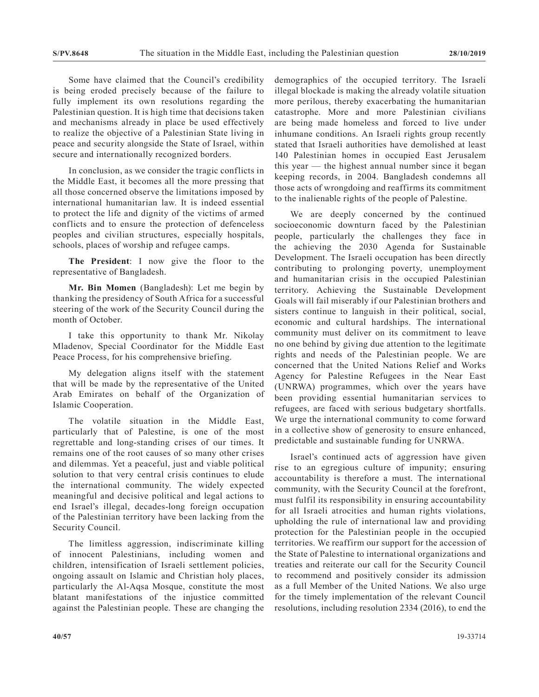Some have claimed that the Council's credibility is being eroded precisely because of the failure to fully implement its own resolutions regarding the Palestinian question. It is high time that decisions taken and mechanisms already in place be used effectively to realize the objective of a Palestinian State living in peace and security alongside the State of Israel, within secure and internationally recognized borders.

In conclusion, as we consider the tragic conflicts in the Middle East, it becomes all the more pressing that all those concerned observe the limitations imposed by international humanitarian law. It is indeed essential to protect the life and dignity of the victims of armed conflicts and to ensure the protection of defenceless peoples and civilian structures, especially hospitals, schools, places of worship and refugee camps.

**The President**: I now give the floor to the representative of Bangladesh.

**Mr. Bin Momen** (Bangladesh): Let me begin by thanking the presidency of South Africa for a successful steering of the work of the Security Council during the month of October.

I take this opportunity to thank Mr. Nikolay Mladenov, Special Coordinator for the Middle East Peace Process, for his comprehensive briefing.

My delegation aligns itself with the statement that will be made by the representative of the United Arab Emirates on behalf of the Organization of Islamic Cooperation.

The volatile situation in the Middle East, particularly that of Palestine, is one of the most regrettable and long-standing crises of our times. It remains one of the root causes of so many other crises and dilemmas. Yet a peaceful, just and viable political solution to that very central crisis continues to elude the international community. The widely expected meaningful and decisive political and legal actions to end Israel's illegal, decades-long foreign occupation of the Palestinian territory have been lacking from the Security Council.

The limitless aggression, indiscriminate killing of innocent Palestinians, including women and children, intensification of Israeli settlement policies, ongoing assault on Islamic and Christian holy places, particularly the Al-Aqsa Mosque, constitute the most blatant manifestations of the injustice committed against the Palestinian people. These are changing the demographics of the occupied territory. The Israeli illegal blockade is making the already volatile situation more perilous, thereby exacerbating the humanitarian catastrophe. More and more Palestinian civilians are being made homeless and forced to live under inhumane conditions. An Israeli rights group recently stated that Israeli authorities have demolished at least 140 Palestinian homes in occupied East Jerusalem this year — the highest annual number since it began keeping records, in 2004. Bangladesh condemns all those acts of wrongdoing and reaffirms its commitment to the inalienable rights of the people of Palestine.

We are deeply concerned by the continued socioeconomic downturn faced by the Palestinian people, particularly the challenges they face in the achieving the 2030 Agenda for Sustainable Development. The Israeli occupation has been directly contributing to prolonging poverty, unemployment and humanitarian crisis in the occupied Palestinian territory. Achieving the Sustainable Development Goals will fail miserably if our Palestinian brothers and sisters continue to languish in their political, social, economic and cultural hardships. The international community must deliver on its commitment to leave no one behind by giving due attention to the legitimate rights and needs of the Palestinian people. We are concerned that the United Nations Relief and Works Agency for Palestine Refugees in the Near East (UNRWA) programmes, which over the years have been providing essential humanitarian services to refugees, are faced with serious budgetary shortfalls. We urge the international community to come forward in a collective show of generosity to ensure enhanced, predictable and sustainable funding for UNRWA.

Israel's continued acts of aggression have given rise to an egregious culture of impunity; ensuring accountability is therefore a must. The international community, with the Security Council at the forefront, must fulfil its responsibility in ensuring accountability for all Israeli atrocities and human rights violations, upholding the rule of international law and providing protection for the Palestinian people in the occupied territories. We reaffirm our support for the accession of the State of Palestine to international organizations and treaties and reiterate our call for the Security Council to recommend and positively consider its admission as a full Member of the United Nations. We also urge for the timely implementation of the relevant Council resolutions, including resolution 2334 (2016), to end the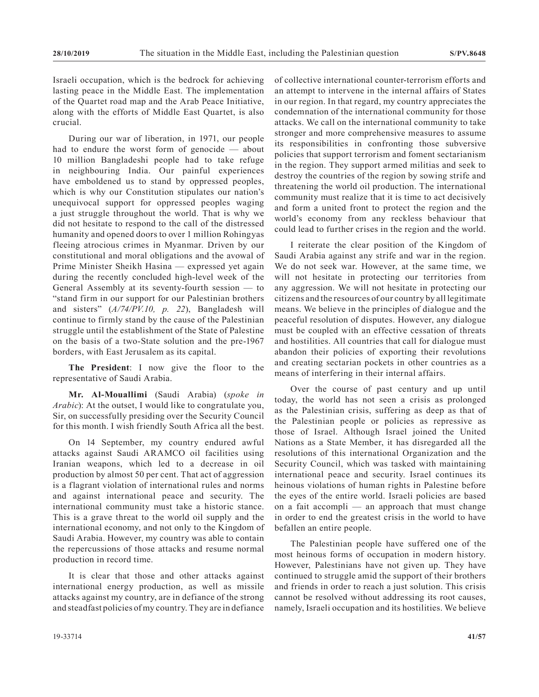Israeli occupation, which is the bedrock for achieving lasting peace in the Middle East. The implementation of the Quartet road map and the Arab Peace Initiative, along with the efforts of Middle East Quartet, is also crucial.

During our war of liberation, in 1971, our people had to endure the worst form of genocide — about 10 million Bangladeshi people had to take refuge in neighbouring India. Our painful experiences have emboldened us to stand by oppressed peoples, which is why our Constitution stipulates our nation's unequivocal support for oppressed peoples waging a just struggle throughout the world. That is why we did not hesitate to respond to the call of the distressed humanity and opened doors to over 1 million Rohingyas fleeing atrocious crimes in Myanmar. Driven by our constitutional and moral obligations and the avowal of Prime Minister Sheikh Hasina — expressed yet again during the recently concluded high-level week of the General Assembly at its seventy-fourth session — to "stand firm in our support for our Palestinian brothers and sisters" (*A/74/PV.10, p. 22*), Bangladesh will continue to firmly stand by the cause of the Palestinian struggle until the establishment of the State of Palestine on the basis of a two-State solution and the pre-1967 borders, with East Jerusalem as its capital.

**The President**: I now give the floor to the representative of Saudi Arabia.

**Mr. Al-Mouallimi** (Saudi Arabia) (*spoke in Arabic*): At the outset, I would like to congratulate you, Sir, on successfully presiding over the Security Council for this month. I wish friendly South Africa all the best.

On 14 September, my country endured awful attacks against Saudi ARAMCO oil facilities using Iranian weapons, which led to a decrease in oil production by almost 50 per cent. That act of aggression is a flagrant violation of international rules and norms and against international peace and security. The international community must take a historic stance. This is a grave threat to the world oil supply and the international economy, and not only to the Kingdom of Saudi Arabia. However, my country was able to contain the repercussions of those attacks and resume normal production in record time.

It is clear that those and other attacks against international energy production, as well as missile attacks against my country, are in defiance of the strong and steadfast policies of my country. They are in defiance

of collective international counter-terrorism efforts and an attempt to intervene in the internal affairs of States in our region. In that regard, my country appreciates the condemnation of the international community for those attacks. We call on the international community to take stronger and more comprehensive measures to assume its responsibilities in confronting those subversive policies that support terrorism and foment sectarianism in the region. They support armed militias and seek to destroy the countries of the region by sowing strife and threatening the world oil production. The international community must realize that it is time to act decisively and form a united front to protect the region and the world's economy from any reckless behaviour that could lead to further crises in the region and the world.

I reiterate the clear position of the Kingdom of Saudi Arabia against any strife and war in the region. We do not seek war. However, at the same time, we will not hesitate in protecting our territories from any aggression. We will not hesitate in protecting our citizens and the resources of our country by all legitimate means. We believe in the principles of dialogue and the peaceful resolution of disputes. However, any dialogue must be coupled with an effective cessation of threats and hostilities. All countries that call for dialogue must abandon their policies of exporting their revolutions and creating sectarian pockets in other countries as a means of interfering in their internal affairs.

Over the course of past century and up until today, the world has not seen a crisis as prolonged as the Palestinian crisis, suffering as deep as that of the Palestinian people or policies as repressive as those of Israel. Although Israel joined the United Nations as a State Member, it has disregarded all the resolutions of this international Organization and the Security Council, which was tasked with maintaining international peace and security. Israel continues its heinous violations of human rights in Palestine before the eyes of the entire world. Israeli policies are based on a fait accompli — an approach that must change in order to end the greatest crisis in the world to have befallen an entire people.

The Palestinian people have suffered one of the most heinous forms of occupation in modern history. However, Palestinians have not given up. They have continued to struggle amid the support of their brothers and friends in order to reach a just solution. This crisis cannot be resolved without addressing its root causes, namely, Israeli occupation and its hostilities. We believe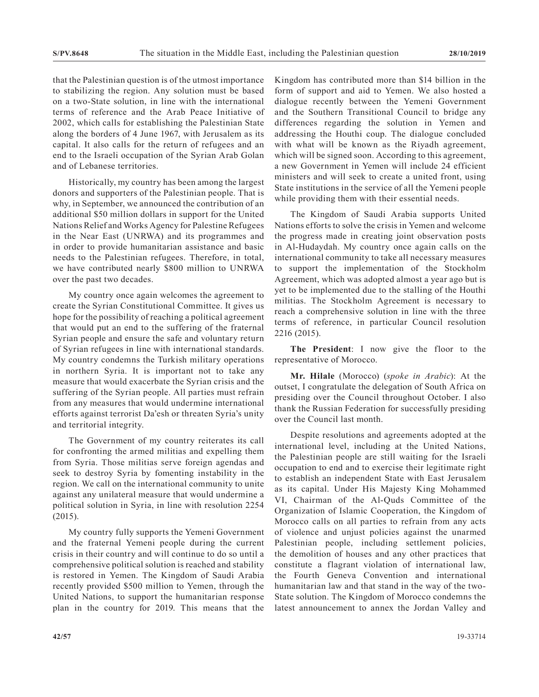that the Palestinian question is of the utmost importance to stabilizing the region. Any solution must be based on a two-State solution, in line with the international terms of reference and the Arab Peace Initiative of 2002, which calls for establishing the Palestinian State along the borders of 4 June 1967, with Jerusalem as its capital. It also calls for the return of refugees and an end to the Israeli occupation of the Syrian Arab Golan and of Lebanese territories.

Historically, my country has been among the largest donors and supporters of the Palestinian people. That is why, in September, we announced the contribution of an additional \$50 million dollars in support for the United Nations Relief and Works Agency for Palestine Refugees in the Near East (UNRWA) and its programmes and in order to provide humanitarian assistance and basic needs to the Palestinian refugees. Therefore, in total, we have contributed nearly \$800 million to UNRWA over the past two decades.

My country once again welcomes the agreement to create the Syrian Constitutional Committee. It gives us hope for the possibility of reaching a political agreement that would put an end to the suffering of the fraternal Syrian people and ensure the safe and voluntary return of Syrian refugees in line with international standards. My country condemns the Turkish military operations in northern Syria. It is important not to take any measure that would exacerbate the Syrian crisis and the suffering of the Syrian people. All parties must refrain from any measures that would undermine international efforts against terrorist Da'esh or threaten Syria's unity and territorial integrity.

The Government of my country reiterates its call for confronting the armed militias and expelling them from Syria. Those militias serve foreign agendas and seek to destroy Syria by fomenting instability in the region. We call on the international community to unite against any unilateral measure that would undermine a political solution in Syria, in line with resolution 2254 (2015).

My country fully supports the Yemeni Government and the fraternal Yemeni people during the current crisis in their country and will continue to do so until a comprehensive political solution is reached and stability is restored in Yemen. The Kingdom of Saudi Arabia recently provided \$500 million to Yemen, through the United Nations, to support the humanitarian response plan in the country for 2019. This means that the

Kingdom has contributed more than \$14 billion in the form of support and aid to Yemen. We also hosted a dialogue recently between the Yemeni Government and the Southern Transitional Council to bridge any differences regarding the solution in Yemen and addressing the Houthi coup. The dialogue concluded with what will be known as the Riyadh agreement, which will be signed soon. According to this agreement, a new Government in Yemen will include 24 efficient ministers and will seek to create a united front, using State institutions in the service of all the Yemeni people while providing them with their essential needs.

The Kingdom of Saudi Arabia supports United Nations efforts to solve the crisis in Yemen and welcome the progress made in creating joint observation posts in Al-Hudaydah. My country once again calls on the international community to take all necessary measures to support the implementation of the Stockholm Agreement, which was adopted almost a year ago but is yet to be implemented due to the stalling of the Houthi militias. The Stockholm Agreement is necessary to reach a comprehensive solution in line with the three terms of reference, in particular Council resolution 2216 (2015).

**The President**: I now give the floor to the representative of Morocco.

**Mr. Hilale** (Morocco) (*spoke in Arabic*): At the outset, I congratulate the delegation of South Africa on presiding over the Council throughout October. I also thank the Russian Federation for successfully presiding over the Council last month.

Despite resolutions and agreements adopted at the international level, including at the United Nations, the Palestinian people are still waiting for the Israeli occupation to end and to exercise their legitimate right to establish an independent State with East Jerusalem as its capital. Under His Majesty King Mohammed VI, Chairman of the Al-Quds Committee of the Organization of Islamic Cooperation, the Kingdom of Morocco calls on all parties to refrain from any acts of violence and unjust policies against the unarmed Palestinian people, including settlement policies, the demolition of houses and any other practices that constitute a flagrant violation of international law, the Fourth Geneva Convention and international humanitarian law and that stand in the way of the two-State solution. The Kingdom of Morocco condemns the latest announcement to annex the Jordan Valley and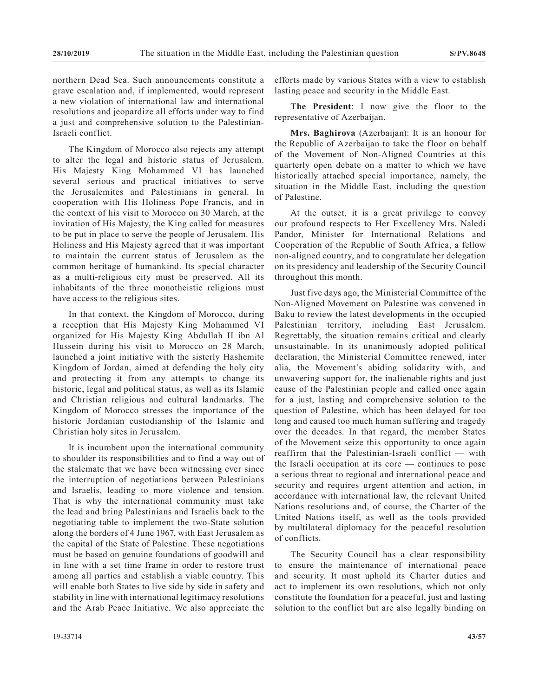northern Dead Sea. Such announcements constitute a grave escalation and, if implemented, would represent a new violation of international law and international resolutions and jeopardize all efforts under way to find a just and comprehensive solution to the Palestinian-Israeli conflict.

The Kingdom of Morocco also rejects any attempt to alter the legal and historic status of Jerusalem. His Majesty King Mohammed VI has launched several serious and practical initiatives to serve the Jerusalemites and Palestinians in general. In cooperation with His Holiness Pope Francis, and in the context of his visit to Morocco on 30 March, at the invitation of His Majesty, the King called for measures to be put in place to serve the people of Jerusalem. His Holiness and His Majesty agreed that it was important to maintain the current status of Jerusalem as the common heritage of humankind. Its special character as a multi-religious city must be preserved. All its inhabitants of the three monotheistic religions must have access to the religious sites.

In that context, the Kingdom of Morocco, during a reception that His Majesty King Mohammed VI organized for His Majesty King Abdullah II ibn Al Hussein during his visit to Morocco on 28 March, launched a joint initiative with the sisterly Hashemite Kingdom of Jordan, aimed at defending the holy city and protecting it from any attempts to change its historic, legal and political status, as well as its Islamic and Christian religious and cultural landmarks. The Kingdom of Morocco stresses the importance of the historic Jordanian custodianship of the Islamic and Christian holy sites in Jerusalem.

It is incumbent upon the international community to shoulder its responsibilities and to find a way out of the stalemate that we have been witnessing ever since the interruption of negotiations between Palestinians and Israelis, leading to more violence and tension. That is why the international community must take the lead and bring Palestinians and Israelis back to the negotiating table to implement the two-State solution along the borders of 4 June 1967, with East Jerusalem as the capital of the State of Palestine. These negotiations must be based on genuine foundations of goodwill and in line with a set time frame in order to restore trust among all parties and establish a viable country. This will enable both States to live side by side in safety and stability in line with international legitimacy resolutions and the Arab Peace Initiative. We also appreciate the

efforts made by various States with a view to establish lasting peace and security in the Middle East.

**The President**: I now give the floor to the representative of Azerbaijan.

**Mrs. Baghirova** (Azerbaijan): It is an honour for the Republic of Azerbaijan to take the floor on behalf of the Movement of Non-Aligned Countries at this quarterly open debate on a matter to which we have historically attached special importance, namely, the situation in the Middle East, including the question of Palestine.

At the outset, it is a great privilege to convey our profound respects to Her Excellency Mrs. Naledi Pandor, Minister for International Relations and Cooperation of the Republic of South Africa, a fellow non-aligned country, and to congratulate her delegation on its presidency and leadership of the Security Council throughout this month.

Just five days ago, the Ministerial Committee of the Non-Aligned Movement on Palestine was convened in Baku to review the latest developments in the occupied Palestinian territory, including East Jerusalem. Regrettably, the situation remains critical and clearly unsustainable. In its unanimously adopted political declaration, the Ministerial Committee renewed, inter alia, the Movement's abiding solidarity with, and unwavering support for, the inalienable rights and just cause of the Palestinian people and called once again for a just, lasting and comprehensive solution to the question of Palestine, which has been delayed for too long and caused too much human suffering and tragedy over the decades. In that regard, the member States of the Movement seize this opportunity to once again reaffirm that the Palestinian-Israeli conflict — with the Israeli occupation at its core — continues to pose a serious threat to regional and international peace and security and requires urgent attention and action, in accordance with international law, the relevant United Nations resolutions and, of course, the Charter of the United Nations itself, as well as the tools provided by multilateral diplomacy for the peaceful resolution of conflicts.

The Security Council has a clear responsibility to ensure the maintenance of international peace and security. It must uphold its Charter duties and act to implement its own resolutions, which not only constitute the foundation for a peaceful, just and lasting solution to the conflict but are also legally binding on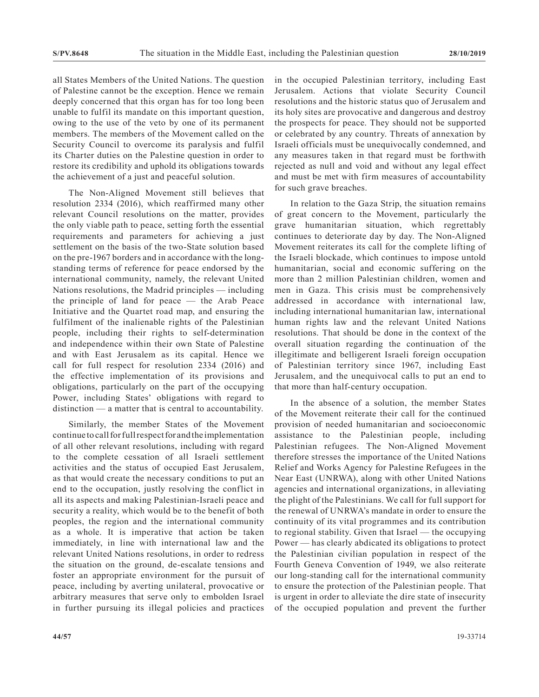all States Members of the United Nations. The question of Palestine cannot be the exception. Hence we remain deeply concerned that this organ has for too long been unable to fulfil its mandate on this important question, owing to the use of the veto by one of its permanent members. The members of the Movement called on the Security Council to overcome its paralysis and fulfil its Charter duties on the Palestine question in order to restore its credibility and uphold its obligations towards the achievement of a just and peaceful solution.

The Non-Aligned Movement still believes that resolution 2334 (2016), which reaffirmed many other relevant Council resolutions on the matter, provides the only viable path to peace, setting forth the essential requirements and parameters for achieving a just settlement on the basis of the two-State solution based on the pre-1967 borders and in accordance with the longstanding terms of reference for peace endorsed by the international community, namely, the relevant United Nations resolutions, the Madrid principles — including the principle of land for peace — the Arab Peace Initiative and the Quartet road map, and ensuring the fulfilment of the inalienable rights of the Palestinian people, including their rights to self-determination and independence within their own State of Palestine and with East Jerusalem as its capital. Hence we call for full respect for resolution 2334 (2016) and the effective implementation of its provisions and obligations, particularly on the part of the occupying Power, including States' obligations with regard to distinction — a matter that is central to accountability.

Similarly, the member States of the Movement continue to call for full respect for and the implementation of all other relevant resolutions, including with regard to the complete cessation of all Israeli settlement activities and the status of occupied East Jerusalem, as that would create the necessary conditions to put an end to the occupation, justly resolving the conflict in all its aspects and making Palestinian-Israeli peace and security a reality, which would be to the benefit of both peoples, the region and the international community as a whole. It is imperative that action be taken immediately, in line with international law and the relevant United Nations resolutions, in order to redress the situation on the ground, de-escalate tensions and foster an appropriate environment for the pursuit of peace, including by averting unilateral, provocative or arbitrary measures that serve only to embolden Israel in further pursuing its illegal policies and practices

in the occupied Palestinian territory, including East Jerusalem. Actions that violate Security Council resolutions and the historic status quo of Jerusalem and its holy sites are provocative and dangerous and destroy the prospects for peace. They should not be supported or celebrated by any country. Threats of annexation by Israeli officials must be unequivocally condemned, and any measures taken in that regard must be forthwith rejected as null and void and without any legal effect and must be met with firm measures of accountability for such grave breaches.

In relation to the Gaza Strip, the situation remains of great concern to the Movement, particularly the grave humanitarian situation, which regrettably continues to deteriorate day by day. The Non-Aligned Movement reiterates its call for the complete lifting of the Israeli blockade, which continues to impose untold humanitarian, social and economic suffering on the more than 2 million Palestinian children, women and men in Gaza. This crisis must be comprehensively addressed in accordance with international law, including international humanitarian law, international human rights law and the relevant United Nations resolutions. That should be done in the context of the overall situation regarding the continuation of the illegitimate and belligerent Israeli foreign occupation of Palestinian territory since 1967, including East Jerusalem, and the unequivocal calls to put an end to that more than half-century occupation.

In the absence of a solution, the member States of the Movement reiterate their call for the continued provision of needed humanitarian and socioeconomic assistance to the Palestinian people, including Palestinian refugees. The Non-Aligned Movement therefore stresses the importance of the United Nations Relief and Works Agency for Palestine Refugees in the Near East (UNRWA), along with other United Nations agencies and international organizations, in alleviating the plight of the Palestinians. We call for full support for the renewal of UNRWA's mandate in order to ensure the continuity of its vital programmes and its contribution to regional stability. Given that Israel — the occupying Power — has clearly abdicated its obligations to protect the Palestinian civilian population in respect of the Fourth Geneva Convention of 1949, we also reiterate our long-standing call for the international community to ensure the protection of the Palestinian people. That is urgent in order to alleviate the dire state of insecurity of the occupied population and prevent the further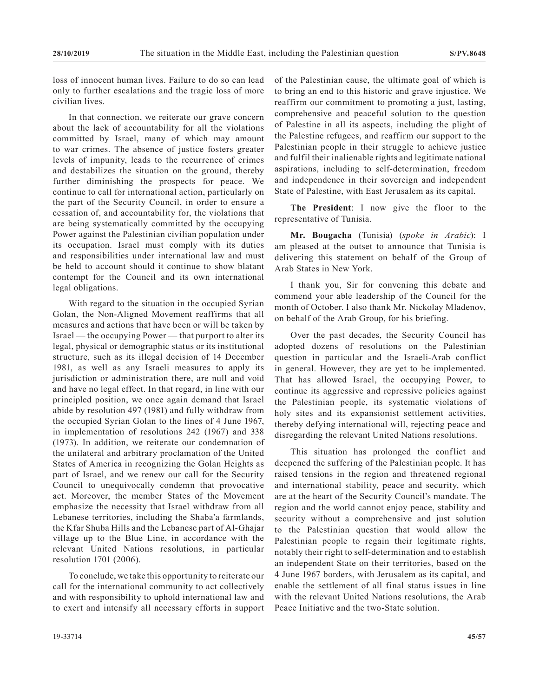loss of innocent human lives. Failure to do so can lead only to further escalations and the tragic loss of more civilian lives.

In that connection, we reiterate our grave concern about the lack of accountability for all the violations committed by Israel, many of which may amount to war crimes. The absence of justice fosters greater levels of impunity, leads to the recurrence of crimes and destabilizes the situation on the ground, thereby further diminishing the prospects for peace. We continue to call for international action, particularly on the part of the Security Council, in order to ensure a cessation of, and accountability for, the violations that are being systematically committed by the occupying Power against the Palestinian civilian population under its occupation. Israel must comply with its duties and responsibilities under international law and must be held to account should it continue to show blatant contempt for the Council and its own international legal obligations.

With regard to the situation in the occupied Syrian Golan, the Non-Aligned Movement reaffirms that all measures and actions that have been or will be taken by Israel — the occupying Power — that purport to alter its legal, physical or demographic status or its institutional structure, such as its illegal decision of 14 December 1981, as well as any Israeli measures to apply its jurisdiction or administration there, are null and void and have no legal effect. In that regard, in line with our principled position, we once again demand that Israel abide by resolution 497 (1981) and fully withdraw from the occupied Syrian Golan to the lines of 4 June 1967, in implementation of resolutions 242 (1967) and 338 (1973). In addition, we reiterate our condemnation of the unilateral and arbitrary proclamation of the United States of America in recognizing the Golan Heights as part of Israel, and we renew our call for the Security Council to unequivocally condemn that provocative act. Moreover, the member States of the Movement emphasize the necessity that Israel withdraw from all Lebanese territories, including the Shaba'a farmlands, the Kfar Shuba Hills and the Lebanese part of Al-Ghajar village up to the Blue Line, in accordance with the relevant United Nations resolutions, in particular resolution 1701 (2006).

To conclude, we take this opportunity to reiterate our call for the international community to act collectively and with responsibility to uphold international law and to exert and intensify all necessary efforts in support of the Palestinian cause, the ultimate goal of which is to bring an end to this historic and grave injustice. We reaffirm our commitment to promoting a just, lasting, comprehensive and peaceful solution to the question of Palestine in all its aspects, including the plight of the Palestine refugees, and reaffirm our support to the Palestinian people in their struggle to achieve justice and fulfil their inalienable rights and legitimate national aspirations, including to self-determination, freedom and independence in their sovereign and independent State of Palestine, with East Jerusalem as its capital.

**The President**: I now give the floor to the representative of Tunisia.

**Mr. Bougacha** (Tunisia) (*spoke in Arabic*): I am pleased at the outset to announce that Tunisia is delivering this statement on behalf of the Group of Arab States in New York.

I thank you, Sir for convening this debate and commend your able leadership of the Council for the month of October. I also thank Mr. Nickolay Mladenov, on behalf of the Arab Group, for his briefing.

Over the past decades, the Security Council has adopted dozens of resolutions on the Palestinian question in particular and the Israeli-Arab conflict in general. However, they are yet to be implemented. That has allowed Israel, the occupying Power, to continue its aggressive and repressive policies against the Palestinian people, its systematic violations of holy sites and its expansionist settlement activities, thereby defying international will, rejecting peace and disregarding the relevant United Nations resolutions.

This situation has prolonged the conflict and deepened the suffering of the Palestinian people. It has raised tensions in the region and threatened regional and international stability, peace and security, which are at the heart of the Security Council's mandate. The region and the world cannot enjoy peace, stability and security without a comprehensive and just solution to the Palestinian question that would allow the Palestinian people to regain their legitimate rights, notably their right to self-determination and to establish an independent State on their territories, based on the 4 June 1967 borders, with Jerusalem as its capital, and enable the settlement of all final status issues in line with the relevant United Nations resolutions, the Arab Peace Initiative and the two-State solution.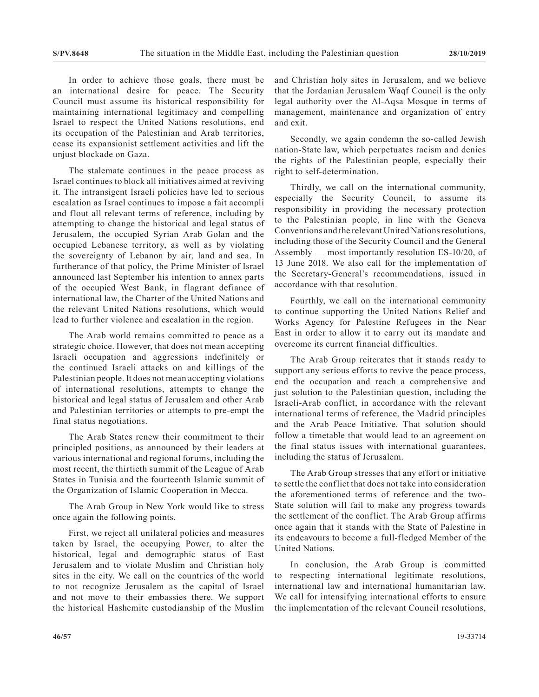In order to achieve those goals, there must be an international desire for peace. The Security Council must assume its historical responsibility for maintaining international legitimacy and compelling Israel to respect the United Nations resolutions, end its occupation of the Palestinian and Arab territories, cease its expansionist settlement activities and lift the unjust blockade on Gaza.

The stalemate continues in the peace process as Israel continues to block all initiatives aimed at reviving it. The intransigent Israeli policies have led to serious escalation as Israel continues to impose a fait accompli and flout all relevant terms of reference, including by attempting to change the historical and legal status of Jerusalem, the occupied Syrian Arab Golan and the occupied Lebanese territory, as well as by violating the sovereignty of Lebanon by air, land and sea. In furtherance of that policy, the Prime Minister of Israel announced last September his intention to annex parts of the occupied West Bank, in flagrant defiance of international law, the Charter of the United Nations and the relevant United Nations resolutions, which would lead to further violence and escalation in the region.

The Arab world remains committed to peace as a strategic choice. However, that does not mean accepting Israeli occupation and aggressions indefinitely or the continued Israeli attacks on and killings of the Palestinian people. It does not mean accepting violations of international resolutions, attempts to change the historical and legal status of Jerusalem and other Arab and Palestinian territories or attempts to pre-empt the final status negotiations.

The Arab States renew their commitment to their principled positions, as announced by their leaders at various international and regional forums, including the most recent, the thirtieth summit of the League of Arab States in Tunisia and the fourteenth Islamic summit of the Organization of Islamic Cooperation in Mecca.

The Arab Group in New York would like to stress once again the following points.

First, we reject all unilateral policies and measures taken by Israel, the occupying Power, to alter the historical, legal and demographic status of East Jerusalem and to violate Muslim and Christian holy sites in the city. We call on the countries of the world to not recognize Jerusalem as the capital of Israel and not move to their embassies there. We support the historical Hashemite custodianship of the Muslim and Christian holy sites in Jerusalem, and we believe that the Jordanian Jerusalem Waqf Council is the only legal authority over the Al-Aqsa Mosque in terms of management, maintenance and organization of entry and exit.

Secondly, we again condemn the so-called Jewish nation-State law, which perpetuates racism and denies the rights of the Palestinian people, especially their right to self-determination.

Thirdly, we call on the international community, especially the Security Council, to assume its responsibility in providing the necessary protection to the Palestinian people, in line with the Geneva Conventions and the relevant United Nations resolutions, including those of the Security Council and the General Assembly — most importantly resolution ES-10/20, of 13 June 2018. We also call for the implementation of the Secretary-General's recommendations, issued in accordance with that resolution.

Fourthly, we call on the international community to continue supporting the United Nations Relief and Works Agency for Palestine Refugees in the Near East in order to allow it to carry out its mandate and overcome its current financial difficulties.

The Arab Group reiterates that it stands ready to support any serious efforts to revive the peace process, end the occupation and reach a comprehensive and just solution to the Palestinian question, including the Israeli-Arab conflict, in accordance with the relevant international terms of reference, the Madrid principles and the Arab Peace Initiative. That solution should follow a timetable that would lead to an agreement on the final status issues with international guarantees, including the status of Jerusalem.

The Arab Group stresses that any effort or initiative to settle the conflict that does not take into consideration the aforementioned terms of reference and the two-State solution will fail to make any progress towards the settlement of the conflict. The Arab Group affirms once again that it stands with the State of Palestine in its endeavours to become a full-fledged Member of the United Nations.

In conclusion, the Arab Group is committed to respecting international legitimate resolutions, international law and international humanitarian law. We call for intensifying international efforts to ensure the implementation of the relevant Council resolutions,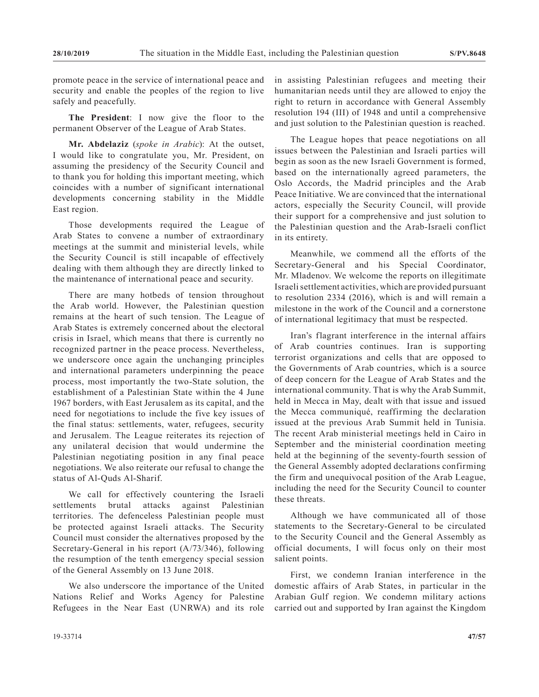promote peace in the service of international peace and security and enable the peoples of the region to live safely and peacefully.

**The President**: I now give the floor to the permanent Observer of the League of Arab States.

**Mr. Abdelaziz** (*spoke in Arabic*): At the outset, I would like to congratulate you, Mr. President, on assuming the presidency of the Security Council and to thank you for holding this important meeting, which coincides with a number of significant international developments concerning stability in the Middle East region.

Those developments required the League of Arab States to convene a number of extraordinary meetings at the summit and ministerial levels, while the Security Council is still incapable of effectively dealing with them although they are directly linked to the maintenance of international peace and security.

There are many hotbeds of tension throughout the Arab world. However, the Palestinian question remains at the heart of such tension. The League of Arab States is extremely concerned about the electoral crisis in Israel, which means that there is currently no recognized partner in the peace process. Nevertheless, we underscore once again the unchanging principles and international parameters underpinning the peace process, most importantly the two-State solution, the establishment of a Palestinian State within the 4 June 1967 borders, with East Jerusalem as its capital, and the need for negotiations to include the five key issues of the final status: settlements, water, refugees, security and Jerusalem. The League reiterates its rejection of any unilateral decision that would undermine the Palestinian negotiating position in any final peace negotiations. We also reiterate our refusal to change the status of Al-Quds Al-Sharif.

We call for effectively countering the Israeli settlements brutal attacks against Palestinian territories. The defenceless Palestinian people must be protected against Israeli attacks. The Security Council must consider the alternatives proposed by the Secretary-General in his report (A/73/346), following the resumption of the tenth emergency special session of the General Assembly on 13 June 2018.

We also underscore the importance of the United Nations Relief and Works Agency for Palestine Refugees in the Near East (UNRWA) and its role in assisting Palestinian refugees and meeting their humanitarian needs until they are allowed to enjoy the right to return in accordance with General Assembly resolution 194 (III) of 1948 and until a comprehensive and just solution to the Palestinian question is reached.

The League hopes that peace negotiations on all issues between the Palestinian and Israeli parties will begin as soon as the new Israeli Government is formed, based on the internationally agreed parameters, the Oslo Accords, the Madrid principles and the Arab Peace Initiative. We are convinced that the international actors, especially the Security Council, will provide their support for a comprehensive and just solution to the Palestinian question and the Arab-Israeli conflict in its entirety.

Meanwhile, we commend all the efforts of the Secretary-General and his Special Coordinator, Mr. Mladenov. We welcome the reports on illegitimate Israeli settlement activities, which are provided pursuant to resolution 2334 (2016), which is and will remain a milestone in the work of the Council and a cornerstone of international legitimacy that must be respected.

Iran's flagrant interference in the internal affairs of Arab countries continues. Iran is supporting terrorist organizations and cells that are opposed to the Governments of Arab countries, which is a source of deep concern for the League of Arab States and the international community. That is why the Arab Summit, held in Mecca in May, dealt with that issue and issued the Mecca communiqué, reaffirming the declaration issued at the previous Arab Summit held in Tunisia. The recent Arab ministerial meetings held in Cairo in September and the ministerial coordination meeting held at the beginning of the seventy-fourth session of the General Assembly adopted declarations confirming the firm and unequivocal position of the Arab League, including the need for the Security Council to counter these threats.

Although we have communicated all of those statements to the Secretary-General to be circulated to the Security Council and the General Assembly as official documents, I will focus only on their most salient points.

First, we condemn Iranian interference in the domestic affairs of Arab States, in particular in the Arabian Gulf region. We condemn military actions carried out and supported by Iran against the Kingdom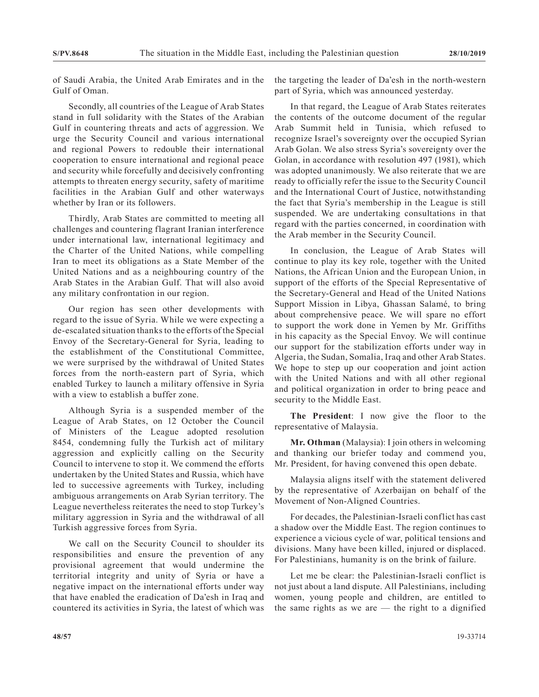of Saudi Arabia, the United Arab Emirates and in the Gulf of Oman.

Secondly, all countries of the League of Arab States stand in full solidarity with the States of the Arabian Gulf in countering threats and acts of aggression. We urge the Security Council and various international and regional Powers to redouble their international cooperation to ensure international and regional peace and security while forcefully and decisively confronting attempts to threaten energy security, safety of maritime facilities in the Arabian Gulf and other waterways whether by Iran or its followers.

Thirdly, Arab States are committed to meeting all challenges and countering flagrant Iranian interference under international law, international legitimacy and the Charter of the United Nations, while compelling Iran to meet its obligations as a State Member of the United Nations and as a neighbouring country of the Arab States in the Arabian Gulf. That will also avoid any military confrontation in our region.

Our region has seen other developments with regard to the issue of Syria. While we were expecting a de-escalated situation thanks to the efforts of the Special Envoy of the Secretary-General for Syria, leading to the establishment of the Constitutional Committee, we were surprised by the withdrawal of United States forces from the north-eastern part of Syria, which enabled Turkey to launch a military offensive in Syria with a view to establish a buffer zone.

Although Syria is a suspended member of the League of Arab States, on 12 October the Council of Ministers of the League adopted resolution 8454, condemning fully the Turkish act of military aggression and explicitly calling on the Security Council to intervene to stop it. We commend the efforts undertaken by the United States and Russia, which have led to successive agreements with Turkey, including ambiguous arrangements on Arab Syrian territory. The League nevertheless reiterates the need to stop Turkey's military aggression in Syria and the withdrawal of all Turkish aggressive forces from Syria.

We call on the Security Council to shoulder its responsibilities and ensure the prevention of any provisional agreement that would undermine the territorial integrity and unity of Syria or have a negative impact on the international efforts under way that have enabled the eradication of Da'esh in Iraq and countered its activities in Syria, the latest of which was the targeting the leader of Da'esh in the north-western part of Syria, which was announced yesterday.

In that regard, the League of Arab States reiterates the contents of the outcome document of the regular Arab Summit held in Tunisia, which refused to recognize Israel's sovereignty over the occupied Syrian Arab Golan. We also stress Syria's sovereignty over the Golan, in accordance with resolution 497 (1981), which was adopted unanimously. We also reiterate that we are ready to officially refer the issue to the Security Council and the International Court of Justice, notwithstanding the fact that Syria's membership in the League is still suspended. We are undertaking consultations in that regard with the parties concerned, in coordination with the Arab member in the Security Council.

In conclusion, the League of Arab States will continue to play its key role, together with the United Nations, the African Union and the European Union, in support of the efforts of the Special Representative of the Secretary-General and Head of the United Nations Support Mission in Libya, Ghassan Salamé, to bring about comprehensive peace. We will spare no effort to support the work done in Yemen by Mr. Griffiths in his capacity as the Special Envoy. We will continue our support for the stabilization efforts under way in Algeria, the Sudan, Somalia, Iraq and other Arab States. We hope to step up our cooperation and joint action with the United Nations and with all other regional and political organization in order to bring peace and security to the Middle East.

**The President**: I now give the floor to the representative of Malaysia.

**Mr. Othman** (Malaysia): I join others in welcoming and thanking our briefer today and commend you, Mr. President, for having convened this open debate.

Malaysia aligns itself with the statement delivered by the representative of Azerbaijan on behalf of the Movement of Non-Aligned Countries.

For decades, the Palestinian-Israeli conflict has cast a shadow over the Middle East. The region continues to experience a vicious cycle of war, political tensions and divisions. Many have been killed, injured or displaced. For Palestinians, humanity is on the brink of failure.

Let me be clear: the Palestinian-Israeli conflict is not just about a land dispute. All Palestinians, including women, young people and children, are entitled to the same rights as we are  $-$  the right to a dignified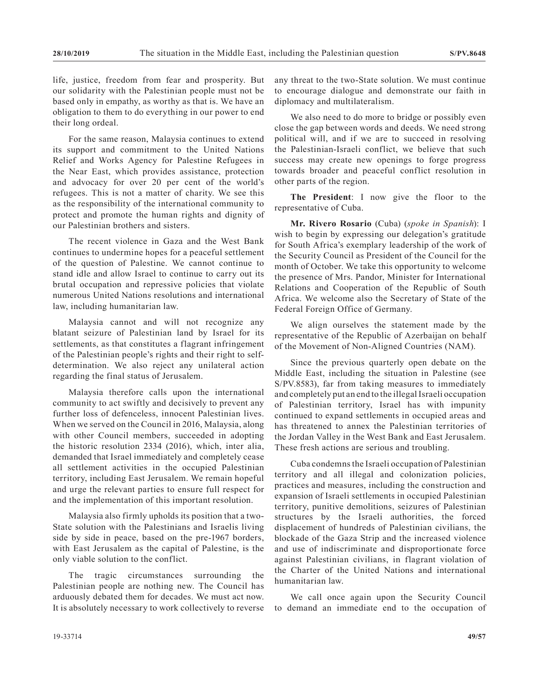life, justice, freedom from fear and prosperity. But our solidarity with the Palestinian people must not be based only in empathy, as worthy as that is. We have an obligation to them to do everything in our power to end their long ordeal.

For the same reason, Malaysia continues to extend its support and commitment to the United Nations Relief and Works Agency for Palestine Refugees in the Near East, which provides assistance, protection and advocacy for over 20 per cent of the world's refugees. This is not a matter of charity. We see this as the responsibility of the international community to protect and promote the human rights and dignity of our Palestinian brothers and sisters.

The recent violence in Gaza and the West Bank continues to undermine hopes for a peaceful settlement of the question of Palestine. We cannot continue to stand idle and allow Israel to continue to carry out its brutal occupation and repressive policies that violate numerous United Nations resolutions and international law, including humanitarian law.

Malaysia cannot and will not recognize any blatant seizure of Palestinian land by Israel for its settlements, as that constitutes a flagrant infringement of the Palestinian people's rights and their right to selfdetermination. We also reject any unilateral action regarding the final status of Jerusalem.

Malaysia therefore calls upon the international community to act swiftly and decisively to prevent any further loss of defenceless, innocent Palestinian lives. When we served on the Council in 2016, Malaysia, along with other Council members, succeeded in adopting the historic resolution 2334 (2016), which, inter alia, demanded that Israel immediately and completely cease all settlement activities in the occupied Palestinian territory, including East Jerusalem. We remain hopeful and urge the relevant parties to ensure full respect for and the implementation of this important resolution.

Malaysia also firmly upholds its position that a two-State solution with the Palestinians and Israelis living side by side in peace, based on the pre-1967 borders, with East Jerusalem as the capital of Palestine, is the only viable solution to the conflict.

The tragic circumstances surrounding the Palestinian people are nothing new. The Council has arduously debated them for decades. We must act now. It is absolutely necessary to work collectively to reverse any threat to the two-State solution. We must continue to encourage dialogue and demonstrate our faith in diplomacy and multilateralism.

We also need to do more to bridge or possibly even close the gap between words and deeds. We need strong political will, and if we are to succeed in resolving the Palestinian-Israeli conflict, we believe that such success may create new openings to forge progress towards broader and peaceful conflict resolution in other parts of the region.

**The President**: I now give the floor to the representative of Cuba.

**Mr. Rivero Rosario** (Cuba) (*spoke in Spanish*): I wish to begin by expressing our delegation's gratitude for South Africa's exemplary leadership of the work of the Security Council as President of the Council for the month of October. We take this opportunity to welcome the presence of Mrs. Pandor, Minister for International Relations and Cooperation of the Republic of South Africa. We welcome also the Secretary of State of the Federal Foreign Office of Germany.

We align ourselves the statement made by the representative of the Republic of Azerbaijan on behalf of the Movement of Non-Aligned Countries (NAM).

Since the previous quarterly open debate on the Middle East, including the situation in Palestine (see S/PV.8583), far from taking measures to immediately and completely put an end to the illegal Israeli occupation of Palestinian territory, Israel has with impunity continued to expand settlements in occupied areas and has threatened to annex the Palestinian territories of the Jordan Valley in the West Bank and East Jerusalem. These fresh actions are serious and troubling.

Cuba condemns the Israeli occupation of Palestinian territory and all illegal and colonization policies, practices and measures, including the construction and expansion of Israeli settlements in occupied Palestinian territory, punitive demolitions, seizures of Palestinian structures by the Israeli authorities, the forced displacement of hundreds of Palestinian civilians, the blockade of the Gaza Strip and the increased violence and use of indiscriminate and disproportionate force against Palestinian civilians, in flagrant violation of the Charter of the United Nations and international humanitarian law.

We call once again upon the Security Council to demand an immediate end to the occupation of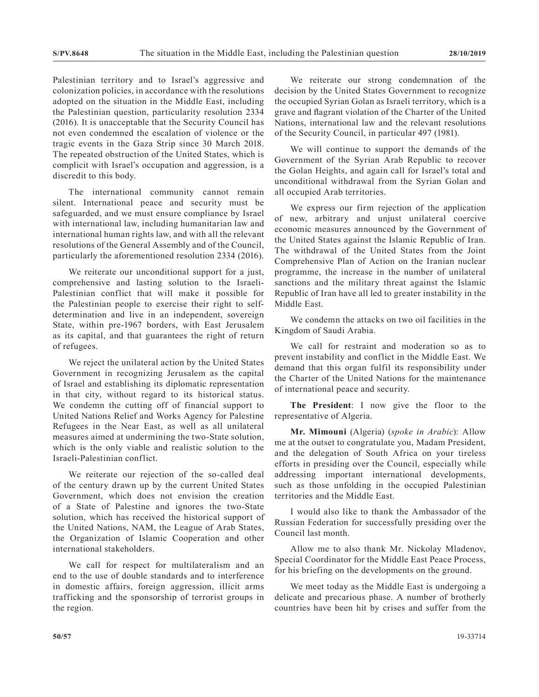Palestinian territory and to Israel's aggressive and colonization policies, in accordance with the resolutions adopted on the situation in the Middle East, including the Palestinian question, particularity resolution 2334 (2016). It is unacceptable that the Security Council has not even condemned the escalation of violence or the tragic events in the Gaza Strip since 30 March 2018. The repeated obstruction of the United States, which is complicit with Israel's occupation and aggression, is a discredit to this body.

The international community cannot remain silent. International peace and security must be safeguarded, and we must ensure compliance by Israel with international law, including humanitarian law and international human rights law, and with all the relevant resolutions of the General Assembly and of the Council, particularly the aforementioned resolution 2334 (2016).

We reiterate our unconditional support for a just, comprehensive and lasting solution to the Israeli-Palestinian conflict that will make it possible for the Palestinian people to exercise their right to selfdetermination and live in an independent, sovereign State, within pre-1967 borders, with East Jerusalem as its capital, and that guarantees the right of return of refugees.

We reject the unilateral action by the United States Government in recognizing Jerusalem as the capital of Israel and establishing its diplomatic representation in that city, without regard to its historical status. We condemn the cutting off of financial support to United Nations Relief and Works Agency for Palestine Refugees in the Near East, as well as all unilateral measures aimed at undermining the two-State solution, which is the only viable and realistic solution to the Israeli-Palestinian conflict.

We reiterate our rejection of the so-called deal of the century drawn up by the current United States Government, which does not envision the creation of a State of Palestine and ignores the two-State solution, which has received the historical support of the United Nations, NAM, the League of Arab States, the Organization of Islamic Cooperation and other international stakeholders.

We call for respect for multilateralism and an end to the use of double standards and to interference in domestic affairs, foreign aggression, illicit arms trafficking and the sponsorship of terrorist groups in the region.

We reiterate our strong condemnation of the decision by the United States Government to recognize the occupied Syrian Golan as Israeli territory, which is a grave and flagrant violation of the Charter of the United Nations, international law and the relevant resolutions of the Security Council, in particular 497 (1981).

We will continue to support the demands of the Government of the Syrian Arab Republic to recover the Golan Heights, and again call for Israel's total and unconditional withdrawal from the Syrian Golan and all occupied Arab territories.

We express our firm rejection of the application of new, arbitrary and unjust unilateral coercive economic measures announced by the Government of the United States against the Islamic Republic of Iran. The withdrawal of the United States from the Joint Comprehensive Plan of Action on the Iranian nuclear programme, the increase in the number of unilateral sanctions and the military threat against the Islamic Republic of Iran have all led to greater instability in the Middle East.

We condemn the attacks on two oil facilities in the Kingdom of Saudi Arabia.

We call for restraint and moderation so as to prevent instability and conflict in the Middle East. We demand that this organ fulfil its responsibility under the Charter of the United Nations for the maintenance of international peace and security.

**The President**: I now give the floor to the representative of Algeria.

**Mr. Mimouni** (Algeria) (*spoke in Arabic*): Allow me at the outset to congratulate you, Madam President, and the delegation of South Africa on your tireless efforts in presiding over the Council, especially while addressing important international developments, such as those unfolding in the occupied Palestinian territories and the Middle East.

I would also like to thank the Ambassador of the Russian Federation for successfully presiding over the Council last month.

Allow me to also thank Mr. Nickolay Mladenov, Special Coordinator for the Middle East Peace Process, for his briefing on the developments on the ground.

We meet today as the Middle East is undergoing a delicate and precarious phase. A number of brotherly countries have been hit by crises and suffer from the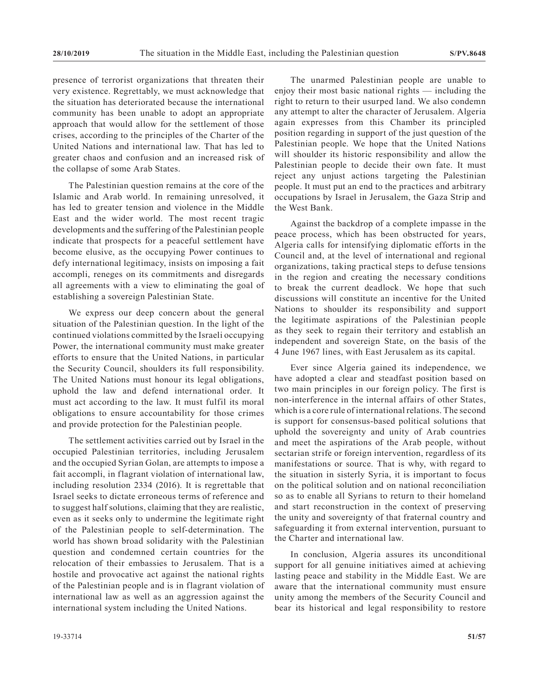presence of terrorist organizations that threaten their very existence. Regrettably, we must acknowledge that the situation has deteriorated because the international community has been unable to adopt an appropriate approach that would allow for the settlement of those crises, according to the principles of the Charter of the United Nations and international law. That has led to greater chaos and confusion and an increased risk of the collapse of some Arab States.

The Palestinian question remains at the core of the Islamic and Arab world. In remaining unresolved, it has led to greater tension and violence in the Middle East and the wider world. The most recent tragic developments and the suffering of the Palestinian people indicate that prospects for a peaceful settlement have become elusive, as the occupying Power continues to defy international legitimacy, insists on imposing a fait accompli, reneges on its commitments and disregards all agreements with a view to eliminating the goal of establishing a sovereign Palestinian State.

We express our deep concern about the general situation of the Palestinian question. In the light of the continued violations committed by the Israeli occupying Power, the international community must make greater efforts to ensure that the United Nations, in particular the Security Council, shoulders its full responsibility. The United Nations must honour its legal obligations, uphold the law and defend international order. It must act according to the law. It must fulfil its moral obligations to ensure accountability for those crimes and provide protection for the Palestinian people.

The settlement activities carried out by Israel in the occupied Palestinian territories, including Jerusalem and the occupied Syrian Golan, are attempts to impose a fait accompli, in flagrant violation of international law, including resolution 2334 (2016). It is regrettable that Israel seeks to dictate erroneous terms of reference and to suggest half solutions, claiming that they are realistic, even as it seeks only to undermine the legitimate right of the Palestinian people to self-determination. The world has shown broad solidarity with the Palestinian question and condemned certain countries for the relocation of their embassies to Jerusalem. That is a hostile and provocative act against the national rights of the Palestinian people and is in flagrant violation of international law as well as an aggression against the international system including the United Nations.

The unarmed Palestinian people are unable to enjoy their most basic national rights — including the right to return to their usurped land. We also condemn any attempt to alter the character of Jerusalem. Algeria again expresses from this Chamber its principled position regarding in support of the just question of the Palestinian people. We hope that the United Nations will shoulder its historic responsibility and allow the Palestinian people to decide their own fate. It must reject any unjust actions targeting the Palestinian people. It must put an end to the practices and arbitrary occupations by Israel in Jerusalem, the Gaza Strip and the West Bank.

Against the backdrop of a complete impasse in the peace process, which has been obstructed for years, Algeria calls for intensifying diplomatic efforts in the Council and, at the level of international and regional organizations, taking practical steps to defuse tensions in the region and creating the necessary conditions to break the current deadlock. We hope that such discussions will constitute an incentive for the United Nations to shoulder its responsibility and support the legitimate aspirations of the Palestinian people as they seek to regain their territory and establish an independent and sovereign State, on the basis of the 4 June 1967 lines, with East Jerusalem as its capital.

Ever since Algeria gained its independence, we have adopted a clear and steadfast position based on two main principles in our foreign policy. The first is non-interference in the internal affairs of other States, which is a core rule of international relations. The second is support for consensus-based political solutions that uphold the sovereignty and unity of Arab countries and meet the aspirations of the Arab people, without sectarian strife or foreign intervention, regardless of its manifestations or source. That is why, with regard to the situation in sisterly Syria, it is important to focus on the political solution and on national reconciliation so as to enable all Syrians to return to their homeland and start reconstruction in the context of preserving the unity and sovereignty of that fraternal country and safeguarding it from external intervention, pursuant to the Charter and international law.

In conclusion, Algeria assures its unconditional support for all genuine initiatives aimed at achieving lasting peace and stability in the Middle East. We are aware that the international community must ensure unity among the members of the Security Council and bear its historical and legal responsibility to restore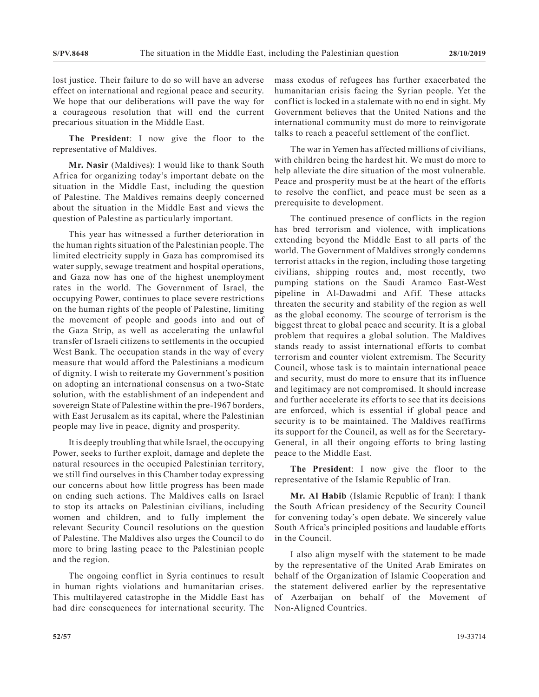lost justice. Their failure to do so will have an adverse effect on international and regional peace and security. We hope that our deliberations will pave the way for a courageous resolution that will end the current precarious situation in the Middle East.

**The President**: I now give the floor to the representative of Maldives.

**Mr. Nasir** (Maldives): I would like to thank South Africa for organizing today's important debate on the situation in the Middle East, including the question of Palestine. The Maldives remains deeply concerned about the situation in the Middle East and views the question of Palestine as particularly important.

This year has witnessed a further deterioration in the human rights situation of the Palestinian people. The limited electricity supply in Gaza has compromised its water supply, sewage treatment and hospital operations, and Gaza now has one of the highest unemployment rates in the world. The Government of Israel, the occupying Power, continues to place severe restrictions on the human rights of the people of Palestine, limiting the movement of people and goods into and out of the Gaza Strip, as well as accelerating the unlawful transfer of Israeli citizens to settlements in the occupied West Bank. The occupation stands in the way of every measure that would afford the Palestinians a modicum of dignity. I wish to reiterate my Government's position on adopting an international consensus on a two-State solution, with the establishment of an independent and sovereign State of Palestine within the pre-1967 borders, with East Jerusalem as its capital, where the Palestinian people may live in peace, dignity and prosperity.

It is deeply troubling that while Israel, the occupying Power, seeks to further exploit, damage and deplete the natural resources in the occupied Palestinian territory, we still find ourselves in this Chamber today expressing our concerns about how little progress has been made on ending such actions. The Maldives calls on Israel to stop its attacks on Palestinian civilians, including women and children, and to fully implement the relevant Security Council resolutions on the question of Palestine. The Maldives also urges the Council to do more to bring lasting peace to the Palestinian people and the region.

The ongoing conflict in Syria continues to result in human rights violations and humanitarian crises. This multilayered catastrophe in the Middle East has had dire consequences for international security. The

mass exodus of refugees has further exacerbated the humanitarian crisis facing the Syrian people. Yet the conflict is locked in a stalemate with no end in sight. My Government believes that the United Nations and the international community must do more to reinvigorate talks to reach a peaceful settlement of the conflict.

The war in Yemen has affected millions of civilians, with children being the hardest hit. We must do more to help alleviate the dire situation of the most vulnerable. Peace and prosperity must be at the heart of the efforts to resolve the conflict, and peace must be seen as a prerequisite to development.

The continued presence of conflicts in the region has bred terrorism and violence, with implications extending beyond the Middle East to all parts of the world. The Government of Maldives strongly condemns terrorist attacks in the region, including those targeting civilians, shipping routes and, most recently, two pumping stations on the Saudi Aramco East-West pipeline in Al-Dawadmi and Afif. These attacks threaten the security and stability of the region as well as the global economy. The scourge of terrorism is the biggest threat to global peace and security. It is a global problem that requires a global solution. The Maldives stands ready to assist international efforts to combat terrorism and counter violent extremism. The Security Council, whose task is to maintain international peace and security, must do more to ensure that its influence and legitimacy are not compromised. It should increase and further accelerate its efforts to see that its decisions are enforced, which is essential if global peace and security is to be maintained. The Maldives reaffirms its support for the Council, as well as for the Secretary-General, in all their ongoing efforts to bring lasting peace to the Middle East.

**The President**: I now give the floor to the representative of the Islamic Republic of Iran.

**Mr. Al Habib** (Islamic Republic of Iran): I thank the South African presidency of the Security Council for convening today's open debate. We sincerely value South Africa's principled positions and laudable efforts in the Council.

I also align myself with the statement to be made by the representative of the United Arab Emirates on behalf of the Organization of Islamic Cooperation and the statement delivered earlier by the representative of Azerbaijan on behalf of the Movement of Non-Aligned Countries.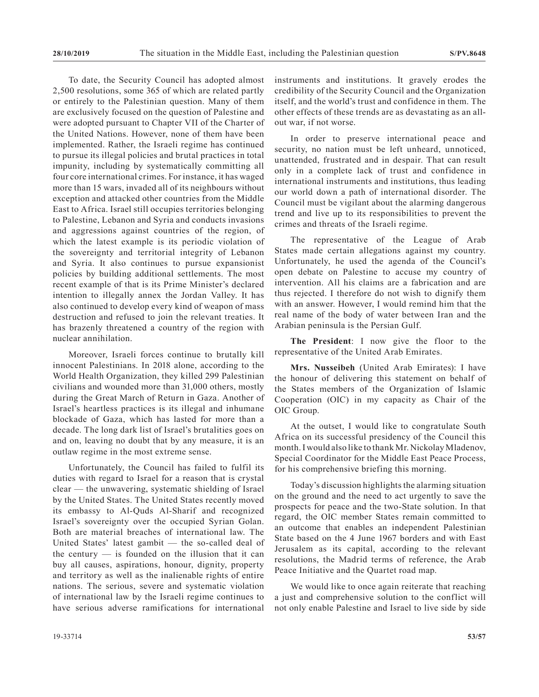To date, the Security Council has adopted almost 2,500 resolutions, some 365 of which are related partly or entirely to the Palestinian question. Many of them are exclusively focused on the question of Palestine and were adopted pursuant to Chapter VII of the Charter of the United Nations. However, none of them have been implemented. Rather, the Israeli regime has continued to pursue its illegal policies and brutal practices in total impunity, including by systematically committing all four core international crimes. For instance, it has waged more than 15 wars, invaded all of its neighbours without exception and attacked other countries from the Middle East to Africa. Israel still occupies territories belonging to Palestine, Lebanon and Syria and conducts invasions and aggressions against countries of the region, of which the latest example is its periodic violation of the sovereignty and territorial integrity of Lebanon and Syria. It also continues to pursue expansionist policies by building additional settlements. The most recent example of that is its Prime Minister's declared intention to illegally annex the Jordan Valley. It has also continued to develop every kind of weapon of mass destruction and refused to join the relevant treaties. It has brazenly threatened a country of the region with nuclear annihilation.

Moreover, Israeli forces continue to brutally kill innocent Palestinians. In 2018 alone, according to the World Health Organization, they killed 299 Palestinian civilians and wounded more than 31,000 others, mostly during the Great March of Return in Gaza. Another of Israel's heartless practices is its illegal and inhumane blockade of Gaza, which has lasted for more than a decade. The long dark list of Israel's brutalities goes on and on, leaving no doubt that by any measure, it is an outlaw regime in the most extreme sense.

Unfortunately, the Council has failed to fulfil its duties with regard to Israel for a reason that is crystal clear — the unwavering, systematic shielding of Israel by the United States. The United States recently moved its embassy to Al-Quds Al-Sharif and recognized Israel's sovereignty over the occupied Syrian Golan. Both are material breaches of international law. The United States' latest gambit — the so-called deal of the century  $-$  is founded on the illusion that it can buy all causes, aspirations, honour, dignity, property and territory as well as the inalienable rights of entire nations. The serious, severe and systematic violation of international law by the Israeli regime continues to have serious adverse ramifications for international instruments and institutions. It gravely erodes the credibility of the Security Council and the Organization itself, and the world's trust and confidence in them. The other effects of these trends are as devastating as an allout war, if not worse.

In order to preserve international peace and security, no nation must be left unheard, unnoticed, unattended, frustrated and in despair. That can result only in a complete lack of trust and confidence in international instruments and institutions, thus leading our world down a path of international disorder. The Council must be vigilant about the alarming dangerous trend and live up to its responsibilities to prevent the crimes and threats of the Israeli regime.

The representative of the League of Arab States made certain allegations against my country. Unfortunately, he used the agenda of the Council's open debate on Palestine to accuse my country of intervention. All his claims are a fabrication and are thus rejected. I therefore do not wish to dignify them with an answer. However, I would remind him that the real name of the body of water between Iran and the Arabian peninsula is the Persian Gulf.

**The President**: I now give the floor to the representative of the United Arab Emirates.

**Mrs. Nusseibeh** (United Arab Emirates): I have the honour of delivering this statement on behalf of the States members of the Organization of Islamic Cooperation (OIC) in my capacity as Chair of the OIC Group.

At the outset, I would like to congratulate South Africa on its successful presidency of the Council this month. I would also like to thank Mr. Nickolay Mladenov, Special Coordinator for the Middle East Peace Process, for his comprehensive briefing this morning.

Today's discussion highlights the alarming situation on the ground and the need to act urgently to save the prospects for peace and the two-State solution. In that regard, the OIC member States remain committed to an outcome that enables an independent Palestinian State based on the 4 June 1967 borders and with East Jerusalem as its capital, according to the relevant resolutions, the Madrid terms of reference, the Arab Peace Initiative and the Quartet road map.

We would like to once again reiterate that reaching a just and comprehensive solution to the conflict will not only enable Palestine and Israel to live side by side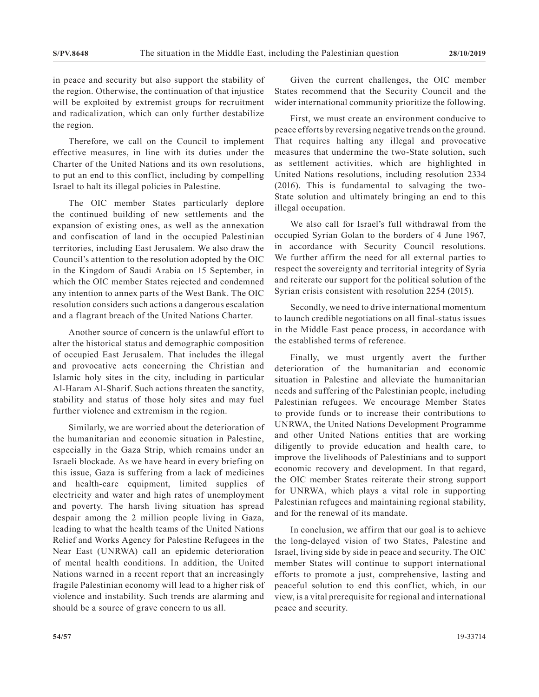in peace and security but also support the stability of the region. Otherwise, the continuation of that injustice will be exploited by extremist groups for recruitment and radicalization, which can only further destabilize the region.

Therefore, we call on the Council to implement effective measures, in line with its duties under the Charter of the United Nations and its own resolutions, to put an end to this conflict, including by compelling Israel to halt its illegal policies in Palestine.

The OIC member States particularly deplore the continued building of new settlements and the expansion of existing ones, as well as the annexation and confiscation of land in the occupied Palestinian territories, including East Jerusalem. We also draw the Council's attention to the resolution adopted by the OIC in the Kingdom of Saudi Arabia on 15 September, in which the OIC member States rejected and condemned any intention to annex parts of the West Bank. The OIC resolution considers such actions a dangerous escalation and a flagrant breach of the United Nations Charter.

Another source of concern is the unlawful effort to alter the historical status and demographic composition of occupied East Jerusalem. That includes the illegal and provocative acts concerning the Christian and Islamic holy sites in the city, including in particular Al-Haram Al-Sharif. Such actions threaten the sanctity, stability and status of those holy sites and may fuel further violence and extremism in the region.

Similarly, we are worried about the deterioration of the humanitarian and economic situation in Palestine, especially in the Gaza Strip, which remains under an Israeli blockade. As we have heard in every briefing on this issue, Gaza is suffering from a lack of medicines and health-care equipment, limited supplies of electricity and water and high rates of unemployment and poverty. The harsh living situation has spread despair among the 2 million people living in Gaza, leading to what the health teams of the United Nations Relief and Works Agency for Palestine Refugees in the Near East (UNRWA) call an epidemic deterioration of mental health conditions. In addition, the United Nations warned in a recent report that an increasingly fragile Palestinian economy will lead to a higher risk of violence and instability. Such trends are alarming and should be a source of grave concern to us all.

Given the current challenges, the OIC member States recommend that the Security Council and the wider international community prioritize the following.

First, we must create an environment conducive to peace efforts by reversing negative trends on the ground. That requires halting any illegal and provocative measures that undermine the two-State solution, such as settlement activities, which are highlighted in United Nations resolutions, including resolution 2334 (2016). This is fundamental to salvaging the two-State solution and ultimately bringing an end to this illegal occupation.

We also call for Israel's full withdrawal from the occupied Syrian Golan to the borders of 4 June 1967, in accordance with Security Council resolutions. We further affirm the need for all external parties to respect the sovereignty and territorial integrity of Syria and reiterate our support for the political solution of the Syrian crisis consistent with resolution 2254 (2015).

Secondly, we need to drive international momentum to launch credible negotiations on all final-status issues in the Middle East peace process, in accordance with the established terms of reference.

Finally, we must urgently avert the further deterioration of the humanitarian and economic situation in Palestine and alleviate the humanitarian needs and suffering of the Palestinian people, including Palestinian refugees. We encourage Member States to provide funds or to increase their contributions to UNRWA, the United Nations Development Programme and other United Nations entities that are working diligently to provide education and health care, to improve the livelihoods of Palestinians and to support economic recovery and development. In that regard, the OIC member States reiterate their strong support for UNRWA, which plays a vital role in supporting Palestinian refugees and maintaining regional stability, and for the renewal of its mandate.

In conclusion, we affirm that our goal is to achieve the long-delayed vision of two States, Palestine and Israel, living side by side in peace and security. The OIC member States will continue to support international efforts to promote a just, comprehensive, lasting and peaceful solution to end this conflict, which, in our view, is a vital prerequisite for regional and international peace and security.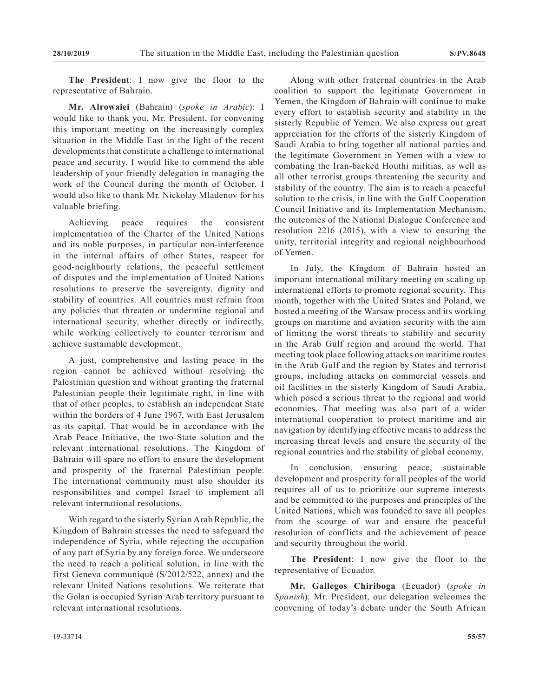**The President**: I now give the floor to the representative of Bahrain.

**Mr. Alrowaiei** (Bahrain) (*spoke in Arabic*): I would like to thank you, Mr. President, for convening this important meeting on the increasingly complex situation in the Middle East in the light of the recent developments that constitute a challenge to international peace and security. I would like to commend the able leadership of your friendly delegation in managing the work of the Council during the month of October. I would also like to thank Mr. Nickolay Mladenov for his valuable briefing.

Achieving peace requires the consistent implementation of the Charter of the United Nations and its noble purposes, in particular non-interference in the internal affairs of other States, respect for good-neighbourly relations, the peaceful settlement of disputes and the implementation of United Nations resolutions to preserve the sovereignty, dignity and stability of countries. All countries must refrain from any policies that threaten or undermine regional and international security, whether directly or indirectly, while working collectively to counter terrorism and achieve sustainable development.

A just, comprehensive and lasting peace in the region cannot be achieved without resolving the Palestinian question and without granting the fraternal Palestinian people their legitimate right, in line with that of other peoples, to establish an independent State within the borders of 4 June 1967, with East Jerusalem as its capital. That would be in accordance with the Arab Peace Initiative, the two-State solution and the relevant international resolutions. The Kingdom of Bahrain will spare no effort to ensure the development and prosperity of the fraternal Palestinian people. The international community must also shoulder its responsibilities and compel Israel to implement all relevant international resolutions.

With regard to the sisterly Syrian Arab Republic, the Kingdom of Bahrain stresses the need to safeguard the independence of Syria, while rejecting the occupation of any part of Syria by any foreign force. We underscore the need to reach a political solution, in line with the first Geneva communiqué (S/2012/522, annex) and the relevant United Nations resolutions. We reiterate that the Golan is occupied Syrian Arab territory pursuant to relevant international resolutions.

Along with other fraternal countries in the Arab coalition to support the legitimate Government in Yemen, the Kingdom of Bahrain will continue to make every effort to establish security and stability in the sisterly Republic of Yemen. We also express our great appreciation for the efforts of the sisterly Kingdom of Saudi Arabia to bring together all national parties and the legitimate Government in Yemen with a view to combating the Iran-backed Houthi militias, as well as all other terrorist groups threatening the security and stability of the country. The aim is to reach a peaceful solution to the crisis, in line with the Gulf Cooperation Council Initiative and its Implementation Mechanism, the outcomes of the National Dialogue Conference and resolution 2216 (2015), with a view to ensuring the unity, territorial integrity and regional neighbourhood of Yemen.

In July, the Kingdom of Bahrain hosted an important international military meeting on scaling up international efforts to promote regional security. This month, together with the United States and Poland, we hosted a meeting of the Warsaw process and its working groups on maritime and aviation security with the aim of limiting the worst threats to stability and security in the Arab Gulf region and around the world. That meeting took place following attacks on maritime routes in the Arab Gulf and the region by States and terrorist groups, including attacks on commercial vessels and oil facilities in the sisterly Kingdom of Saudi Arabia, which posed a serious threat to the regional and world economies. That meeting was also part of a wider international cooperation to protect maritime and air navigation by identifying effective means to address the increasing threat levels and ensure the security of the regional countries and the stability of global economy.

In conclusion, ensuring peace, sustainable development and prosperity for all peoples of the world requires all of us to prioritize our supreme interests and be committed to the purposes and principles of the United Nations, which was founded to save all peoples from the scourge of war and ensure the peaceful resolution of conflicts and the achievement of peace and security throughout the world.

**The President**: I now give the floor to the representative of Ecuador.

**Mr. Gallegos Chiriboga** (Ecuador) (*spoke in Spanish*): Mr. President, our delegation welcomes the convening of today's debate under the South African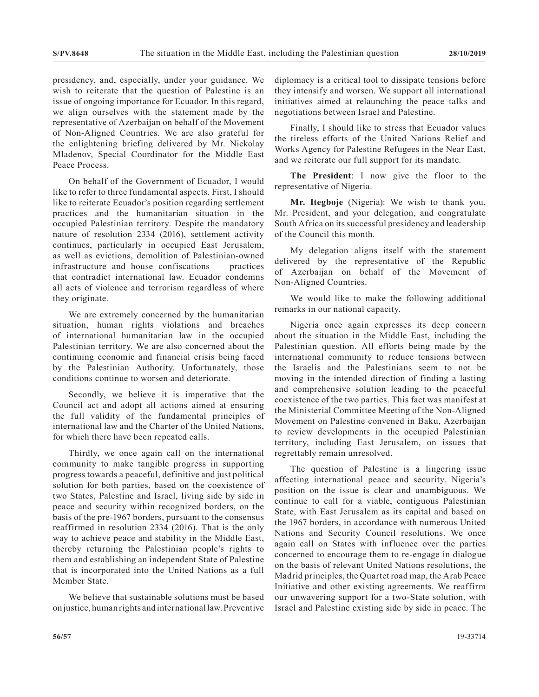presidency, and, especially, under your guidance. We wish to reiterate that the question of Palestine is an issue of ongoing importance for Ecuador. In this regard, we align ourselves with the statement made by the representative of Azerbaijan on behalf of the Movement of Non-Aligned Countries. We are also grateful for the enlightening briefing delivered by Mr. Nickolay Mladenov, Special Coordinator for the Middle East Peace Process.

On behalf of the Government of Ecuador, I would like to refer to three fundamental aspects. First, I should like to reiterate Ecuador's position regarding settlement practices and the humanitarian situation in the occupied Palestinian territory. Despite the mandatory nature of resolution 2334 (2016), settlement activity continues, particularly in occupied East Jerusalem, as well as evictions, demolition of Palestinian-owned infrastructure and house confiscations — practices that contradict international law. Ecuador condemns all acts of violence and terrorism regardless of where they originate.

We are extremely concerned by the humanitarian situation, human rights violations and breaches of international humanitarian law in the occupied Palestinian territory. We are also concerned about the continuing economic and financial crisis being faced by the Palestinian Authority. Unfortunately, those conditions continue to worsen and deteriorate.

Secondly, we believe it is imperative that the Council act and adopt all actions aimed at ensuring the full validity of the fundamental principles of international law and the Charter of the United Nations, for which there have been repeated calls.

Thirdly, we once again call on the international community to make tangible progress in supporting progress towards a peaceful, definitive and just political solution for both parties, based on the coexistence of two States, Palestine and Israel, living side by side in peace and security within recognized borders, on the basis of the pre-1967 borders, pursuant to the consensus reaffirmed in resolution 2334 (2016). That is the only way to achieve peace and stability in the Middle East, thereby returning the Palestinian people's rights to them and establishing an independent State of Palestine that is incorporated into the United Nations as a full Member State.

We believe that sustainable solutions must be based on justice, human rights and international law. Preventive diplomacy is a critical tool to dissipate tensions before they intensify and worsen. We support all international initiatives aimed at relaunching the peace talks and negotiations between Israel and Palestine.

Finally, I should like to stress that Ecuador values the tireless efforts of the United Nations Relief and Works Agency for Palestine Refugees in the Near East, and we reiterate our full support for its mandate.

**The President**: I now give the floor to the representative of Nigeria.

**Mr. Itegboje** (Nigeria): We wish to thank you, Mr. President, and your delegation, and congratulate South Africa on its successful presidency and leadership of the Council this month.

My delegation aligns itself with the statement delivered by the representative of the Republic of Azerbaijan on behalf of the Movement of Non-Aligned Countries.

We would like to make the following additional remarks in our national capacity.

Nigeria once again expresses its deep concern about the situation in the Middle East, including the Palestinian question. All efforts being made by the international community to reduce tensions between the Israelis and the Palestinians seem to not be moving in the intended direction of finding a lasting and comprehensive solution leading to the peaceful coexistence of the two parties. This fact was manifest at the Ministerial Committee Meeting of the Non-Aligned Movement on Palestine convened in Baku, Azerbaijan to review developments in the occupied Palestinian territory, including East Jerusalem, on issues that regrettably remain unresolved.

The question of Palestine is a lingering issue affecting international peace and security. Nigeria's position on the issue is clear and unambiguous. We continue to call for a viable, contiguous Palestinian State, with East Jerusalem as its capital and based on the 1967 borders, in accordance with numerous United Nations and Security Council resolutions. We once again call on States with influence over the parties concerned to encourage them to re-engage in dialogue on the basis of relevant United Nations resolutions, the Madrid principles, the Quartet road map, the Arab Peace Initiative and other existing agreements. We reaffirm our unwavering support for a two-State solution, with Israel and Palestine existing side by side in peace. The